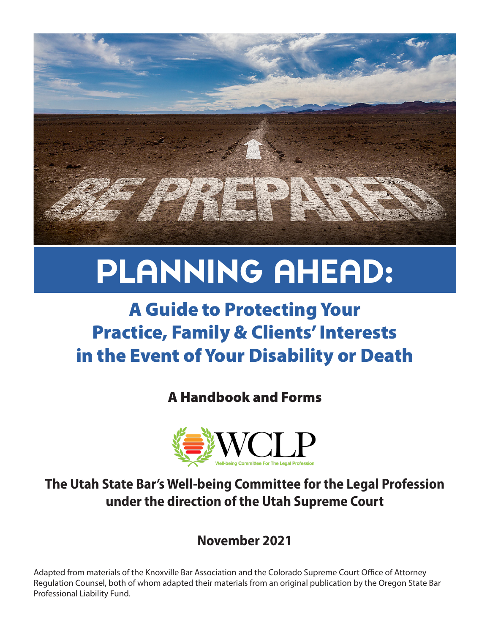

# PLANNING AHEAD:

# A Guide to Protecting Your Practice, Family & Clients' Interests in the Event of Your Disability or Death

A Handbook and Forms



**The Utah State Bar's Well-being Committee for the Legal Profession under the direction of the Utah Supreme Court**

**November 2021**

Adapted from materials of the Knoxville Bar Association and the Colorado Supreme Court Office of Attorney Regulation Counsel, both of whom adapted their materials from an original publication by the Oregon State Bar Professional Liability Fund.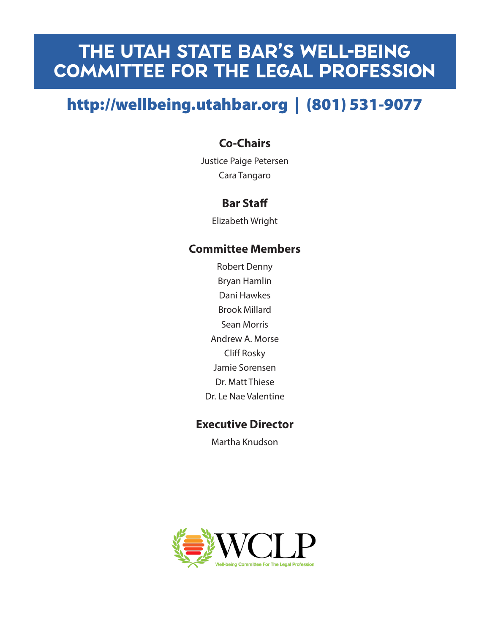# THE UTAH STATE BAR'S WELL-BEING Committee for the Legal PROfession

# http://wellbeing.utahbar.org | (801) 531-9077

# **Co-Chairs**

Justice Paige Petersen Cara Tangaro

# **Bar Staff**

Elizabeth Wright

### **Committee Members**

Robert Denny Bryan Hamlin Dani Hawkes Brook Millard Sean Morris Andrew A. Morse Cliff Rosky Jamie Sorensen Dr. Matt Thiese Dr. Le Nae Valentine

## **Executive Director**

Martha Knudson

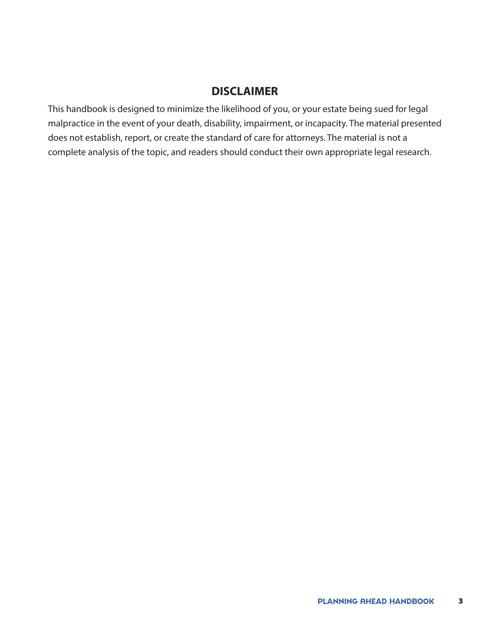### **DISCLAIMER**

This handbook is designed to minimize the likelihood of you, or your estate being sued for legal malpractice in the event of your death, disability, impairment, or incapacity. The material presented does not establish, report, or create the standard of care for attorneys. The material is not a complete analysis of the topic, and readers should conduct their own appropriate legal research.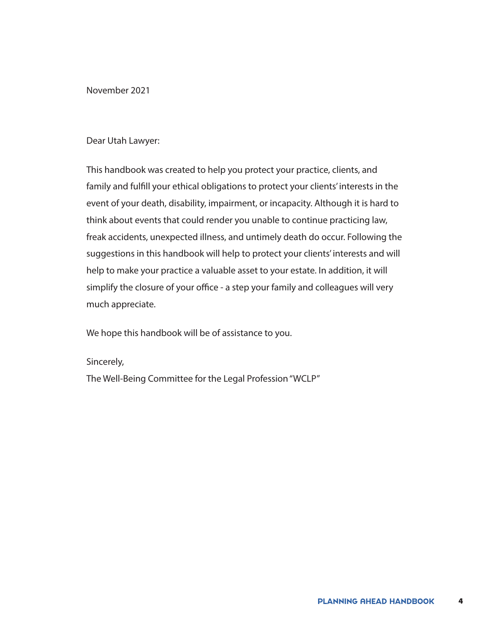November 2021

#### Dear Utah Lawyer:

This handbook was created to help you protect your practice, clients, and family and fulfill your ethical obligations to protect your clients' interests in the event of your death, disability, impairment, or incapacity. Although it is hard to think about events that could render you unable to continue practicing law, freak accidents, unexpected illness, and untimely death do occur. Following the suggestions in this handbook will help to protect your clients' interests and will help to make your practice a valuable asset to your estate. In addition, it will simplify the closure of your office - a step your family and colleagues will very much appreciate.

We hope this handbook will be of assistance to you.

#### Sincerely,

The Well-Being Committee for the Legal Profession "WCLP"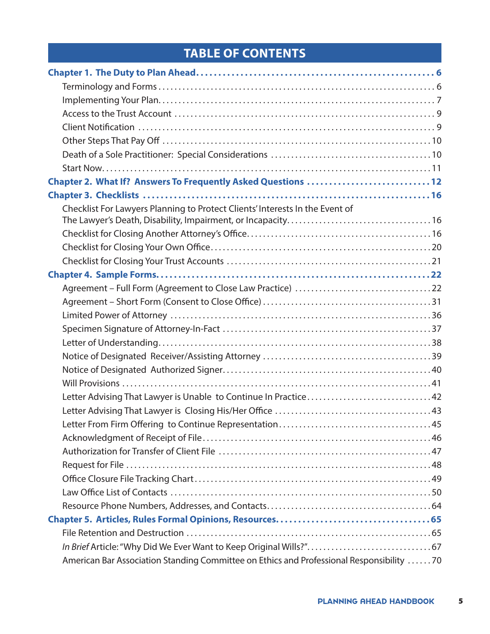# **TABLE OF CONTENTS**

| Chapter 2. What If? Answers To Frequently Asked Questions 12                             |  |
|------------------------------------------------------------------------------------------|--|
|                                                                                          |  |
| Checklist For Lawyers Planning to Protect Clients' Interests In the Event of             |  |
|                                                                                          |  |
|                                                                                          |  |
|                                                                                          |  |
|                                                                                          |  |
|                                                                                          |  |
|                                                                                          |  |
|                                                                                          |  |
|                                                                                          |  |
|                                                                                          |  |
|                                                                                          |  |
|                                                                                          |  |
|                                                                                          |  |
| Letter Advising That Lawyer is Unable to Continue In Practice42                          |  |
|                                                                                          |  |
|                                                                                          |  |
|                                                                                          |  |
|                                                                                          |  |
|                                                                                          |  |
|                                                                                          |  |
|                                                                                          |  |
|                                                                                          |  |
|                                                                                          |  |
|                                                                                          |  |
|                                                                                          |  |
| American Bar Association Standing Committee on Ethics and Professional Responsibility 70 |  |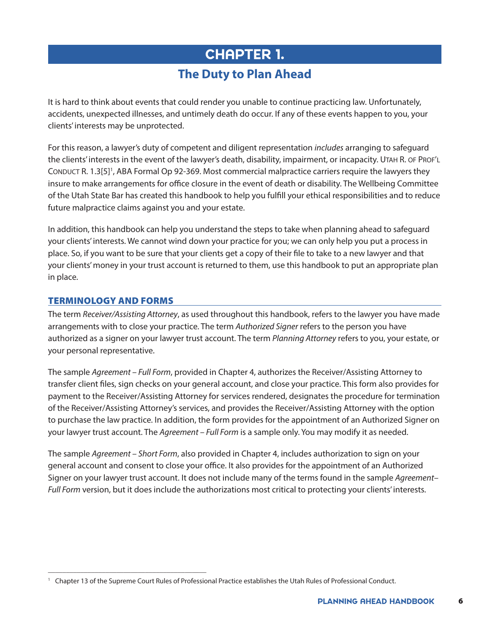# <span id="page-5-0"></span>CHAPTER 1. **The Duty to Plan Ahead**

It is hard to think about events that could render you unable to continue practicing law. Unfortunately, accidents, unexpected illnesses, and untimely death do occur. If any of these events happen to you, your clients' interests may be unprotected.

For this reason, a lawyer's duty of competent and diligent representation *includes* arranging to safeguard the clients' interests in the event of the lawyer's death, disability, impairment, or incapacity. Utah R. of Prof'l CONDUCT R. [1](#page-5-2).3[5]<sup>1</sup>, ABA Formal Op 92-369. Most commercial malpractice carriers require the lawyers they insure to make arrangements for office closure in the event of death or disability. The Wellbeing Committee of the Utah State Bar has created this handbook to help you fulfill your ethical responsibilities and to reduce future malpractice claims against you and your estate.

In addition, this handbook can help you understand the steps to take when planning ahead to safeguard your clients' interests. We cannot wind down your practice for you; we can only help you put a process in place. So, if you want to be sure that your clients get a copy of their file to take to a new lawyer and that your clients' money in your trust account is returned to them, use this handbook to put an appropriate plan in place.

#### <span id="page-5-1"></span>TERMINOLOGY AND FORMS

\_\_\_\_\_\_\_\_\_\_\_\_\_\_\_\_\_\_\_\_\_\_\_\_\_\_\_\_\_\_\_\_\_\_\_\_\_\_\_\_\_\_\_\_

The term *Receiver/Assisting Attorney*, as used throughout this handbook, refers to the lawyer you have made arrangements with to close your practice. The term *Authorized Signer* refers to the person you have authorized as a signer on your lawyer trust account. The term *Planning Attorney* refers to you, your estate, or your personal representative.

The sample *Agreement – Full Form*, provided in Chapter 4, authorizes the Receiver/Assisting Attorney to transfer client files, sign checks on your general account, and close your practice. This form also provides for payment to the Receiver/Assisting Attorney for services rendered, designates the procedure for termination of the Receiver/Assisting Attorney's services, and provides the Receiver/Assisting Attorney with the option to purchase the law practice. In addition, the form provides for the appointment of an Authorized Signer on your lawyer trust account. The *Agreement – Full Form* is a sample only. You may modify it as needed.

The sample *Agreement – Short Form*, also provided in Chapter 4, includes authorization to sign on your general account and consent to close your office. It also provides for the appointment of an Authorized Signer on your lawyer trust account. It does not include many of the terms found in the sample *Agreement– Full Form* version, but it does include the authorizations most critical to protecting your clients' interests.

<span id="page-5-2"></span><sup>1</sup> Chapter 13 of the Supreme Court Rules of Professional Practice establishes the Utah Rules of Professional Conduct.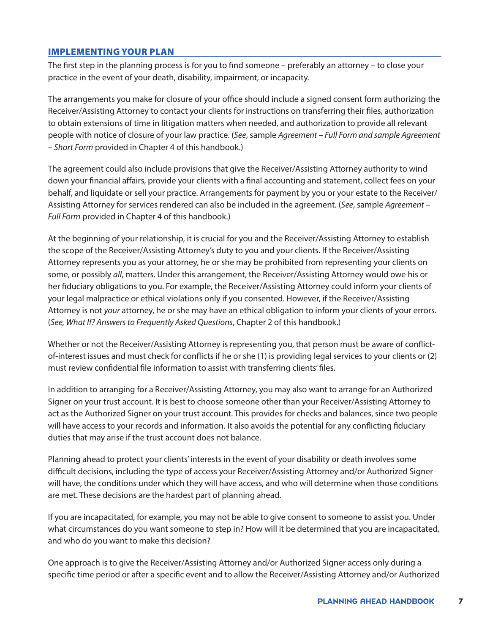#### <span id="page-6-0"></span>IMPLEMENTING YOUR PLAN

The first step in the planning process is for you to find someone – preferably an attorney – to close your practice in the event of your death, disability, impairment, or incapacity.

The arrangements you make for closure of your office should include a signed consent form authorizing the Receiver/Assisting Attorney to contact your clients for instructions on transferring their files, authorization to obtain extensions of time in litigation matters when needed, and authorization to provide all relevant people with notice of closure of your law practice. (*See*, sample *Agreement – Full Form and sample Agreement – Short Form* provided in Chapter 4 of this handbook.)

The agreement could also include provisions that give the Receiver/Assisting Attorney authority to wind down your financial affairs, provide your clients with a final accounting and statement, collect fees on your behalf, and liquidate or sell your practice. Arrangements for payment by you or your estate to the Receiver/ Assisting Attorney for services rendered can also be included in the agreement. (*See*, sample *Agreement – Full Form* provided in Chapter 4 of this handbook.)

At the beginning of your relationship, it is crucial for you and the Receiver/Assisting Attorney to establish the scope of the Receiver/Assisting Attorney's duty to you and your clients. If the Receiver/Assisting Attorney represents you as your attorney, he or she may be prohibited from representing your clients on some, or possibly *all*, matters. Under this arrangement, the Receiver/Assisting Attorney would owe his or her fiduciary obligations to you. For example, the Receiver/Assisting Attorney could inform your clients of your legal malpractice or ethical violations only if you consented. However, if the Receiver/Assisting Attorney is not *your* attorney, he or she may have an ethical obligation to inform your clients of your errors. (*See, What If? Answers to Frequently Asked Questions*, Chapter 2 of this handbook.)

Whether or not the Receiver/Assisting Attorney is representing you, that person must be aware of conflictof-interest issues and must check for conflicts if he or she (1) is providing legal services to your clients or (2) must review confidential file information to assist with transferring clients' files.

In addition to arranging for a Receiver/Assisting Attorney, you may also want to arrange for an Authorized Signer on your trust account. It is best to choose someone other than your Receiver/Assisting Attorney to act as the Authorized Signer on your trust account. This provides for checks and balances, since two people will have access to your records and information. It also avoids the potential for any conflicting fiduciary duties that may arise if the trust account does not balance.

Planning ahead to protect your clients' interests in the event of your disability or death involves some difficult decisions, including the type of access your Receiver/Assisting Attorney and/or Authorized Signer will have, the conditions under which they will have access, and who will determine when those conditions are met. These decisions are the hardest part of planning ahead.

If you are incapacitated, for example, you may not be able to give consent to someone to assist you. Under what circumstances do you want someone to step in? How will it be determined that you are incapacitated, and who do you want to make this decision?

One approach is to give the Receiver/Assisting Attorney and/or Authorized Signer access only during a specific time period or after a specific event and to allow the Receiver/Assisting Attorney and/or Authorized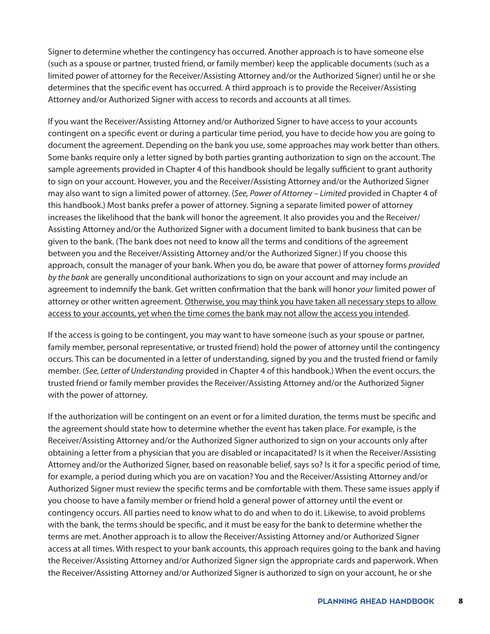Signer to determine whether the contingency has occurred. Another approach is to have someone else (such as a spouse or partner, trusted friend, or family member) keep the applicable documents (such as a limited power of attorney for the Receiver/Assisting Attorney and/or the Authorized Signer) until he or she determines that the specific event has occurred. A third approach is to provide the Receiver/Assisting Attorney and/or Authorized Signer with access to records and accounts at all times.

If you want the Receiver/Assisting Attorney and/or Authorized Signer to have access to your accounts contingent on a specific event or during a particular time period, you have to decide how you are going to document the agreement. Depending on the bank you use, some approaches may work better than others. Some banks require only a letter signed by both parties granting authorization to sign on the account. The sample agreements provided in Chapter 4 of this handbook should be legally sufficient to grant authority to sign on your account. However, you and the Receiver/Assisting Attorney and/or the Authorized Signer may also want to sign a limited power of attorney. (*See, Power of Attorney – Limited* provided in Chapter 4 of this handbook.) Most banks prefer a power of attorney. Signing a separate limited power of attorney increases the likelihood that the bank will honor the agreement. It also provides you and the Receiver/ Assisting Attorney and/or the Authorized Signer with a document limited to bank business that can be given to the bank. (The bank does not need to know all the terms and conditions of the agreement between you and the Receiver/Assisting Attorney and/or the Authorized Signer.) If you choose this approach, consult the manager of your bank. When you do, be aware that power of attorney forms *provided by the bank* are generally unconditional authorizations to sign on your account and may include an agreement to indemnify the bank. Get written confirmation that the bank will honor *your* limited power of attorney or other written agreement. Otherwise, you may think you have taken all necessary steps to allow access to your accounts, yet when the time comes the bank may not allow the access you intended.

If the access is going to be contingent, you may want to have someone (such as your spouse or partner, family member, personal representative, or trusted friend) hold the power of attorney until the contingency occurs. This can be documented in a letter of understanding, signed by you and the trusted friend or family member. (*See, Letter of Understanding* provided in Chapter 4 of this handbook.) When the event occurs, the trusted friend or family member provides the Receiver/Assisting Attorney and/or the Authorized Signer with the power of attorney.

If the authorization will be contingent on an event or for a limited duration, the terms must be specific and the agreement should state how to determine whether the event has taken place. For example, is the Receiver/Assisting Attorney and/or the Authorized Signer authorized to sign on your accounts only after obtaining a letter from a physician that you are disabled or incapacitated? Is it when the Receiver/Assisting Attorney and/or the Authorized Signer, based on reasonable belief, says so? Is it for a specific period of time, for example, a period during which you are on vacation? You and the Receiver/Assisting Attorney and/or Authorized Signer must review the specific terms and be comfortable with them. These same issues apply if you choose to have a family member or friend hold a general power of attorney until the event or contingency occurs. All parties need to know what to do and when to do it. Likewise, to avoid problems with the bank, the terms should be specific, and it must be easy for the bank to determine whether the terms are met. Another approach is to allow the Receiver/Assisting Attorney and/or Authorized Signer access at all times. With respect to your bank accounts, this approach requires going to the bank and having the Receiver/Assisting Attorney and/or Authorized Signer sign the appropriate cards and paperwork. When the Receiver/Assisting Attorney and/or Authorized Signer is authorized to sign on your account, he or she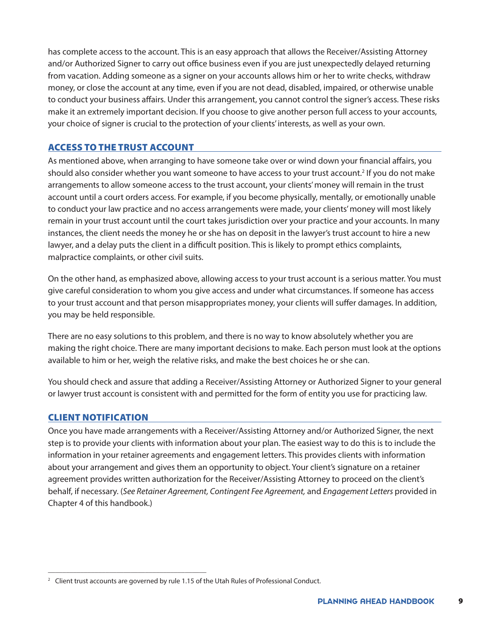has complete access to the account. This is an easy approach that allows the Receiver/Assisting Attorney and/or Authorized Signer to carry out office business even if you are just unexpectedly delayed returning from vacation. Adding someone as a signer on your accounts allows him or her to write checks, withdraw money, or close the account at any time, even if you are not dead, disabled, impaired, or otherwise unable to conduct your business affairs. Under this arrangement, you cannot control the signer's access. These risks make it an extremely important decision. If you choose to give another person full access to your accounts, your choice of signer is crucial to the protection of your clients' interests, as well as your own.

#### <span id="page-8-0"></span>ACCESS TO THE TRUST ACCOUNT

As mentioned above, when arranging to have someone take over or wind down your financial affairs, you should also consider whether you want someone to have access to your trust account.<sup>2</sup> If you do not make arrangements to allow someone access to the trust account, your clients' money will remain in the trust account until a court orders access. For example, if you become physically, mentally, or emotionally unable to conduct your law practice and no access arrangements were made, your clients' money will most likely remain in your trust account until the court takes jurisdiction over your practice and your accounts. In many instances, the client needs the money he or she has on deposit in the lawyer's trust account to hire a new lawyer, and a delay puts the client in a difficult position. This is likely to prompt ethics complaints, malpractice complaints, or other civil suits.

On the other hand, as emphasized above, allowing access to your trust account is a serious matter. You must give careful consideration to whom you give access and under what circumstances. If someone has access to your trust account and that person misappropriates money, your clients will suffer damages. In addition, you may be held responsible.

There are no easy solutions to this problem, and there is no way to know absolutely whether you are making the right choice. There are many important decisions to make. Each person must look at the options available to him or her, weigh the relative risks, and make the best choices he or she can.

You should check and assure that adding a Receiver/Assisting Attorney or Authorized Signer to your general or lawyer trust account is consistent with and permitted for the form of entity you use for practicing law.

#### <span id="page-8-1"></span>CLIENT NOTIFICATION

Once you have made arrangements with a Receiver/Assisting Attorney and/or Authorized Signer, the next step is to provide your clients with information about your plan. The easiest way to do this is to include the information in your retainer agreements and engagement letters. This provides clients with information about your arrangement and gives them an opportunity to object. Your client's signature on a retainer agreement provides written authorization for the Receiver/Assisting Attorney to proceed on the client's behalf, if necessary. (*See Retainer Agreement, Contingent Fee Agreement,* and *Engagement Letters* provided in Chapter 4 of this handbook.)

\_\_\_\_\_\_\_\_\_\_\_\_\_\_\_\_\_\_\_\_\_\_\_\_\_\_\_\_\_\_\_\_\_\_\_\_\_\_\_\_\_\_\_\_

<span id="page-8-2"></span><sup>&</sup>lt;sup>2</sup> Client trust accounts are governed by rule 1.15 of the Utah Rules of Professional Conduct.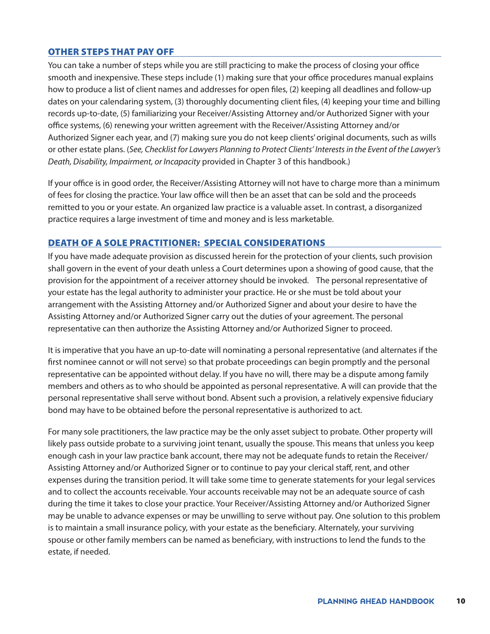#### <span id="page-9-0"></span>OTHER STEPS THAT PAY OFF

You can take a number of steps while you are still practicing to make the process of closing your office smooth and inexpensive. These steps include (1) making sure that your office procedures manual explains how to produce a list of client names and addresses for open files, (2) keeping all deadlines and follow-up dates on your calendaring system, (3) thoroughly documenting client files, (4) keeping your time and billing records up-to-date, (5) familiarizing your Receiver/Assisting Attorney and/or Authorized Signer with your office systems, (6) renewing your written agreement with the Receiver/Assisting Attorney and/or Authorized Signer each year, and (7) making sure you do not keep clients' original documents, such as wills or other estate plans. (*See, Checklist for Lawyers Planning to Protect Clients' Interests in the Event of the Lawyer's Death, Disability, Impairment, or Incapacity* provided in Chapter 3 of this handbook.)

If your office is in good order, the Receiver/Assisting Attorney will not have to charge more than a minimum of fees for closing the practice. Your law office will then be an asset that can be sold and the proceeds remitted to you or your estate. An organized law practice is a valuable asset. In contrast, a disorganized practice requires a large investment of time and money and is less marketable.

#### <span id="page-9-1"></span>DEATH OF A SOLE PRACTITIONER: SPECIAL CONSIDERATIONS

If you have made adequate provision as discussed herein for the protection of your clients, such provision shall govern in the event of your death unless a Court determines upon a showing of good cause, that the provision for the appointment of a receiver attorney should be invoked. The personal representative of your estate has the legal authority to administer your practice. He or she must be told about your arrangement with the Assisting Attorney and/or Authorized Signer and about your desire to have the Assisting Attorney and/or Authorized Signer carry out the duties of your agreement. The personal representative can then authorize the Assisting Attorney and/or Authorized Signer to proceed.

It is imperative that you have an up-to-date will nominating a personal representative (and alternates if the first nominee cannot or will not serve) so that probate proceedings can begin promptly and the personal representative can be appointed without delay. If you have no will, there may be a dispute among family members and others as to who should be appointed as personal representative. A will can provide that the personal representative shall serve without bond. Absent such a provision, a relatively expensive fiduciary bond may have to be obtained before the personal representative is authorized to act.

For many sole practitioners, the law practice may be the only asset subject to probate. Other property will likely pass outside probate to a surviving joint tenant, usually the spouse. This means that unless you keep enough cash in your law practice bank account, there may not be adequate funds to retain the Receiver/ Assisting Attorney and/or Authorized Signer or to continue to pay your clerical staff, rent, and other expenses during the transition period. It will take some time to generate statements for your legal services and to collect the accounts receivable. Your accounts receivable may not be an adequate source of cash during the time it takes to close your practice. Your Receiver/Assisting Attorney and/or Authorized Signer may be unable to advance expenses or may be unwilling to serve without pay. One solution to this problem is to maintain a small insurance policy, with your estate as the beneficiary. Alternately, your surviving spouse or other family members can be named as beneficiary, with instructions to lend the funds to the estate, if needed.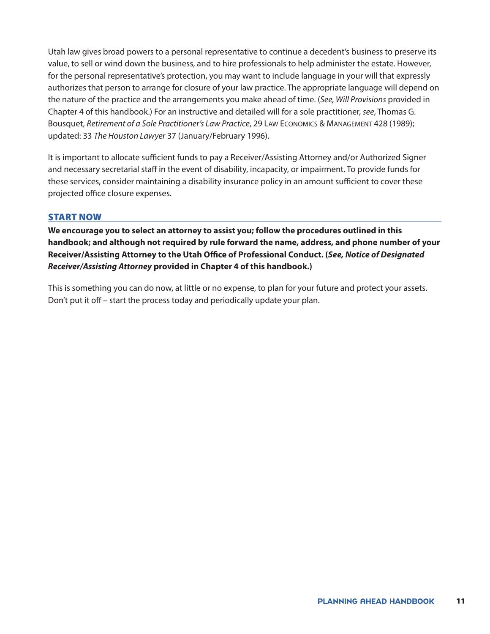Utah law gives broad powers to a personal representative to continue a decedent's business to preserve its value, to sell or wind down the business, and to hire professionals to help administer the estate. However, for the personal representative's protection, you may want to include language in your will that expressly authorizes that person to arrange for closure of your law practice. The appropriate language will depend on the nature of the practice and the arrangements you make ahead of time. (*See, Will Provisions* provided in Chapter 4 of this handbook.) For an instructive and detailed will for a sole practitioner, *see*, Thomas G. Bousquet, *Retirement of a Sole Practitioner's Law Practice*, 29 Law Economics & Management 428 (1989); updated: 33 *The Houston Lawyer* 37 (January/February 1996).

It is important to allocate sufficient funds to pay a Receiver/Assisting Attorney and/or Authorized Signer and necessary secretarial staff in the event of disability, incapacity, or impairment. To provide funds for these services, consider maintaining a disability insurance policy in an amount sufficient to cover these projected office closure expenses.

#### <span id="page-10-0"></span>START NOW

**We encourage you to select an attorney to assist you; follow the procedures outlined in this handbook; and although not required by rule forward the name, address, and phone number of your Receiver/Assisting Attorney to the Utah Office of Professional Conduct. (***See, Notice of Designated Receiver/Assisting Attorney* **provided in Chapter 4 of this handbook.)**

This is something you can do now, at little or no expense, to plan for your future and protect your assets. Don't put it off – start the process today and periodically update your plan.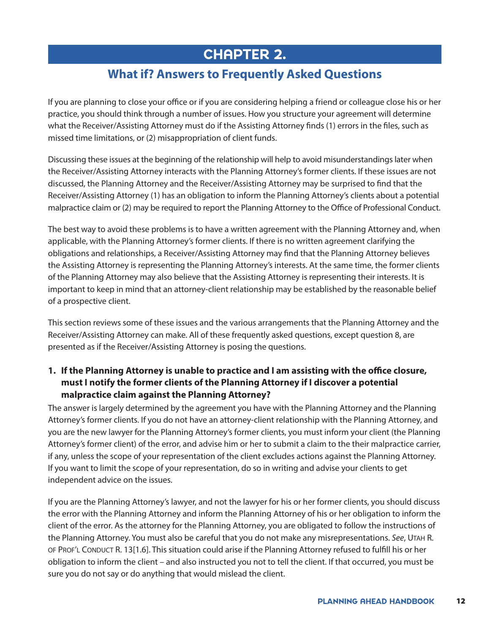# <span id="page-11-0"></span>CHAPTER 2.

## **What if? Answers to Frequently Asked Questions**

If you are planning to close your office or if you are considering helping a friend or colleague close his or her practice, you should think through a number of issues. How you structure your agreement will determine what the Receiver/Assisting Attorney must do if the Assisting Attorney finds (1) errors in the files, such as missed time limitations, or (2) misappropriation of client funds.

Discussing these issues at the beginning of the relationship will help to avoid misunderstandings later when the Receiver/Assisting Attorney interacts with the Planning Attorney's former clients. If these issues are not discussed, the Planning Attorney and the Receiver/Assisting Attorney may be surprised to find that the Receiver/Assisting Attorney (1) has an obligation to inform the Planning Attorney's clients about a potential malpractice claim or (2) may be required to report the Planning Attorney to the Office of Professional Conduct.

The best way to avoid these problems is to have a written agreement with the Planning Attorney and, when applicable, with the Planning Attorney's former clients. If there is no written agreement clarifying the obligations and relationships, a Receiver/Assisting Attorney may find that the Planning Attorney believes the Assisting Attorney is representing the Planning Attorney's interests. At the same time, the former clients of the Planning Attorney may also believe that the Assisting Attorney is representing their interests. It is important to keep in mind that an attorney-client relationship may be established by the reasonable belief of a prospective client.

This section reviews some of these issues and the various arrangements that the Planning Attorney and the Receiver/Assisting Attorney can make. All of these frequently asked questions, except question 8, are presented as if the Receiver/Assisting Attorney is posing the questions.

#### **1. If the Planning Attorney is unable to practice and I am assisting with the office closure, must I notify the former clients of the Planning Attorney if I discover a potential malpractice claim against the Planning Attorney?**

The answer is largely determined by the agreement you have with the Planning Attorney and the Planning Attorney's former clients. If you do not have an attorney-client relationship with the Planning Attorney, and you are the new lawyer for the Planning Attorney's former clients, you must inform your client (the Planning Attorney's former client) of the error, and advise him or her to submit a claim to the their malpractice carrier, if any, unless the scope of your representation of the client excludes actions against the Planning Attorney. If you want to limit the scope of your representation, do so in writing and advise your clients to get independent advice on the issues.

If you are the Planning Attorney's lawyer, and not the lawyer for his or her former clients, you should discuss the error with the Planning Attorney and inform the Planning Attorney of his or her obligation to inform the client of the error. As the attorney for the Planning Attorney, you are obligated to follow the instructions of the Planning Attorney. You must also be careful that you do not make any misrepresentations. *See*, Utah R. OF PROF'L CONDUCT R. 13[1.6]. This situation could arise if the Planning Attorney refused to fulfill his or her obligation to inform the client – and also instructed you not to tell the client. If that occurred, you must be sure you do not say or do anything that would mislead the client.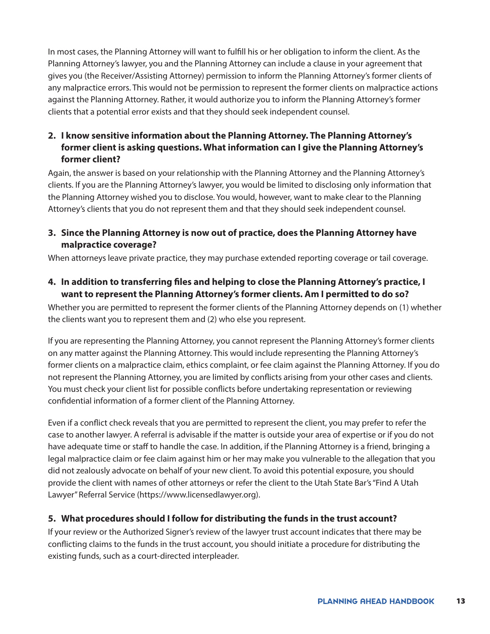In most cases, the Planning Attorney will want to fulfill his or her obligation to inform the client. As the Planning Attorney's lawyer, you and the Planning Attorney can include a clause in your agreement that gives you (the Receiver/Assisting Attorney) permission to inform the Planning Attorney's former clients of any malpractice errors. This would not be permission to represent the former clients on malpractice actions against the Planning Attorney. Rather, it would authorize you to inform the Planning Attorney's former clients that a potential error exists and that they should seek independent counsel.

#### **2. I know sensitive information about the Planning Attorney. The Planning Attorney's former client is asking questions. What information can I give the Planning Attorney's former client?**

Again, the answer is based on your relationship with the Planning Attorney and the Planning Attorney's clients. If you are the Planning Attorney's lawyer, you would be limited to disclosing only information that the Planning Attorney wished you to disclose. You would, however, want to make clear to the Planning Attorney's clients that you do not represent them and that they should seek independent counsel.

#### **3. Since the Planning Attorney is now out of practice, does the Planning Attorney have malpractice coverage?**

When attorneys leave private practice, they may purchase extended reporting coverage or tail coverage.

#### **4. In addition to transferring files and helping to close the Planning Attorney's practice, I want to represent the Planning Attorney's former clients. Am I permitted to do so?**

Whether you are permitted to represent the former clients of the Planning Attorney depends on (1) whether the clients want you to represent them and (2) who else you represent.

If you are representing the Planning Attorney, you cannot represent the Planning Attorney's former clients on any matter against the Planning Attorney. This would include representing the Planning Attorney's former clients on a malpractice claim, ethics complaint, or fee claim against the Planning Attorney. If you do not represent the Planning Attorney, you are limited by conflicts arising from your other cases and clients. You must check your client list for possible conflicts before undertaking representation or reviewing confidential information of a former client of the Planning Attorney.

Even if a conflict check reveals that you are permitted to represent the client, you may prefer to refer the case to another lawyer. A referral is advisable if the matter is outside your area of expertise or if you do not have adequate time or staff to handle the case. In addition, if the Planning Attorney is a friend, bringing a legal malpractice claim or fee claim against him or her may make you vulnerable to the allegation that you did not zealously advocate on behalf of your new client. To avoid this potential exposure, you should provide the client with names of other attorneys or refer the client to the Utah State Bar's "Find A Utah Lawyer" Referral Service [\(https://www.licensedlawyer.org\)](https://www.licensedlawyer.org).

#### **5. What procedures should I follow for distributing the funds in the trust account?**

If your review or the Authorized Signer's review of the lawyer trust account indicates that there may be conflicting claims to the funds in the trust account, you should initiate a procedure for distributing the existing funds, such as a court-directed interpleader.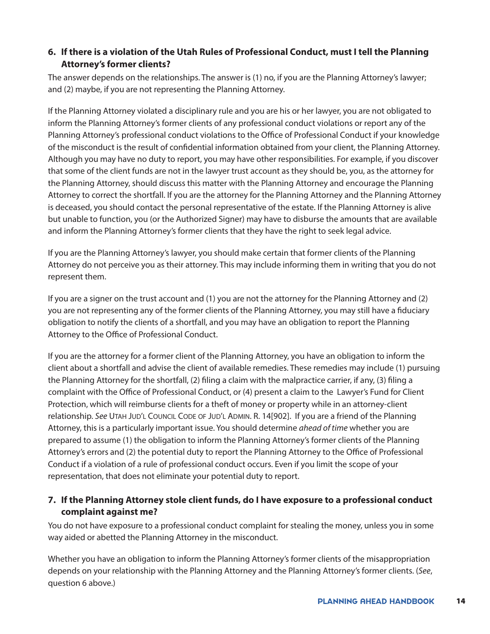#### **6. If there is a violation of the Utah Rules of Professional Conduct, must I tell the Planning Attorney's former clients?**

The answer depends on the relationships. The answer is (1) no, if you are the Planning Attorney's lawyer; and (2) maybe, if you are not representing the Planning Attorney.

If the Planning Attorney violated a disciplinary rule and you are his or her lawyer, you are not obligated to inform the Planning Attorney's former clients of any professional conduct violations or report any of the Planning Attorney's professional conduct violations to the Office of Professional Conduct if your knowledge of the misconduct is the result of confidential information obtained from your client, the Planning Attorney. Although you may have no duty to report, you may have other responsibilities. For example, if you discover that some of the client funds are not in the lawyer trust account as they should be, you, as the attorney for the Planning Attorney, should discuss this matter with the Planning Attorney and encourage the Planning Attorney to correct the shortfall. If you are the attorney for the Planning Attorney and the Planning Attorney is deceased, you should contact the personal representative of the estate. If the Planning Attorney is alive but unable to function, you (or the Authorized Signer) may have to disburse the amounts that are available and inform the Planning Attorney's former clients that they have the right to seek legal advice.

If you are the Planning Attorney's lawyer, you should make certain that former clients of the Planning Attorney do not perceive you as their attorney. This may include informing them in writing that you do not represent them.

If you are a signer on the trust account and (1) you are not the attorney for the Planning Attorney and (2) you are not representing any of the former clients of the Planning Attorney, you may still have a fiduciary obligation to notify the clients of a shortfall, and you may have an obligation to report the Planning Attorney to the Office of Professional Conduct.

If you are the attorney for a former client of the Planning Attorney, you have an obligation to inform the client about a shortfall and advise the client of available remedies. These remedies may include (1) pursuing the Planning Attorney for the shortfall, (2) filing a claim with the malpractice carrier, if any, (3) filing a complaint with the Office of Professional Conduct, or (4) present a claim to the Lawyer's Fund for Client Protection, which will reimburse clients for a theft of money or property while in an attorney-client relationship. *See* Utah Jud'l Council Code of Jud'l Admin. R. 14[902]. If you are a friend of the Planning Attorney, this is a particularly important issue. You should determine *ahead of time* whether you are prepared to assume (1) the obligation to inform the Planning Attorney's former clients of the Planning Attorney's errors and (2) the potential duty to report the Planning Attorney to the Office of Professional Conduct if a violation of a rule of professional conduct occurs. Even if you limit the scope of your representation, that does not eliminate your potential duty to report.

#### **7. If the Planning Attorney stole client funds, do I have exposure to a professional conduct complaint against me?**

You do not have exposure to a professional conduct complaint for stealing the money, unless you in some way aided or abetted the Planning Attorney in the misconduct.

Whether you have an obligation to inform the Planning Attorney's former clients of the misappropriation depends on your relationship with the Planning Attorney and the Planning Attorney's former clients. (*See*, question 6 above.)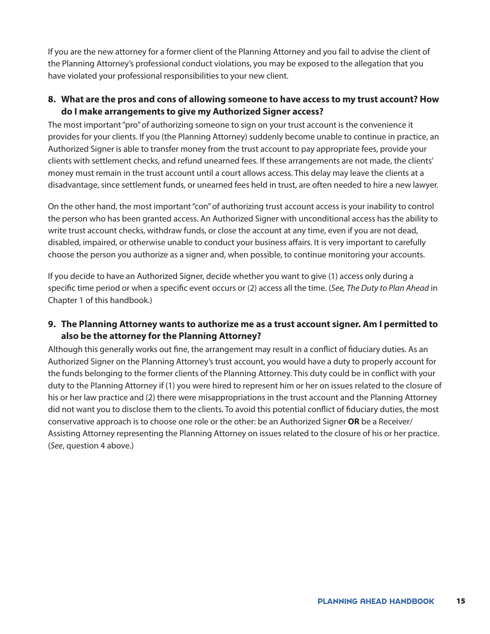If you are the new attorney for a former client of the Planning Attorney and you fail to advise the client of the Planning Attorney's professional conduct violations, you may be exposed to the allegation that you have violated your professional responsibilities to your new client.

#### **8. What are the pros and cons of allowing someone to have access to my trust account? How do I make arrangements to give my Authorized Signer access?**

The most important "pro" of authorizing someone to sign on your trust account is the convenience it provides for your clients. If you (the Planning Attorney) suddenly become unable to continue in practice, an Authorized Signer is able to transfer money from the trust account to pay appropriate fees, provide your clients with settlement checks, and refund unearned fees. If these arrangements are not made, the clients' money must remain in the trust account until a court allows access. This delay may leave the clients at a disadvantage, since settlement funds, or unearned fees held in trust, are often needed to hire a new lawyer.

On the other hand, the most important "con" of authorizing trust account access is your inability to control the person who has been granted access. An Authorized Signer with unconditional access has the ability to write trust account checks, withdraw funds, or close the account at any time, even if you are not dead, disabled, impaired, or otherwise unable to conduct your business affairs. It is very important to carefully choose the person you authorize as a signer and, when possible, to continue monitoring your accounts.

If you decide to have an Authorized Signer, decide whether you want to give (1) access only during a specific time period or when a specific event occurs or (2) access all the time. (*See, The Duty to Plan Ahead* in Chapter 1 of this handbook.)

#### **9. The Planning Attorney wants to authorize me as a trust account signer. Am I permitted to also be the attorney for the Planning Attorney?**

Although this generally works out fine, the arrangement may result in a conflict of fiduciary duties. As an Authorized Signer on the Planning Attorney's trust account, you would have a duty to properly account for the funds belonging to the former clients of the Planning Attorney. This duty could be in conflict with your duty to the Planning Attorney if (1) you were hired to represent him or her on issues related to the closure of his or her law practice and (2) there were misappropriations in the trust account and the Planning Attorney did not want you to disclose them to the clients. To avoid this potential conflict of fiduciary duties, the most conservative approach is to choose one role or the other: be an Authorized Signer **OR** be a Receiver/ Assisting Attorney representing the Planning Attorney on issues related to the closure of his or her practice. (*See*, question 4 above.)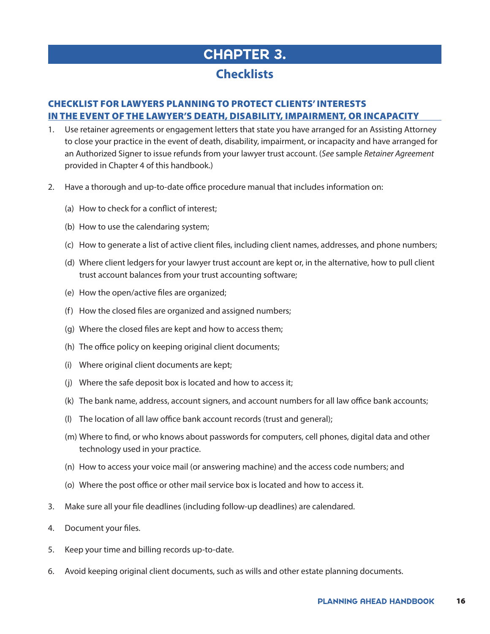# CHAPTER 3.

### <span id="page-15-0"></span>**Checklists**

#### CHECKLIST FOR LAWYERS PLANNING TO PROTECT CLIENTS' INTERESTS IN THE EVENT OF THE LAWYER'S DEATH, DISABILITY, IMPAIRMENT, OR INCAPACITY

- 1. Use retainer agreements or engagement letters that state you have arranged for an Assisting Attorney to close your practice in the event of death, disability, impairment, or incapacity and have arranged for an Authorized Signer to issue refunds from your lawyer trust account. (*See* sample *Retainer Agreement* provided in Chapter 4 of this handbook.)
- 2. Have a thorough and up-to-date office procedure manual that includes information on:
	- (a) How to check for a conflict of interest;
	- (b) How to use the calendaring system;
	- (c) How to generate a list of active client files, including client names, addresses, and phone numbers;
	- (d) Where client ledgers for your lawyer trust account are kept or, in the alternative, how to pull client trust account balances from your trust accounting software;
	- (e) How the open/active files are organized;
	- (f) How the closed files are organized and assigned numbers;
	- (g) Where the closed files are kept and how to access them;
	- (h) The office policy on keeping original client documents;
	- (i) Where original client documents are kept;
	- (j) Where the safe deposit box is located and how to access it;
	- (k) The bank name, address, account signers, and account numbers for all law office bank accounts;
	- (l) The location of all law office bank account records (trust and general);
	- (m) Where to find, or who knows about passwords for computers, cell phones, digital data and other technology used in your practice.
	- (n) How to access your voice mail (or answering machine) and the access code numbers; and
	- (o) Where the post office or other mail service box is located and how to access it.
- 3. Make sure all your file deadlines (including follow-up deadlines) are calendared.
- 4. Document your files.
- 5. Keep your time and billing records up-to-date.
- 6. Avoid keeping original client documents, such as wills and other estate planning documents.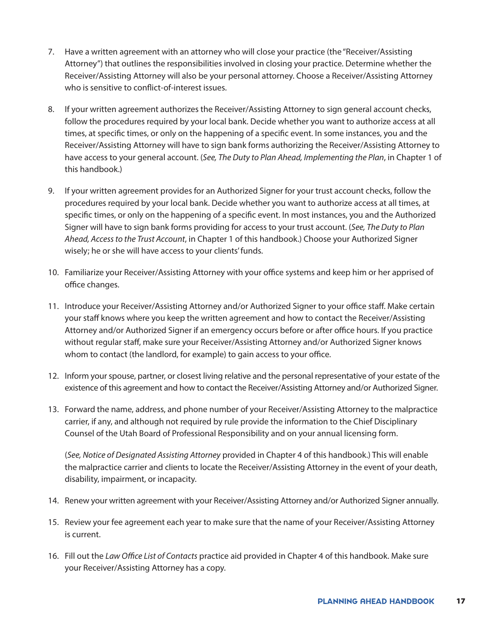- 7. Have a written agreement with an attorney who will close your practice (the "Receiver/Assisting Attorney") that outlines the responsibilities involved in closing your practice. Determine whether the Receiver/Assisting Attorney will also be your personal attorney. Choose a Receiver/Assisting Attorney who is sensitive to conflict-of-interest issues.
- 8. If your written agreement authorizes the Receiver/Assisting Attorney to sign general account checks, follow the procedures required by your local bank. Decide whether you want to authorize access at all times, at specific times, or only on the happening of a specific event. In some instances, you and the Receiver/Assisting Attorney will have to sign bank forms authorizing the Receiver/Assisting Attorney to have access to your general account. (*See, The Duty to Plan Ahead, Implementing the Plan*, in Chapter 1 of this handbook.)
- 9. If your written agreement provides for an Authorized Signer for your trust account checks, follow the procedures required by your local bank. Decide whether you want to authorize access at all times, at specific times, or only on the happening of a specific event. In most instances, you and the Authorized Signer will have to sign bank forms providing for access to your trust account. (*See, The Duty to Plan Ahead, Access to the Trust Account*, in Chapter 1 of this handbook.) Choose your Authorized Signer wisely; he or she will have access to your clients' funds.
- 10. Familiarize your Receiver/Assisting Attorney with your office systems and keep him or her apprised of office changes.
- 11. Introduce your Receiver/Assisting Attorney and/or Authorized Signer to your office staff. Make certain your staff knows where you keep the written agreement and how to contact the Receiver/Assisting Attorney and/or Authorized Signer if an emergency occurs before or after office hours. If you practice without regular staff, make sure your Receiver/Assisting Attorney and/or Authorized Signer knows whom to contact (the landlord, for example) to gain access to your office.
- 12. Inform your spouse, partner, or closest living relative and the personal representative of your estate of the existence of this agreement and how to contact the Receiver/Assisting Attorney and/or Authorized Signer.
- 13. Forward the name, address, and phone number of your Receiver/Assisting Attorney to the malpractice carrier, if any, and although not required by rule provide the information to the Chief Disciplinary Counsel of the Utah Board of Professional Responsibility and on your annual licensing form.

(*See, Notice of Designated Assisting Attorney* provided in Chapter 4 of this handbook.) This will enable the malpractice carrier and clients to locate the Receiver/Assisting Attorney in the event of your death, disability, impairment, or incapacity.

- 14. Renew your written agreement with your Receiver/Assisting Attorney and/or Authorized Signer annually.
- 15. Review your fee agreement each year to make sure that the name of your Receiver/Assisting Attorney is current.
- 16. Fill out the *Law Office List of Contacts* practice aid provided in Chapter 4 of this handbook. Make sure your Receiver/Assisting Attorney has a copy.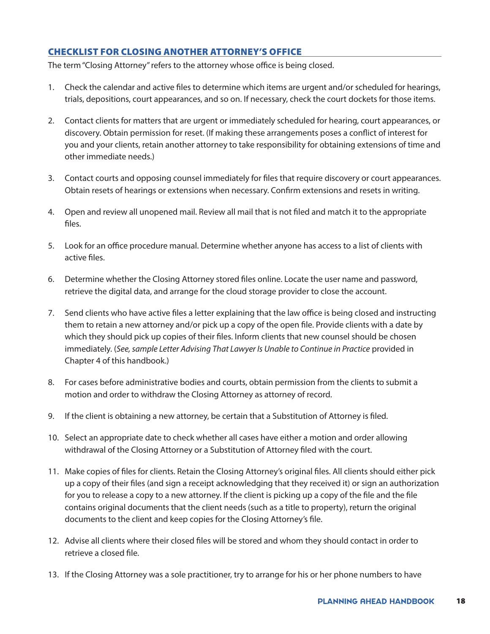#### CHECKLIST FOR CLOSING ANOTHER ATTORNEY'S OFFICE

The term "Closing Attorney" refers to the attorney whose office is being closed.

- 1. Check the calendar and active files to determine which items are urgent and/or scheduled for hearings, trials, depositions, court appearances, and so on. If necessary, check the court dockets for those items.
- 2. Contact clients for matters that are urgent or immediately scheduled for hearing, court appearances, or discovery. Obtain permission for reset. (If making these arrangements poses a conflict of interest for you and your clients, retain another attorney to take responsibility for obtaining extensions of time and other immediate needs.)
- 3. Contact courts and opposing counsel immediately for files that require discovery or court appearances. Obtain resets of hearings or extensions when necessary. Confirm extensions and resets in writing.
- 4. Open and review all unopened mail. Review all mail that is not filed and match it to the appropriate files.
- 5. Look for an office procedure manual. Determine whether anyone has access to a list of clients with active files.
- 6. Determine whether the Closing Attorney stored files online. Locate the user name and password, retrieve the digital data, and arrange for the cloud storage provider to close the account.
- 7. Send clients who have active files a letter explaining that the law office is being closed and instructing them to retain a new attorney and/or pick up a copy of the open file. Provide clients with a date by which they should pick up copies of their files. Inform clients that new counsel should be chosen immediately. (*See, sample Letter Advising That Lawyer Is Unable to Continue in Practice* provided in Chapter 4 of this handbook.)
- 8. For cases before administrative bodies and courts, obtain permission from the clients to submit a motion and order to withdraw the Closing Attorney as attorney of record.
- 9. If the client is obtaining a new attorney, be certain that a Substitution of Attorney is filed.
- 10. Select an appropriate date to check whether all cases have either a motion and order allowing withdrawal of the Closing Attorney or a Substitution of Attorney filed with the court.
- 11. Make copies of files for clients. Retain the Closing Attorney's original files. All clients should either pick up a copy of their files (and sign a receipt acknowledging that they received it) or sign an authorization for you to release a copy to a new attorney. If the client is picking up a copy of the file and the file contains original documents that the client needs (such as a title to property), return the original documents to the client and keep copies for the Closing Attorney's file.
- 12. Advise all clients where their closed files will be stored and whom they should contact in order to retrieve a closed file.
- 13. If the Closing Attorney was a sole practitioner, try to arrange for his or her phone numbers to have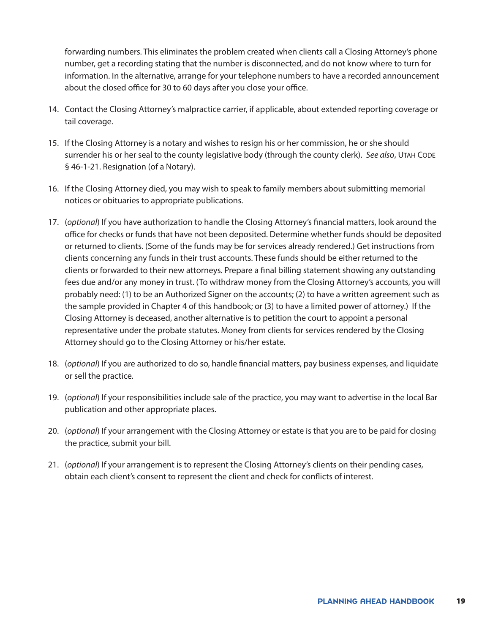forwarding numbers. This eliminates the problem created when clients call a Closing Attorney's phone number, get a recording stating that the number is disconnected, and do not know where to turn for information. In the alternative, arrange for your telephone numbers to have a recorded announcement about the closed office for 30 to 60 days after you close your office.

- 14. Contact the Closing Attorney's malpractice carrier, if applicable, about extended reporting coverage or tail coverage.
- 15. If the Closing Attorney is a notary and wishes to resign his or her commission, he or she should surrender his or her seal to the county legislative body (through the county clerk). *See also*, Utah Code § 46-1-21. Resignation (of a Notary).
- 16. If the Closing Attorney died, you may wish to speak to family members about submitting memorial notices or obituaries to appropriate publications.
- 17. (*optional*) If you have authorization to handle the Closing Attorney's financial matters, look around the office for checks or funds that have not been deposited. Determine whether funds should be deposited or returned to clients. (Some of the funds may be for services already rendered.) Get instructions from clients concerning any funds in their trust accounts. These funds should be either returned to the clients or forwarded to their new attorneys. Prepare a final billing statement showing any outstanding fees due and/or any money in trust. (To withdraw money from the Closing Attorney's accounts, you will probably need: (1) to be an Authorized Signer on the accounts; (2) to have a written agreement such as the sample provided in Chapter 4 of this handbook; or (3) to have a limited power of attorney.) If the Closing Attorney is deceased, another alternative is to petition the court to appoint a personal representative under the probate statutes. Money from clients for services rendered by the Closing Attorney should go to the Closing Attorney or his/her estate.
- 18. (*optional*) If you are authorized to do so, handle financial matters, pay business expenses, and liquidate or sell the practice.
- 19. (*optional*) If your responsibilities include sale of the practice, you may want to advertise in the local Bar publication and other appropriate places.
- 20. (*optional*) If your arrangement with the Closing Attorney or estate is that you are to be paid for closing the practice, submit your bill.
- 21. (*optional*) If your arrangement is to represent the Closing Attorney's clients on their pending cases, obtain each client's consent to represent the client and check for conflicts of interest.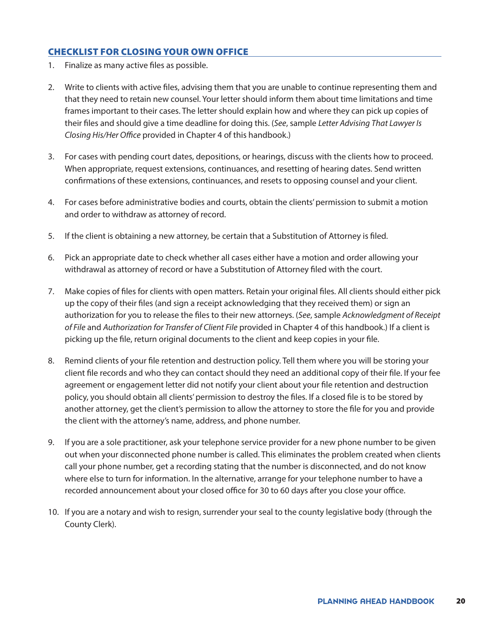#### <span id="page-19-0"></span>CHECKLIST FOR CLOSING YOUR OWN OFFICE

- 1. Finalize as many active files as possible.
- 2. Write to clients with active files, advising them that you are unable to continue representing them and that they need to retain new counsel. Your letter should inform them about time limitations and time frames important to their cases. The letter should explain how and where they can pick up copies of their files and should give a time deadline for doing this. (*See*, sample *Letter Advising That Lawyer Is Closing His/Her Office* provided in Chapter 4 of this handbook.)
- 3. For cases with pending court dates, depositions, or hearings, discuss with the clients how to proceed. When appropriate, request extensions, continuances, and resetting of hearing dates. Send written confirmations of these extensions, continuances, and resets to opposing counsel and your client.
- 4. For cases before administrative bodies and courts, obtain the clients' permission to submit a motion and order to withdraw as attorney of record.
- 5. If the client is obtaining a new attorney, be certain that a Substitution of Attorney is filed.
- 6. Pick an appropriate date to check whether all cases either have a motion and order allowing your withdrawal as attorney of record or have a Substitution of Attorney filed with the court.
- 7. Make copies of files for clients with open matters. Retain your original files. All clients should either pick up the copy of their files (and sign a receipt acknowledging that they received them) or sign an authorization for you to release the files to their new attorneys. (*See*, sample *Acknowledgment of Receipt of File* and *Authorization for Transfer of Client File* provided in Chapter 4 of this handbook.) If a client is picking up the file, return original documents to the client and keep copies in your file.
- 8. Remind clients of your file retention and destruction policy. Tell them where you will be storing your client file records and who they can contact should they need an additional copy of their file. If your fee agreement or engagement letter did not notify your client about your file retention and destruction policy, you should obtain all clients' permission to destroy the files. If a closed file is to be stored by another attorney, get the client's permission to allow the attorney to store the file for you and provide the client with the attorney's name, address, and phone number.
- 9. If you are a sole practitioner, ask your telephone service provider for a new phone number to be given out when your disconnected phone number is called. This eliminates the problem created when clients call your phone number, get a recording stating that the number is disconnected, and do not know where else to turn for information. In the alternative, arrange for your telephone number to have a recorded announcement about your closed office for 30 to 60 days after you close your office.
- 10. If you are a notary and wish to resign, surrender your seal to the county legislative body (through the County Clerk).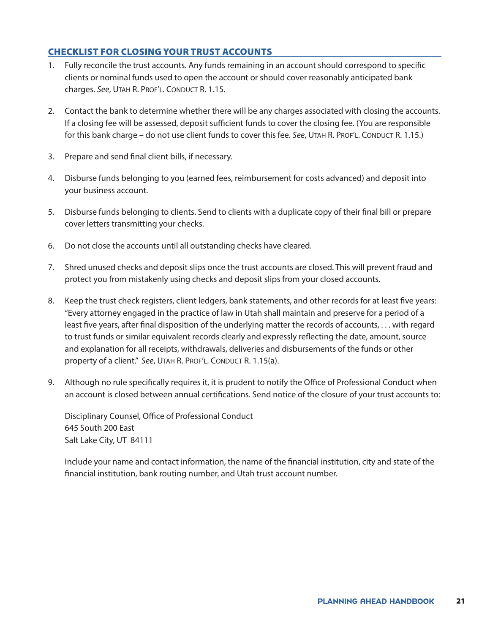#### <span id="page-20-0"></span>CHECKLIST FOR CLOSING YOUR TRUST ACCOUNTS

- 1. Fully reconcile the trust accounts. Any funds remaining in an account should correspond to specific clients or nominal funds used to open the account or should cover reasonably anticipated bank charges. See, UTAH R. PROF'L. CONDUCT R. 1.15.
- 2. Contact the bank to determine whether there will be any charges associated with closing the accounts. If a closing fee will be assessed, deposit sufficient funds to cover the closing fee. (You are responsible for this bank charge – do not use client funds to cover this fee. *See*, UTAH R. PROF'L. CONDUCT R. 1.15.)
- 3. Prepare and send final client bills, if necessary.
- 4. Disburse funds belonging to you (earned fees, reimbursement for costs advanced) and deposit into your business account.
- 5. Disburse funds belonging to clients. Send to clients with a duplicate copy of their final bill or prepare cover letters transmitting your checks.
- 6. Do not close the accounts until all outstanding checks have cleared.
- 7. Shred unused checks and deposit slips once the trust accounts are closed. This will prevent fraud and protect you from mistakenly using checks and deposit slips from your closed accounts.
- 8. Keep the trust check registers, client ledgers, bank statements, and other records for at least five years: "Every attorney engaged in the practice of law in Utah shall maintain and preserve for a period of a least five years, after final disposition of the underlying matter the records of accounts, . . . with regard to trust funds or similar equivalent records clearly and expressly reflecting the date, amount, source and explanation for all receipts, withdrawals, deliveries and disbursements of the funds or other property of a client." See, UTAH R. PROF'L. CONDUCT R. 1.15(a).
- 9. Although no rule specifically requires it, it is prudent to notify the Office of Professional Conduct when an account is closed between annual certifications. Send notice of the closure of your trust accounts to:

Disciplinary Counsel, Office of Professional Conduct 645 South 200 East Salt Lake City, UT 84111

Include your name and contact information, the name of the financial institution, city and state of the financial institution, bank routing number, and Utah trust account number.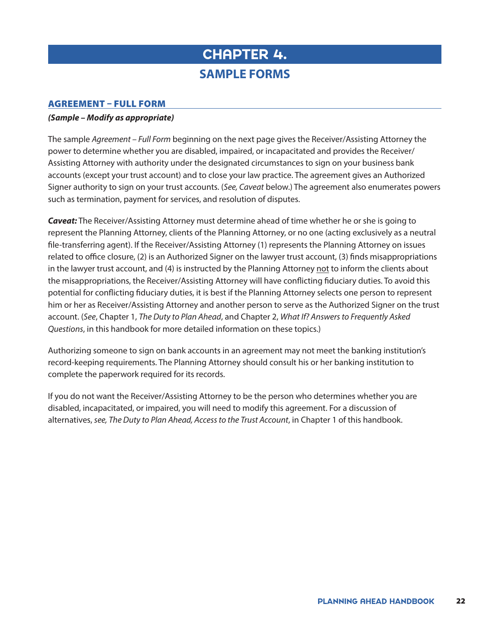# <span id="page-21-0"></span>CHAPTER 4. **SAMPLE FORMS**

#### <span id="page-21-1"></span>AGREEMENT – FULL FORM

#### *(Sample – Modify as appropriate)*

The sample *Agreement – Full Form* beginning on the next page gives the Receiver/Assisting Attorney the power to determine whether you are disabled, impaired, or incapacitated and provides the Receiver/ Assisting Attorney with authority under the designated circumstances to sign on your business bank accounts (except your trust account) and to close your law practice. The agreement gives an Authorized Signer authority to sign on your trust accounts. (*See, Caveat* below.) The agreement also enumerates powers such as termination, payment for services, and resolution of disputes.

*Caveat:* The Receiver/Assisting Attorney must determine ahead of time whether he or she is going to represent the Planning Attorney, clients of the Planning Attorney, or no one (acting exclusively as a neutral file-transferring agent). If the Receiver/Assisting Attorney (1) represents the Planning Attorney on issues related to office closure, (2) is an Authorized Signer on the lawyer trust account, (3) finds misappropriations in the lawyer trust account, and (4) is instructed by the Planning Attorney not to inform the clients about the misappropriations, the Receiver/Assisting Attorney will have conflicting fiduciary duties. To avoid this potential for conflicting fiduciary duties, it is best if the Planning Attorney selects one person to represent him or her as Receiver/Assisting Attorney and another person to serve as the Authorized Signer on the trust account. (*See*, Chapter 1, *The Duty to Plan Ahead*, and Chapter 2, *What If? Answers to Frequently Asked Questions*, in this handbook for more detailed information on these topics.)

Authorizing someone to sign on bank accounts in an agreement may not meet the banking institution's record-keeping requirements. The Planning Attorney should consult his or her banking institution to complete the paperwork required for its records.

If you do not want the Receiver/Assisting Attorney to be the person who determines whether you are disabled, incapacitated, or impaired, you will need to modify this agreement. For a discussion of alternatives, *see, The Duty to Plan Ahead, Access to the Trust Account*, in Chapter 1 of this handbook.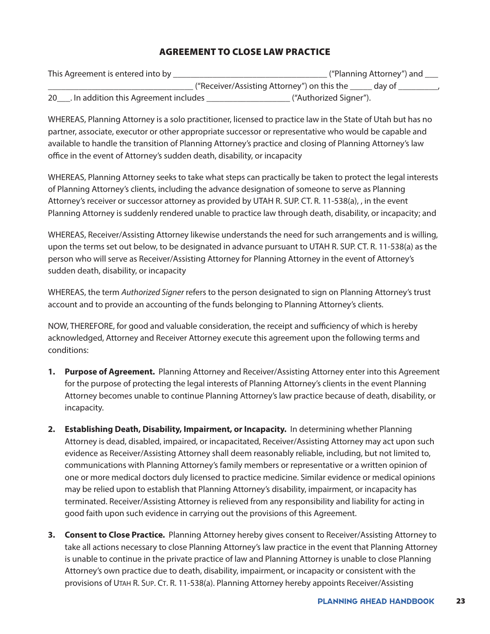#### AGREEMENT TO CLOSE LAW PRACTICE

| This Agreement is entered into by           | . ("Planning Attorney") and                           |
|---------------------------------------------|-------------------------------------------------------|
|                                             | ("Receiver/Assisting Attorney") on this the<br>day of |
| . In addition this Agreement includes<br>20 | ("Authorized Signer").                                |

WHEREAS, Planning Attorney is a solo practitioner, licensed to practice law in the State of Utah but has no partner, associate, executor or other appropriate successor or representative who would be capable and available to handle the transition of Planning Attorney's practice and closing of Planning Attorney's law office in the event of Attorney's sudden death, disability, or incapacity

WHEREAS, Planning Attorney seeks to take what steps can practically be taken to protect the legal interests of Planning Attorney's clients, including the advance designation of someone to serve as Planning Attorney's receiver or successor attorney as provided by UTAH R. SUP. CT. R. 11-538(a), , in the event Planning Attorney is suddenly rendered unable to practice law through death, disability, or incapacity; and

WHEREAS, Receiver/Assisting Attorney likewise understands the need for such arrangements and is willing, upon the terms set out below, to be designated in advance pursuant to UTAH R. SUP. CT. R. 11-538(a) as the person who will serve as Receiver/Assisting Attorney for Planning Attorney in the event of Attorney's sudden death, disability, or incapacity

WHEREAS, the term *Authorized Signer* refers to the person designated to sign on Planning Attorney's trust account and to provide an accounting of the funds belonging to Planning Attorney's clients.

NOW, THEREFORE, for good and valuable consideration, the receipt and sufficiency of which is hereby acknowledged, Attorney and Receiver Attorney execute this agreement upon the following terms and conditions:

- **1. Purpose of Agreement.** Planning Attorney and Receiver/Assisting Attorney enter into this Agreement for the purpose of protecting the legal interests of Planning Attorney's clients in the event Planning Attorney becomes unable to continue Planning Attorney's law practice because of death, disability, or incapacity.
- **2. Establishing Death, Disability, Impairment, or Incapacity.** In determining whether Planning Attorney is dead, disabled, impaired, or incapacitated, Receiver/Assisting Attorney may act upon such evidence as Receiver/Assisting Attorney shall deem reasonably reliable, including, but not limited to, communications with Planning Attorney's family members or representative or a written opinion of one or more medical doctors duly licensed to practice medicine. Similar evidence or medical opinions may be relied upon to establish that Planning Attorney's disability, impairment, or incapacity has terminated. Receiver/Assisting Attorney is relieved from any responsibility and liability for acting in good faith upon such evidence in carrying out the provisions of this Agreement.
- **3. Consent to Close Practice.** Planning Attorney hereby gives consent to Receiver/Assisting Attorney to take all actions necessary to close Planning Attorney's law practice in the event that Planning Attorney is unable to continue in the private practice of law and Planning Attorney is unable to close Planning Attorney's own practice due to death, disability, impairment, or incapacity or consistent with the provisions of UTAH R. Sup. CT. R. 11-538(a). Planning Attorney hereby appoints Receiver/Assisting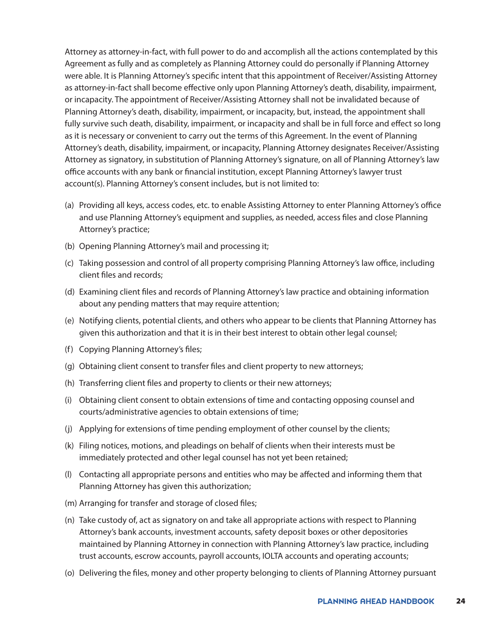Attorney as attorney-in-fact, with full power to do and accomplish all the actions contemplated by this Agreement as fully and as completely as Planning Attorney could do personally if Planning Attorney were able. It is Planning Attorney's specific intent that this appointment of Receiver/Assisting Attorney as attorney-in-fact shall become effective only upon Planning Attorney's death, disability, impairment, or incapacity. The appointment of Receiver/Assisting Attorney shall not be invalidated because of Planning Attorney's death, disability, impairment, or incapacity, but, instead, the appointment shall fully survive such death, disability, impairment, or incapacity and shall be in full force and effect so long as it is necessary or convenient to carry out the terms of this Agreement. In the event of Planning Attorney's death, disability, impairment, or incapacity, Planning Attorney designates Receiver/Assisting Attorney as signatory, in substitution of Planning Attorney's signature, on all of Planning Attorney's law office accounts with any bank or financial institution, except Planning Attorney's lawyer trust account(s). Planning Attorney's consent includes, but is not limited to:

- (a) Providing all keys, access codes, etc. to enable Assisting Attorney to enter Planning Attorney's office and use Planning Attorney's equipment and supplies, as needed, access files and close Planning Attorney's practice;
- (b) Opening Planning Attorney's mail and processing it;
- (c) Taking possession and control of all property comprising Planning Attorney's law office, including client files and records;
- (d) Examining client files and records of Planning Attorney's law practice and obtaining information about any pending matters that may require attention;
- (e) Notifying clients, potential clients, and others who appear to be clients that Planning Attorney has given this authorization and that it is in their best interest to obtain other legal counsel;
- (f) Copying Planning Attorney's files;
- (g) Obtaining client consent to transfer files and client property to new attorneys;
- (h) Transferring client files and property to clients or their new attorneys;
- (i) Obtaining client consent to obtain extensions of time and contacting opposing counsel and courts/administrative agencies to obtain extensions of time;
- (j) Applying for extensions of time pending employment of other counsel by the clients;
- (k) Filing notices, motions, and pleadings on behalf of clients when their interests must be immediately protected and other legal counsel has not yet been retained;
- (l) Contacting all appropriate persons and entities who may be affected and informing them that Planning Attorney has given this authorization;
- (m) Arranging for transfer and storage of closed files;
- (n) Take custody of, act as signatory on and take all appropriate actions with respect to Planning Attorney's bank accounts, investment accounts, safety deposit boxes or other depositories maintained by Planning Attorney in connection with Planning Attorney's law practice, including trust accounts, escrow accounts, payroll accounts, IOLTA accounts and operating accounts;
- (o) Delivering the files, money and other property belonging to clients of Planning Attorney pursuant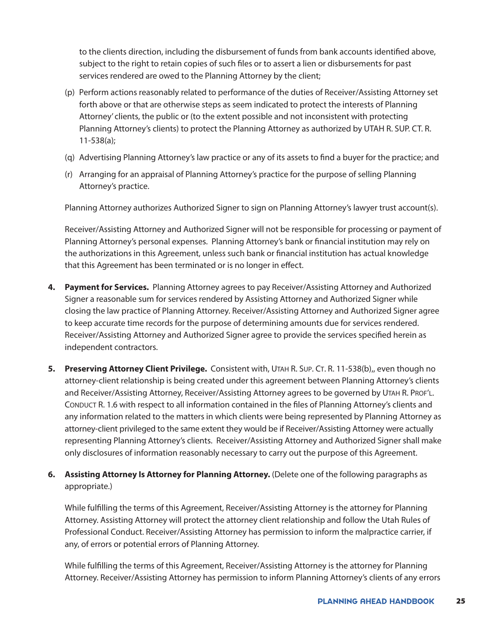to the clients direction, including the disbursement of funds from bank accounts identified above, subject to the right to retain copies of such files or to assert a lien or disbursements for past services rendered are owed to the Planning Attorney by the client;

- (p) Perform actions reasonably related to performance of the duties of Receiver/Assisting Attorney set forth above or that are otherwise steps as seem indicated to protect the interests of Planning Attorney' clients, the public or (to the extent possible and not inconsistent with protecting Planning Attorney's clients) to protect the Planning Attorney as authorized by UTAH R. SUP. CT. R. 11-538(a);
- (q) Advertising Planning Attorney's law practice or any of its assets to find a buyer for the practice; and
- (r) Arranging for an appraisal of Planning Attorney's practice for the purpose of selling Planning Attorney's practice.

Planning Attorney authorizes Authorized Signer to sign on Planning Attorney's lawyer trust account(s).

Receiver/Assisting Attorney and Authorized Signer will not be responsible for processing or payment of Planning Attorney's personal expenses. Planning Attorney's bank or financial institution may rely on the authorizations in this Agreement, unless such bank or financial institution has actual knowledge that this Agreement has been terminated or is no longer in effect.

- **4. Payment for Services.** Planning Attorney agrees to pay Receiver/Assisting Attorney and Authorized Signer a reasonable sum for services rendered by Assisting Attorney and Authorized Signer while closing the law practice of Planning Attorney. Receiver/Assisting Attorney and Authorized Signer agree to keep accurate time records for the purpose of determining amounts due for services rendered. Receiver/Assisting Attorney and Authorized Signer agree to provide the services specified herein as independent contractors.
- **5.** Preserving Attorney Client Privilege. Consistent with, UTAH R. SUP. CT. R. 11-538(b),, even though no attorney-client relationship is being created under this agreement between Planning Attorney's clients and Receiver/Assisting Attorney, Receiver/Assisting Attorney agrees to be governed by Utah R. Prof'l. CONDUCT R. 1.6 with respect to all information contained in the files of Planning Attorney's clients and any information related to the matters in which clients were being represented by Planning Attorney as attorney-client privileged to the same extent they would be if Receiver/Assisting Attorney were actually representing Planning Attorney's clients. Receiver/Assisting Attorney and Authorized Signer shall make only disclosures of information reasonably necessary to carry out the purpose of this Agreement.
- **6. Assisting Attorney Is Attorney for Planning Attorney.** (Delete one of the following paragraphs as appropriate.)

While fulfilling the terms of this Agreement, Receiver/Assisting Attorney is the attorney for Planning Attorney. Assisting Attorney will protect the attorney client relationship and follow the Utah Rules of Professional Conduct. Receiver/Assisting Attorney has permission to inform the malpractice carrier, if any, of errors or potential errors of Planning Attorney.

While fulfilling the terms of this Agreement, Receiver/Assisting Attorney is the attorney for Planning Attorney. Receiver/Assisting Attorney has permission to inform Planning Attorney's clients of any errors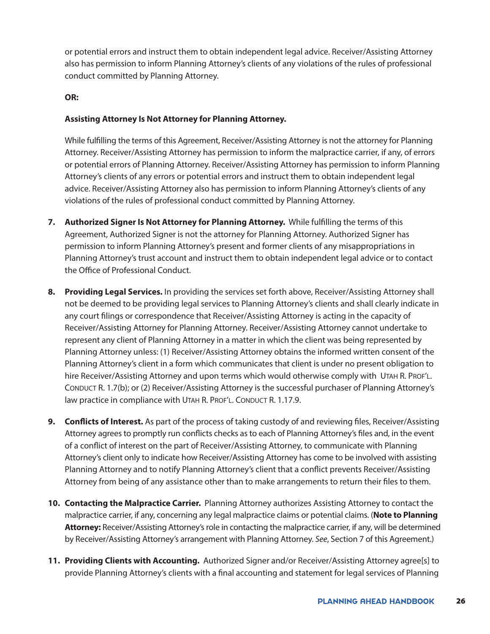or potential errors and instruct them to obtain independent legal advice. Receiver/Assisting Attorney also has permission to inform Planning Attorney's clients of any violations of the rules of professional conduct committed by Planning Attorney.

#### **OR:**

#### **Assisting Attorney Is Not Attorney for Planning Attorney.**

While fulfilling the terms of this Agreement, Receiver/Assisting Attorney is not the attorney for Planning Attorney. Receiver/Assisting Attorney has permission to inform the malpractice carrier, if any, of errors or potential errors of Planning Attorney. Receiver/Assisting Attorney has permission to inform Planning Attorney's clients of any errors or potential errors and instruct them to obtain independent legal advice. Receiver/Assisting Attorney also has permission to inform Planning Attorney's clients of any violations of the rules of professional conduct committed by Planning Attorney.

- **7. Authorized Signer Is Not Attorney for Planning Attorney.** While fulfilling the terms of this Agreement, Authorized Signer is not the attorney for Planning Attorney. Authorized Signer has permission to inform Planning Attorney's present and former clients of any misappropriations in Planning Attorney's trust account and instruct them to obtain independent legal advice or to contact the Office of Professional Conduct.
- **8. Providing Legal Services.** In providing the services set forth above, Receiver/Assisting Attorney shall not be deemed to be providing legal services to Planning Attorney's clients and shall clearly indicate in any court filings or correspondence that Receiver/Assisting Attorney is acting in the capacity of Receiver/Assisting Attorney for Planning Attorney. Receiver/Assisting Attorney cannot undertake to represent any client of Planning Attorney in a matter in which the client was being represented by Planning Attorney unless: (1) Receiver/Assisting Attorney obtains the informed written consent of the Planning Attorney's client in a form which communicates that client is under no present obligation to hire Receiver/Assisting Attorney and upon terms which would otherwise comply with UTAH R. PROF'L. Conduct R. 1.7(b); or (2) Receiver/Assisting Attorney is the successful purchaser of Planning Attorney's law practice in compliance with UTAH R. PROF'L. CONDUCT R. 1.17.9.
- **9. Conflicts of Interest.** As part of the process of taking custody of and reviewing files, Receiver/Assisting Attorney agrees to promptly run conflicts checks as to each of Planning Attorney's files and, in the event of a conflict of interest on the part of Receiver/Assisting Attorney, to communicate with Planning Attorney's client only to indicate how Receiver/Assisting Attorney has come to be involved with assisting Planning Attorney and to notify Planning Attorney's client that a conflict prevents Receiver/Assisting Attorney from being of any assistance other than to make arrangements to return their files to them.
- **10. Contacting the Malpractice Carrier.** Planning Attorney authorizes Assisting Attorney to contact the malpractice carrier, if any, concerning any legal malpractice claims or potential claims. (**Note to Planning Attorney:** Receiver/Assisting Attorney's role in contacting the malpractice carrier, if any, will be determined by Receiver/Assisting Attorney's arrangement with Planning Attorney. *See*, Section 7 of this Agreement.)
- **11. Providing Clients with Accounting.** Authorized Signer and/or Receiver/Assisting Attorney agree[s] to provide Planning Attorney's clients with a final accounting and statement for legal services of Planning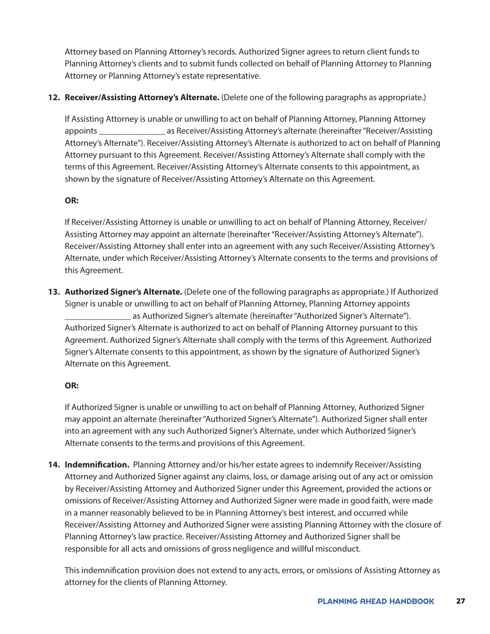Attorney based on Planning Attorney's records. Authorized Signer agrees to return client funds to Planning Attorney's clients and to submit funds collected on behalf of Planning Attorney to Planning Attorney or Planning Attorney's estate representative.

#### **12. Receiver/Assisting Attorney's Alternate.** (Delete one of the following paragraphs as appropriate.)

If Assisting Attorney is unable or unwilling to act on behalf of Planning Attorney, Planning Attorney appoints \_\_\_\_\_\_\_\_\_\_\_\_\_\_\_ as Receiver/Assisting Attorney's alternate (hereinafter "Receiver/Assisting Attorney's Alternate"). Receiver/Assisting Attorney's Alternate is authorized to act on behalf of Planning Attorney pursuant to this Agreement. Receiver/Assisting Attorney's Alternate shall comply with the terms of this Agreement. Receiver/Assisting Attorney's Alternate consents to this appointment, as shown by the signature of Receiver/Assisting Attorney's Alternate on this Agreement.

#### **OR:**

If Receiver/Assisting Attorney is unable or unwilling to act on behalf of Planning Attorney, Receiver/ Assisting Attorney may appoint an alternate (hereinafter "Receiver/Assisting Attorney's Alternate"). Receiver/Assisting Attorney shall enter into an agreement with any such Receiver/Assisting Attorney's Alternate, under which Receiver/Assisting Attorney's Alternate consents to the terms and provisions of this Agreement.

**13. Authorized Signer's Alternate.** (Delete one of the following paragraphs as appropriate.) If Authorized Signer is unable or unwilling to act on behalf of Planning Attorney, Planning Attorney appoints as Authorized Signer's alternate (hereinafter "Authorized Signer's Alternate"). Authorized Signer's Alternate is authorized to act on behalf of Planning Attorney pursuant to this Agreement. Authorized Signer's Alternate shall comply with the terms of this Agreement. Authorized Signer's Alternate consents to this appointment, as shown by the signature of Authorized Signer's Alternate on this Agreement.

#### **OR:**

If Authorized Signer is unable or unwilling to act on behalf of Planning Attorney, Authorized Signer may appoint an alternate (hereinafter "Authorized Signer's Alternate"). Authorized Signer shall enter into an agreement with any such Authorized Signer's Alternate, under which Authorized Signer's Alternate consents to the terms and provisions of this Agreement.

**14. Indemnification.** Planning Attorney and/or his/her estate agrees to indemnify Receiver/Assisting Attorney and Authorized Signer against any claims, loss, or damage arising out of any act or omission by Receiver/Assisting Attorney and Authorized Signer under this Agreement, provided the actions or omissions of Receiver/Assisting Attorney and Authorized Signer were made in good faith, were made in a manner reasonably believed to be in Planning Attorney's best interest, and occurred while Receiver/Assisting Attorney and Authorized Signer were assisting Planning Attorney with the closure of Planning Attorney's law practice. Receiver/Assisting Attorney and Authorized Signer shall be responsible for all acts and omissions of gross negligence and willful misconduct.

This indemnification provision does not extend to any acts, errors, or omissions of Assisting Attorney as attorney for the clients of Planning Attorney.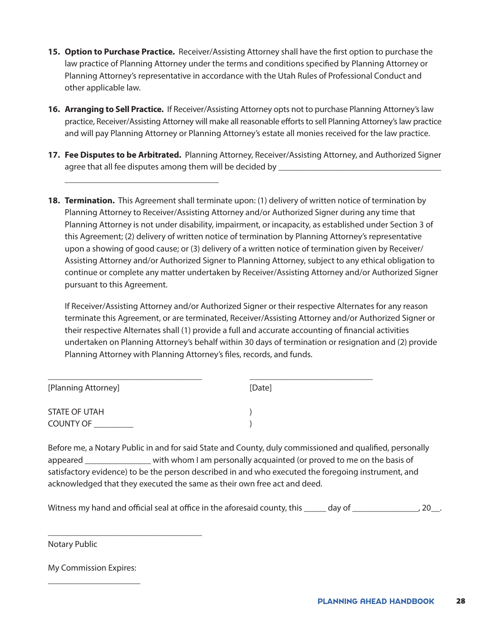- **15. Option to Purchase Practice.** Receiver/Assisting Attorney shall have the first option to purchase the law practice of Planning Attorney under the terms and conditions specified by Planning Attorney or Planning Attorney's representative in accordance with the Utah Rules of Professional Conduct and other applicable law.
- **16. Arranging to Sell Practice.** If Receiver/Assisting Attorney opts not to purchase Planning Attorney's law practice, Receiver/Assisting Attorney will make all reasonable efforts to sell Planning Attorney's law practice and will pay Planning Attorney or Planning Attorney's estate all monies received for the law practice.
- **17. Fee Disputes to be Arbitrated.** Planning Attorney, Receiver/Assisting Attorney, and Authorized Signer agree that all fee disputes among them will be decided by \_\_\_\_\_\_\_\_\_\_\_\_\_\_\_\_\_\_\_\_\_\_

\_\_\_\_\_\_\_\_\_\_\_\_\_\_\_\_\_\_\_\_\_\_\_\_\_\_\_\_\_\_\_\_\_\_\_

**18. Termination.** This Agreement shall terminate upon: (1) delivery of written notice of termination by Planning Attorney to Receiver/Assisting Attorney and/or Authorized Signer during any time that Planning Attorney is not under disability, impairment, or incapacity, as established under Section 3 of this Agreement; (2) delivery of written notice of termination by Planning Attorney's representative upon a showing of good cause; or (3) delivery of a written notice of termination given by Receiver/ Assisting Attorney and/or Authorized Signer to Planning Attorney, subject to any ethical obligation to continue or complete any matter undertaken by Receiver/Assisting Attorney and/or Authorized Signer pursuant to this Agreement.

If Receiver/Assisting Attorney and/or Authorized Signer or their respective Alternates for any reason terminate this Agreement, or are terminated, Receiver/Assisting Attorney and/or Authorized Signer or their respective Alternates shall (1) provide a full and accurate accounting of financial activities undertaken on Planning Attorney's behalf within 30 days of termination or resignation and (2) provide Planning Attorney with Planning Attorney's files, records, and funds.

| [Planning Attorney] | [Date] |
|---------------------|--------|
| STATE OF UTAH       |        |
| <b>COUNTY OF</b>    |        |

Before me, a Notary Public in and for said State and County, duly commissioned and qualified, personally appeared **Example 20** with whom I am personally acquainted (or proved to me on the basis of satisfactory evidence) to be the person described in and who executed the foregoing instrument, and acknowledged that they executed the same as their own free act and deed.

Witness my hand and official seal at office in the aforesaid county, this \_\_\_\_\_ day of \_\_\_\_\_\_\_\_\_\_\_\_\_\_, 20\_\_.

Notary Public

My Commission Expires: \_\_\_\_\_\_\_\_\_\_\_\_\_\_\_\_\_\_\_\_\_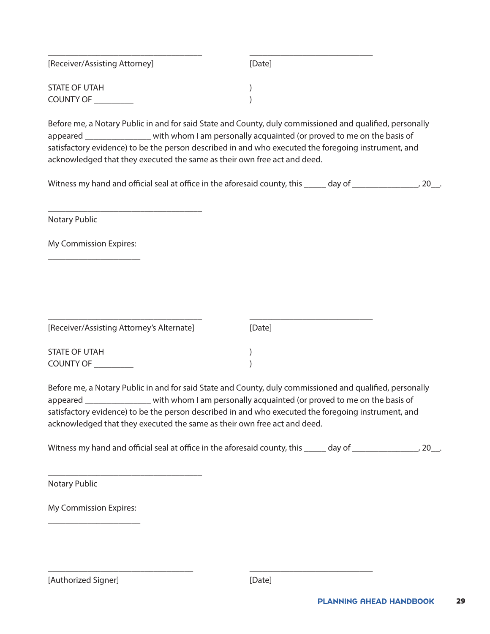| [Receiver/Assisting Attorney] | [Date] |
|-------------------------------|--------|
| <b>STATE OF UTAH</b>          |        |
| <b>COUNTY OF</b>              |        |

Before me, a Notary Public in and for said State and County, duly commissioned and qualified, personally appeared \_\_\_\_\_\_\_\_\_\_\_\_\_\_\_\_ with whom I am personally acquainted (or proved to me on the basis of satisfactory evidence) to be the person described in and who executed the foregoing instrument, and acknowledged that they executed the same as their own free act and deed.

| Witness my hand and official seal at office in the aforesaid county, this |        | , 20__. |
|---------------------------------------------------------------------------|--------|---------|
|                                                                           | day of |         |
|                                                                           |        |         |

Notary Public

My Commission Expires: \_\_\_\_\_\_\_\_\_\_\_\_\_\_\_\_\_\_\_\_\_

\_\_\_\_\_\_\_\_\_\_\_\_\_\_\_\_\_\_\_\_\_\_\_\_\_\_\_\_\_\_\_\_\_\_\_

| [Receiver/Assisting Attorney's Alternate] | [Date] |  |
|-------------------------------------------|--------|--|
| STATE OF UTAH                             |        |  |
| <b>COUNTY OF</b>                          |        |  |

Before me, a Notary Public in and for said State and County, duly commissioned and qualified, personally appeared \_\_\_\_\_\_\_\_\_\_\_\_\_\_\_\_ with whom I am personally acquainted (or proved to me on the basis of satisfactory evidence) to be the person described in and who executed the foregoing instrument, and acknowledged that they executed the same as their own free act and deed.

| Witness my hand and official seal at office in the aforesaid county, this | day of |  |
|---------------------------------------------------------------------------|--------|--|
|                                                                           |        |  |

Notary Public

My Commission Expires: \_\_\_\_\_\_\_\_\_\_\_\_\_\_\_\_\_\_\_\_\_

\_\_\_\_\_\_\_\_\_\_\_\_\_\_\_\_\_\_\_\_\_\_\_\_\_\_\_\_\_\_\_\_\_\_\_

\_\_\_\_\_\_\_\_\_\_\_\_\_\_\_\_\_\_\_\_\_\_\_\_\_\_\_\_\_\_\_\_\_ \_\_\_\_\_\_\_\_\_\_\_\_\_\_\_\_\_\_\_\_\_\_\_\_\_\_\_\_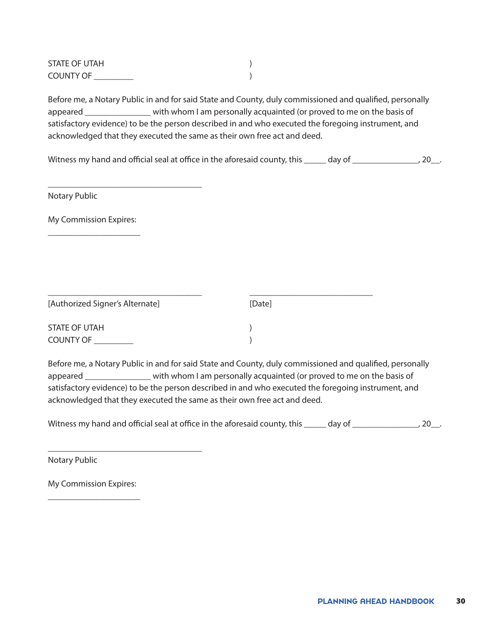| STATE OF UTAH    |  |
|------------------|--|
| <b>COUNTY OF</b> |  |

Before me, a Notary Public in and for said State and County, duly commissioned and qualified, personally appeared \_\_\_\_\_\_\_\_\_\_\_\_\_\_\_ with whom I am personally acquainted (or proved to me on the basis of satisfactory evidence) to be the person described in and who executed the foregoing instrument, and acknowledged that they executed the same as their own free act and deed.

Witness my hand and official seal at office in the aforesaid county, this \_\_\_\_\_ day of \_\_\_\_\_\_\_\_\_\_\_\_\_\_, 20\_\_.

Notary Public

My Commission Expires: \_\_\_\_\_\_\_\_\_\_\_\_\_\_\_\_\_\_\_\_\_

\_\_\_\_\_\_\_\_\_\_\_\_\_\_\_\_\_\_\_\_\_\_\_\_\_\_\_\_\_\_\_\_\_\_\_

| [Authorized Signer's Alternate] | [Date] |
|---------------------------------|--------|
| STATE OF UTAH                   |        |
| <b>COUNTY OF</b>                |        |

\_\_\_\_\_\_\_\_\_\_\_\_\_\_\_\_\_\_\_\_\_\_\_\_\_\_\_\_\_\_\_\_\_\_\_ \_\_\_\_\_\_\_\_\_\_\_\_\_\_\_\_\_\_\_\_\_\_\_\_\_\_\_\_

Before me, a Notary Public in and for said State and County, duly commissioned and qualified, personally appeared \_\_\_\_\_\_\_\_\_\_\_\_\_\_\_ with whom I am personally acquainted (or proved to me on the basis of satisfactory evidence) to be the person described in and who executed the foregoing instrument, and acknowledged that they executed the same as their own free act and deed.

Witness my hand and official seal at office in the aforesaid county, this day of  $\qquad \qquad$  .

Notary Public

My Commission Expires: \_\_\_\_\_\_\_\_\_\_\_\_\_\_\_\_\_\_\_\_\_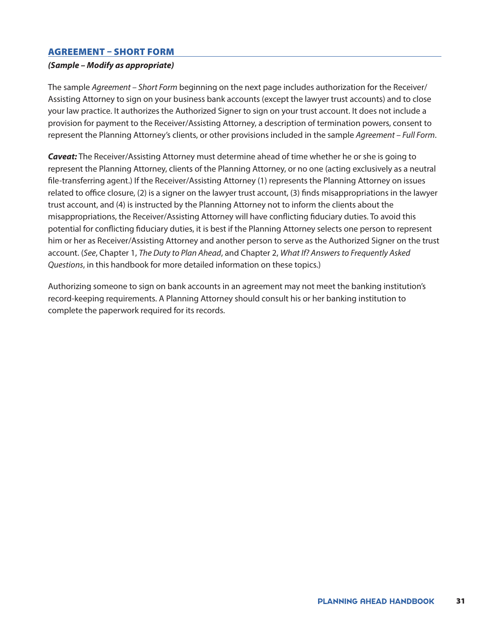#### <span id="page-30-0"></span>AGREEMENT – SHORT FORM

#### *(Sample – Modify as appropriate)*

The sample *Agreement – Short Form* beginning on the next page includes authorization for the Receiver/ Assisting Attorney to sign on your business bank accounts (except the lawyer trust accounts) and to close your law practice. It authorizes the Authorized Signer to sign on your trust account. It does not include a provision for payment to the Receiver/Assisting Attorney, a description of termination powers, consent to represent the Planning Attorney's clients, or other provisions included in the sample *Agreement – Full Form*.

*Caveat:* The Receiver/Assisting Attorney must determine ahead of time whether he or she is going to represent the Planning Attorney, clients of the Planning Attorney, or no one (acting exclusively as a neutral file-transferring agent.) If the Receiver/Assisting Attorney (1) represents the Planning Attorney on issues related to office closure, (2) is a signer on the lawyer trust account, (3) finds misappropriations in the lawyer trust account, and (4) is instructed by the Planning Attorney not to inform the clients about the misappropriations, the Receiver/Assisting Attorney will have conflicting fiduciary duties. To avoid this potential for conflicting fiduciary duties, it is best if the Planning Attorney selects one person to represent him or her as Receiver/Assisting Attorney and another person to serve as the Authorized Signer on the trust account. (*See*, Chapter 1, *The Duty to Plan Ahead*, and Chapter 2, *What If? Answers to Frequently Asked Questions*, in this handbook for more detailed information on these topics.)

Authorizing someone to sign on bank accounts in an agreement may not meet the banking institution's record-keeping requirements. A Planning Attorney should consult his or her banking institution to complete the paperwork required for its records.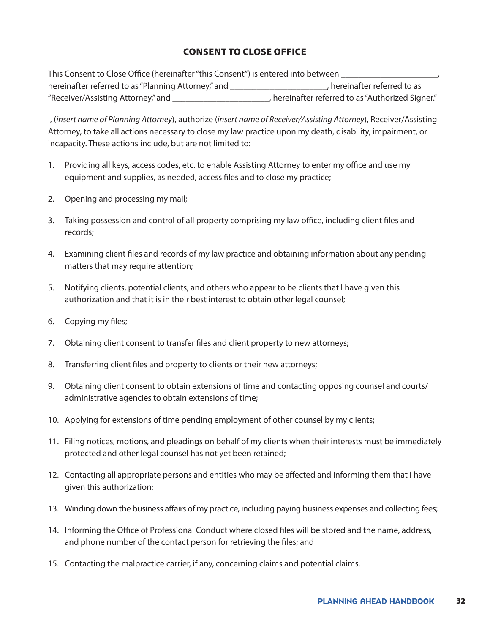#### CONSENT TO CLOSE OFFICE

This Consent to Close Office (hereinafter "this Consent") is entered into between \_\_\_\_\_\_\_\_\_ hereinafter referred to as "Planning Attorney," and  $\Box$  are  $\Box$  hereinafter referred to as "Receiver/Assisting Attorney," and \_\_\_\_\_\_\_\_\_\_\_\_\_\_\_\_\_\_\_\_\_\_, hereinafter referred to as "Authorized Signer."

I, (*insert name of Planning Attorney*), authorize (*insert name of Receiver/Assisting Attorney*), Receiver/Assisting Attorney, to take all actions necessary to close my law practice upon my death, disability, impairment, or incapacity. These actions include, but are not limited to:

- 1. Providing all keys, access codes, etc. to enable Assisting Attorney to enter my office and use my equipment and supplies, as needed, access files and to close my practice;
- 2. Opening and processing my mail;
- 3. Taking possession and control of all property comprising my law office, including client files and records;
- 4. Examining client files and records of my law practice and obtaining information about any pending matters that may require attention;
- 5. Notifying clients, potential clients, and others who appear to be clients that I have given this authorization and that it is in their best interest to obtain other legal counsel;
- 6. Copying my files;
- 7. Obtaining client consent to transfer files and client property to new attorneys;
- 8. Transferring client files and property to clients or their new attorneys;
- 9. Obtaining client consent to obtain extensions of time and contacting opposing counsel and courts/ administrative agencies to obtain extensions of time;
- 10. Applying for extensions of time pending employment of other counsel by my clients;
- 11. Filing notices, motions, and pleadings on behalf of my clients when their interests must be immediately protected and other legal counsel has not yet been retained;
- 12. Contacting all appropriate persons and entities who may be affected and informing them that I have given this authorization;
- 13. Winding down the business affairs of my practice, including paying business expenses and collecting fees;
- 14. Informing the Office of Professional Conduct where closed files will be stored and the name, address, and phone number of the contact person for retrieving the files; and
- 15. Contacting the malpractice carrier, if any, concerning claims and potential claims.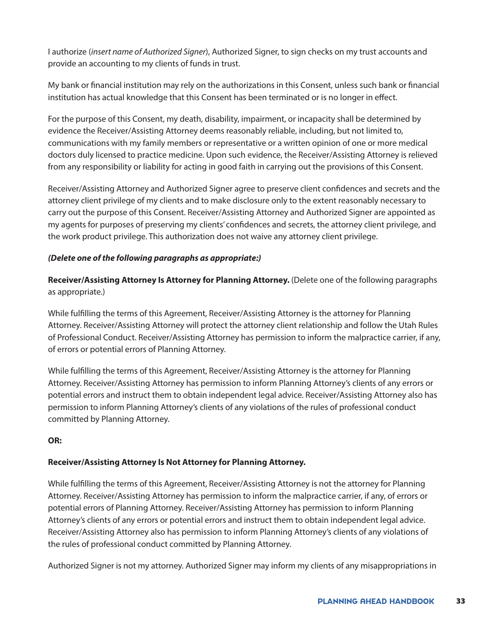I authorize (*insert name of Authorized Signer*), Authorized Signer, to sign checks on my trust accounts and provide an accounting to my clients of funds in trust.

My bank or financial institution may rely on the authorizations in this Consent, unless such bank or financial institution has actual knowledge that this Consent has been terminated or is no longer in effect.

For the purpose of this Consent, my death, disability, impairment, or incapacity shall be determined by evidence the Receiver/Assisting Attorney deems reasonably reliable, including, but not limited to, communications with my family members or representative or a written opinion of one or more medical doctors duly licensed to practice medicine. Upon such evidence, the Receiver/Assisting Attorney is relieved from any responsibility or liability for acting in good faith in carrying out the provisions of this Consent.

Receiver/Assisting Attorney and Authorized Signer agree to preserve client confidences and secrets and the attorney client privilege of my clients and to make disclosure only to the extent reasonably necessary to carry out the purpose of this Consent. Receiver/Assisting Attorney and Authorized Signer are appointed as my agents for purposes of preserving my clients' confidences and secrets, the attorney client privilege, and the work product privilege. This authorization does not waive any attorney client privilege.

#### *(Delete one of the following paragraphs as appropriate:)*

**Receiver/Assisting Attorney Is Attorney for Planning Attorney.** (Delete one of the following paragraphs as appropriate.)

While fulfilling the terms of this Agreement, Receiver/Assisting Attorney is the attorney for Planning Attorney. Receiver/Assisting Attorney will protect the attorney client relationship and follow the Utah Rules of Professional Conduct. Receiver/Assisting Attorney has permission to inform the malpractice carrier, if any, of errors or potential errors of Planning Attorney.

While fulfilling the terms of this Agreement, Receiver/Assisting Attorney is the attorney for Planning Attorney. Receiver/Assisting Attorney has permission to inform Planning Attorney's clients of any errors or potential errors and instruct them to obtain independent legal advice. Receiver/Assisting Attorney also has permission to inform Planning Attorney's clients of any violations of the rules of professional conduct committed by Planning Attorney.

#### **OR:**

#### **Receiver/Assisting Attorney Is Not Attorney for Planning Attorney.**

While fulfilling the terms of this Agreement, Receiver/Assisting Attorney is not the attorney for Planning Attorney. Receiver/Assisting Attorney has permission to inform the malpractice carrier, if any, of errors or potential errors of Planning Attorney. Receiver/Assisting Attorney has permission to inform Planning Attorney's clients of any errors or potential errors and instruct them to obtain independent legal advice. Receiver/Assisting Attorney also has permission to inform Planning Attorney's clients of any violations of the rules of professional conduct committed by Planning Attorney.

Authorized Signer is not my attorney. Authorized Signer may inform my clients of any misappropriations in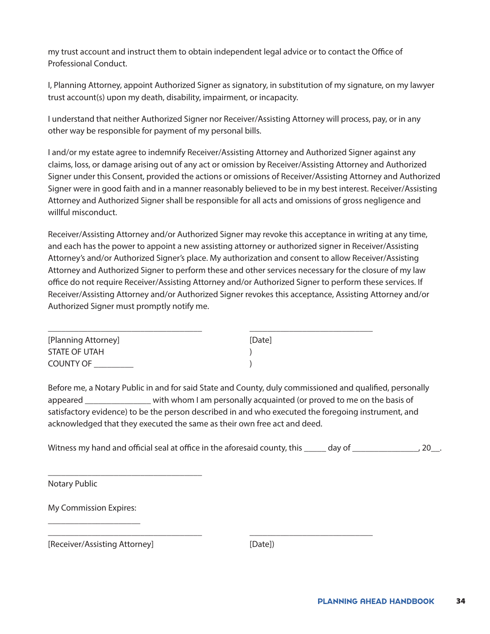my trust account and instruct them to obtain independent legal advice or to contact the Office of Professional Conduct.

I, Planning Attorney, appoint Authorized Signer as signatory, in substitution of my signature, on my lawyer trust account(s) upon my death, disability, impairment, or incapacity.

I understand that neither Authorized Signer nor Receiver/Assisting Attorney will process, pay, or in any other way be responsible for payment of my personal bills.

I and/or my estate agree to indemnify Receiver/Assisting Attorney and Authorized Signer against any claims, loss, or damage arising out of any act or omission by Receiver/Assisting Attorney and Authorized Signer under this Consent, provided the actions or omissions of Receiver/Assisting Attorney and Authorized Signer were in good faith and in a manner reasonably believed to be in my best interest. Receiver/Assisting Attorney and Authorized Signer shall be responsible for all acts and omissions of gross negligence and willful misconduct.

Receiver/Assisting Attorney and/or Authorized Signer may revoke this acceptance in writing at any time, and each has the power to appoint a new assisting attorney or authorized signer in Receiver/Assisting Attorney's and/or Authorized Signer's place. My authorization and consent to allow Receiver/Assisting Attorney and Authorized Signer to perform these and other services necessary for the closure of my law office do not require Receiver/Assisting Attorney and/or Authorized Signer to perform these services. If Receiver/Assisting Attorney and/or Authorized Signer revokes this acceptance, Assisting Attorney and/or Authorized Signer must promptly notify me.

| [Planning Attorney] | [Date] |
|---------------------|--------|
| STATE OF UTAH       |        |
| <b>COUNTY OF</b>    |        |

\_\_\_\_\_\_\_\_\_\_\_\_\_\_\_\_\_\_\_\_\_\_\_\_\_\_\_\_\_\_\_\_\_\_\_ \_\_\_\_\_\_\_\_\_\_\_\_\_\_\_\_\_\_\_\_\_\_\_\_\_\_\_\_

Before me, a Notary Public in and for said State and County, duly commissioned and qualified, personally appeared \_\_\_\_\_\_\_\_\_\_\_\_\_\_\_ with whom I am personally acquainted (or proved to me on the basis of satisfactory evidence) to be the person described in and who executed the foregoing instrument, and acknowledged that they executed the same as their own free act and deed.

Witness my hand and official seal at office in the aforesaid county, this \_\_\_\_\_ day of \_\_\_\_\_\_\_\_\_\_\_\_\_\_, 20\_\_.

Notary Public

| <b>My Commission Expires:</b> |  |
|-------------------------------|--|
|                               |  |

[Receiver/Assisting Attorney] [Date])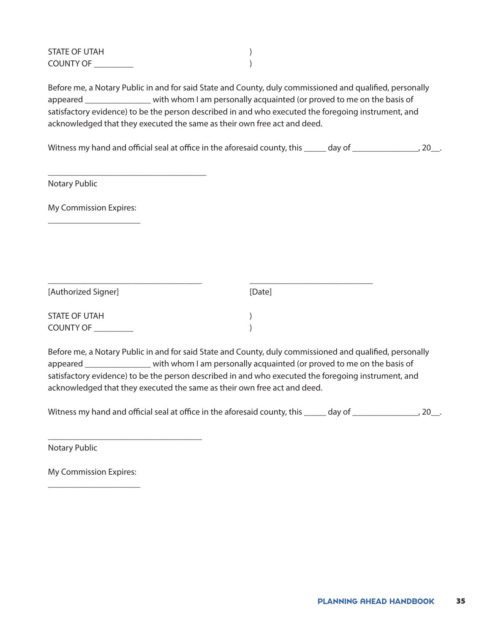| STATE OF UTAH    |  |
|------------------|--|
| <b>COUNTY OF</b> |  |

Before me, a Notary Public in and for said State and County, duly commissioned and qualified, personally appeared \_\_\_\_\_\_\_\_\_\_\_\_\_\_\_ with whom I am personally acquainted (or proved to me on the basis of satisfactory evidence) to be the person described in and who executed the foregoing instrument, and acknowledged that they executed the same as their own free act and deed.

Witness my hand and official seal at office in the aforesaid county, this \_\_\_\_\_ day of \_\_\_\_\_\_\_\_\_\_\_\_\_\_, 20\_\_.

Notary Public

My Commission Expires: \_\_\_\_\_\_\_\_\_\_\_\_\_\_\_\_\_\_\_\_\_

\_\_\_\_\_\_\_\_\_\_\_\_\_\_\_\_\_\_\_\_\_\_\_\_\_\_\_\_\_\_\_\_\_\_\_\_

| [Authorized Signer]  | [Date] |  |
|----------------------|--------|--|
| <b>STATE OF UTAH</b> |        |  |
| <b>COUNTY OF</b>     |        |  |

Before me, a Notary Public in and for said State and County, duly commissioned and qualified, personally appeared \_\_\_\_\_\_\_\_\_\_\_\_\_\_\_ with whom I am personally acquainted (or proved to me on the basis of satisfactory evidence) to be the person described in and who executed the foregoing instrument, and acknowledged that they executed the same as their own free act and deed.

Witness my hand and official seal at office in the aforesaid county, this \_\_\_\_\_ day of \_\_\_\_\_\_\_\_\_\_\_\_\_\_\_, 20\_\_.

Notary Public

My Commission Expires: \_\_\_\_\_\_\_\_\_\_\_\_\_\_\_\_\_\_\_\_\_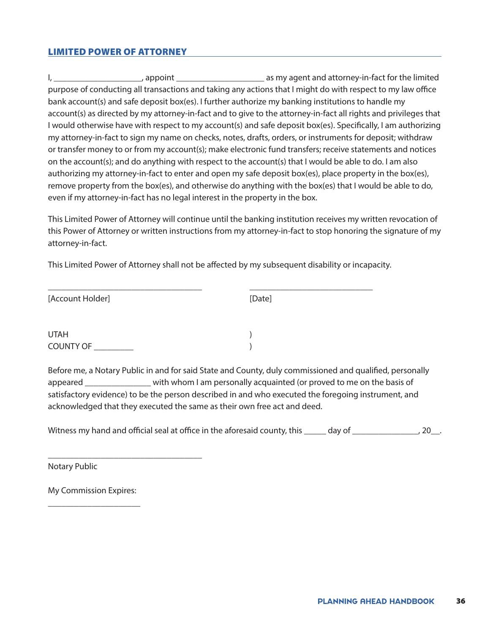#### <span id="page-35-0"></span>LIMITED POWER OF ATTORNEY

I, the suppose of the suppoint  $\alpha$  as my agent and attorney-in-fact for the limited purpose of conducting all transactions and taking any actions that I might do with respect to my law office bank account(s) and safe deposit box(es). I further authorize my banking institutions to handle my account(s) as directed by my attorney-in-fact and to give to the attorney-in-fact all rights and privileges that I would otherwise have with respect to my account(s) and safe deposit box(es). Specifically, I am authorizing my attorney-in-fact to sign my name on checks, notes, drafts, orders, or instruments for deposit; withdraw or transfer money to or from my account(s); make electronic fund transfers; receive statements and notices on the account(s); and do anything with respect to the account(s) that I would be able to do. I am also authorizing my attorney-in-fact to enter and open my safe deposit box(es), place property in the box(es), remove property from the box(es), and otherwise do anything with the box(es) that I would be able to do, even if my attorney-in-fact has no legal interest in the property in the box.

This Limited Power of Attorney will continue until the banking institution receives my written revocation of this Power of Attorney or written instructions from my attorney-in-fact to stop honoring the signature of my attorney-in-fact.

This Limited Power of Attorney shall not be affected by my subsequent disability or incapacity.

| [Account Holder] | [Date] |  |
|------------------|--------|--|
| <b>UTAH</b>      |        |  |
| COUNTY OF        |        |  |

Before me, a Notary Public in and for said State and County, duly commissioned and qualified, personally appeared \_\_\_\_\_\_\_\_\_\_\_\_\_\_\_ with whom I am personally acquainted (or proved to me on the basis of satisfactory evidence) to be the person described in and who executed the foregoing instrument, and acknowledged that they executed the same as their own free act and deed.

Witness my hand and official seal at office in the aforesaid county, this \_\_\_\_\_ day of \_\_\_\_\_\_\_\_\_\_\_\_\_\_, 20\_\_.

Notary Public

My Commission Expires: \_\_\_\_\_\_\_\_\_\_\_\_\_\_\_\_\_\_\_\_\_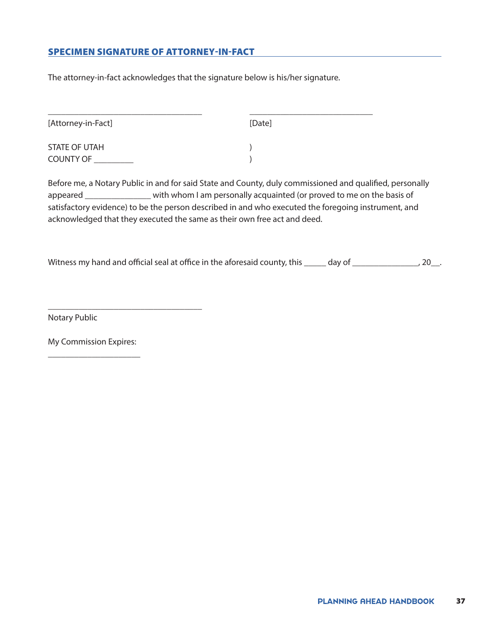# SPECIMEN SIGNATURE OF ATTORNEY-IN-FACT

The attorney-in-fact acknowledges that the signature below is his/her signature.

| [Attorney-in-Fact] | [Date] |  |
|--------------------|--------|--|
|                    |        |  |
| STATE OF UTAH      |        |  |
| <b>COUNTY OF</b>   |        |  |
|                    |        |  |

Before me, a Notary Public in and for said State and County, duly commissioned and qualified, personally appeared \_\_\_\_\_\_\_\_\_\_\_\_\_\_\_ with whom I am personally acquainted (or proved to me on the basis of satisfactory evidence) to be the person described in and who executed the foregoing instrument, and acknowledged that they executed the same as their own free act and deed.

Witness my hand and official seal at office in the aforesaid county, this \_\_\_\_\_ day of \_\_\_\_\_\_\_\_\_\_\_\_\_\_\_, 20\_\_.

Notary Public

My Commission Expires: \_\_\_\_\_\_\_\_\_\_\_\_\_\_\_\_\_\_\_\_\_

\_\_\_\_\_\_\_\_\_\_\_\_\_\_\_\_\_\_\_\_\_\_\_\_\_\_\_\_\_\_\_\_\_\_\_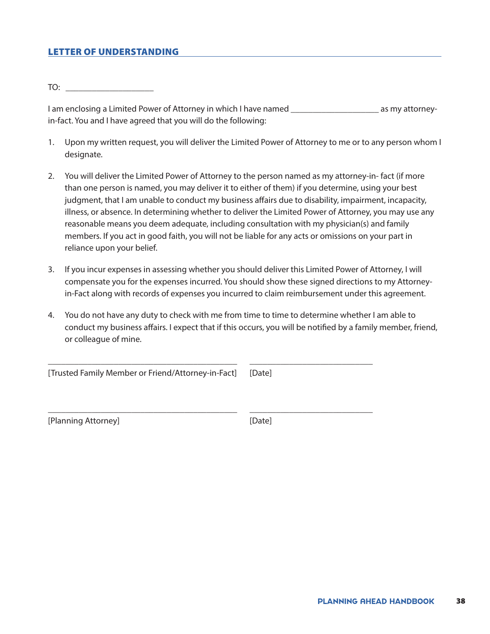### LETTER OF UNDERSTANDING

 $TO:$ 

I am enclosing a Limited Power of Attorney in which I have named \_\_\_\_\_\_\_\_\_\_\_\_\_\_\_\_\_\_\_\_\_\_\_\_ as my attorneyin-fact. You and I have agreed that you will do the following:

- 1. Upon my written request, you will deliver the Limited Power of Attorney to me or to any person whom I designate.
- 2. You will deliver the Limited Power of Attorney to the person named as my attorney-in- fact (if more than one person is named, you may deliver it to either of them) if you determine, using your best judgment, that I am unable to conduct my business affairs due to disability, impairment, incapacity, illness, or absence. In determining whether to deliver the Limited Power of Attorney, you may use any reasonable means you deem adequate, including consultation with my physician(s) and family members. If you act in good faith, you will not be liable for any acts or omissions on your part in reliance upon your belief.
- 3. If you incur expenses in assessing whether you should deliver this Limited Power of Attorney, I will compensate you for the expenses incurred. You should show these signed directions to my Attorneyin-Fact along with records of expenses you incurred to claim reimbursement under this agreement.
- 4. You do not have any duty to check with me from time to time to determine whether I am able to conduct my business affairs. I expect that if this occurs, you will be notified by a family member, friend, or colleague of mine.

\_\_\_\_\_\_\_\_\_\_\_\_\_\_\_\_\_\_\_\_\_\_\_\_\_\_\_\_\_\_\_\_\_\_\_\_\_\_\_\_\_\_\_ \_\_\_\_\_\_\_\_\_\_\_\_\_\_\_\_\_\_\_\_\_\_\_\_\_\_\_\_

\_\_\_\_\_\_\_\_\_\_\_\_\_\_\_\_\_\_\_\_\_\_\_\_\_\_\_\_\_\_\_\_\_\_\_\_\_\_\_\_\_\_\_ \_\_\_\_\_\_\_\_\_\_\_\_\_\_\_\_\_\_\_\_\_\_\_\_\_\_\_\_

[Trusted Family Member or Friend/Attorney-in-Fact] [Date]

[Planning Attorney] [Date]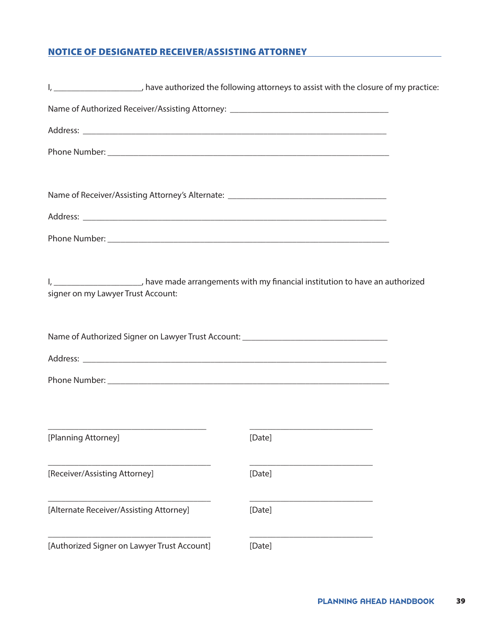# NOTICE OF DESIGNATED RECEIVER/ASSISTING ATTORNEY

| I, _______________________, have authorized the following attorneys to assist with the closure of my practice:                               |        |  |
|----------------------------------------------------------------------------------------------------------------------------------------------|--------|--|
| Name of Authorized Receiver/Assisting Attorney: ________________________________                                                             |        |  |
|                                                                                                                                              |        |  |
|                                                                                                                                              |        |  |
| Name of Receiver/Assisting Attorney's Alternate: _______________________________                                                             |        |  |
|                                                                                                                                              |        |  |
|                                                                                                                                              |        |  |
|                                                                                                                                              |        |  |
| I, _______________________, have made arrangements with my financial institution to have an authorized<br>signer on my Lawyer Trust Account: |        |  |
| Name of Authorized Signer on Lawyer Trust Account: _____________________________                                                             |        |  |
|                                                                                                                                              |        |  |
|                                                                                                                                              |        |  |
|                                                                                                                                              |        |  |
| [Planning Attorney]                                                                                                                          | [Date] |  |
| [Receiver/Assisting Attorney]                                                                                                                | [Date] |  |
| [Alternate Receiver/Assisting Attorney]                                                                                                      | [Date] |  |
| [Authorized Signer on Lawyer Trust Account]                                                                                                  | [Date] |  |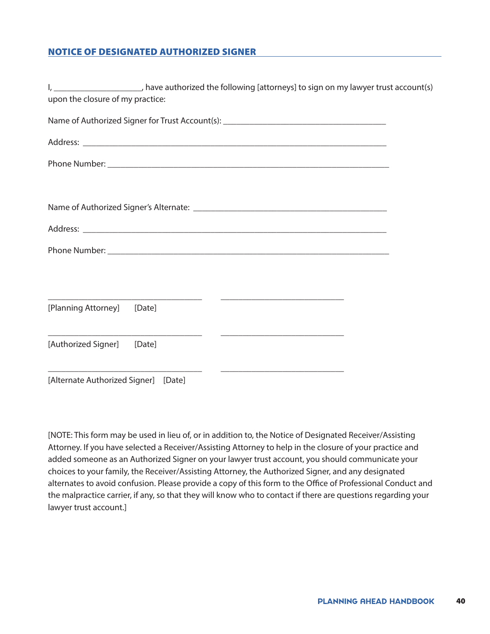# NOTICE OF DESIGNATED AUTHORIZED SIGNER

| I, _______________________, have authorized the following [attorneys] to sign on my lawyer trust account(s)<br>upon the closure of my practice:                                                                                                                       |  |
|-----------------------------------------------------------------------------------------------------------------------------------------------------------------------------------------------------------------------------------------------------------------------|--|
| Name of Authorized Signer for Trust Account(s): _________________________________                                                                                                                                                                                     |  |
|                                                                                                                                                                                                                                                                       |  |
|                                                                                                                                                                                                                                                                       |  |
|                                                                                                                                                                                                                                                                       |  |
|                                                                                                                                                                                                                                                                       |  |
|                                                                                                                                                                                                                                                                       |  |
|                                                                                                                                                                                                                                                                       |  |
|                                                                                                                                                                                                                                                                       |  |
| <u> 2000 - Andrea State Barbara, amerikan personal dan personal dan personal dan personal dan personal dan personal dan personal dan personal dan personal dan personal dan personal dan personal dan personal dan personal dan </u><br>[Planning Attorney]<br>[Date] |  |
| [Authorized Signer]<br>[Date]                                                                                                                                                                                                                                         |  |
| <u> 1989 - Johann Barbara, markazi ya mshindi ya matu ya matu ya matu ya matu ya matu ya matu ya matu ya matu ya</u><br>$\overline{\phantom{a}}$<br>[Alternate Authorized Signer] [Date]                                                                              |  |

[NOTE: This form may be used in lieu of, or in addition to, the Notice of Designated Receiver/Assisting Attorney. If you have selected a Receiver/Assisting Attorney to help in the closure of your practice and added someone as an Authorized Signer on your lawyer trust account, you should communicate your choices to your family, the Receiver/Assisting Attorney, the Authorized Signer, and any designated alternates to avoid confusion. Please provide a copy of this form to the Office of Professional Conduct and the malpractice carrier, if any, so that they will know who to contact if there are questions regarding your lawyer trust account.]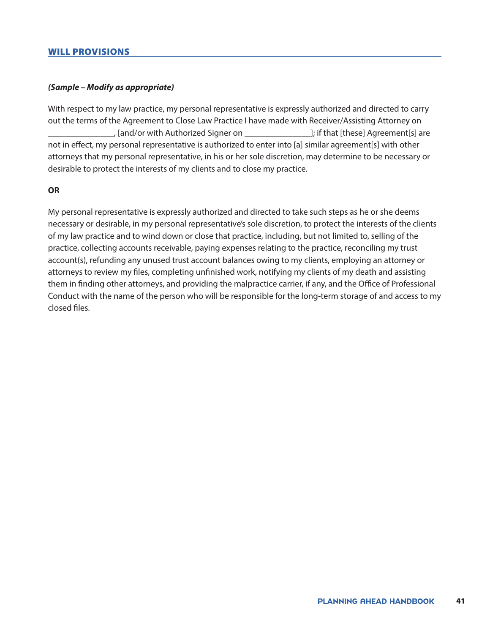### WILL PROVISIONS

### *(Sample – Modify as appropriate)*

With respect to my law practice, my personal representative is expressly authorized and directed to carry out the terms of the Agreement to Close Law Practice I have made with Receiver/Assisting Attorney on \_\_\_\_\_\_\_\_\_\_\_\_\_\_\_, [and/or with Authorized Signer on \_\_\_\_\_\_\_\_\_\_\_\_\_\_\_]; if that [these] Agreement[s] are not in effect, my personal representative is authorized to enter into [a] similar agreement[s] with other attorneys that my personal representative, in his or her sole discretion, may determine to be necessary or desirable to protect the interests of my clients and to close my practice.

### **OR**

My personal representative is expressly authorized and directed to take such steps as he or she deems necessary or desirable, in my personal representative's sole discretion, to protect the interests of the clients of my law practice and to wind down or close that practice, including, but not limited to, selling of the practice, collecting accounts receivable, paying expenses relating to the practice, reconciling my trust account(s), refunding any unused trust account balances owing to my clients, employing an attorney or attorneys to review my files, completing unfinished work, notifying my clients of my death and assisting them in finding other attorneys, and providing the malpractice carrier, if any, and the Office of Professional Conduct with the name of the person who will be responsible for the long-term storage of and access to my closed files.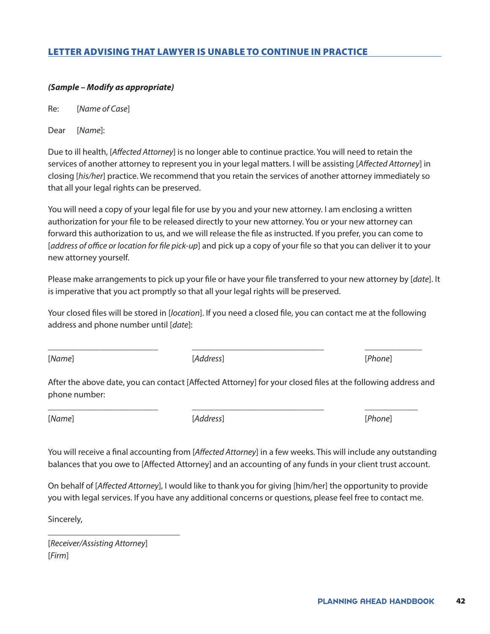# LETTER ADVISING THAT LAWYER IS UNABLE TO CONTINUE IN PRACTICE

### *(Sample – Modify as appropriate)*

Re: [*Name of Case*]

Dear [*Name*]:

Due to ill health, [*Affected Attorney*] is no longer able to continue practice. You will need to retain the services of another attorney to represent you in your legal matters. I will be assisting [*Affected Attorney*] in closing [*his/her*] practice. We recommend that you retain the services of another attorney immediately so that all your legal rights can be preserved.

You will need a copy of your legal file for use by you and your new attorney. I am enclosing a written authorization for your file to be released directly to your new attorney. You or your new attorney can forward this authorization to us, and we will release the file as instructed. If you prefer, you can come to [*address of office or location for file pick-up*] and pick up a copy of your file so that you can deliver it to your new attorney yourself.

Please make arrangements to pick up your file or have your file transferred to your new attorney by [*date*]. It is imperative that you act promptly so that all your legal rights will be preserved.

Your closed files will be stored in [*location*]. If you need a closed file, you can contact me at the following address and phone number until [*date*]:

\_\_\_\_\_\_\_\_\_\_\_\_\_\_\_\_\_\_\_\_\_\_\_\_\_ \_\_\_\_\_\_\_\_\_\_\_\_\_\_\_\_\_\_\_\_\_\_\_\_\_\_\_\_\_\_ \_\_\_\_\_\_\_\_\_\_\_\_\_

[*Name*] [*Address*] [*Phone*]

After the above date, you can contact [Affected Attorney] for your closed files at the following address and phone number:

\_\_\_\_\_\_\_\_\_\_\_\_\_\_\_\_\_\_\_\_\_\_\_\_\_ \_\_\_\_\_\_\_\_\_\_\_\_\_\_\_\_\_\_\_\_\_\_\_\_\_\_\_\_\_\_ \_\_\_\_\_\_\_\_\_\_\_\_

[*Name*] [*Address*] [*Phone*]

You will receive a final accounting from [*Affected Attorney*] in a few weeks. This will include any outstanding balances that you owe to [Affected Attorney] and an accounting of any funds in your client trust account.

On behalf of [*Affected Attorney*], I would like to thank you for giving [him/her] the opportunity to provide you with legal services. If you have any additional concerns or questions, please feel free to contact me.

Sincerely,

[*Receiver/Assisting Attorney*] [*Firm*]

\_\_\_\_\_\_\_\_\_\_\_\_\_\_\_\_\_\_\_\_\_\_\_\_\_\_\_\_\_\_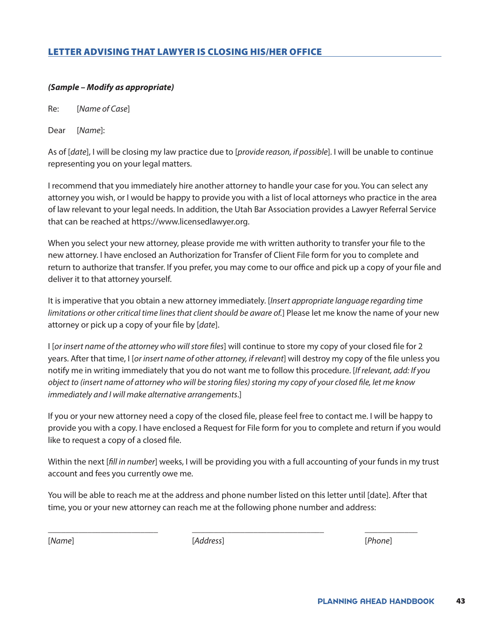# LETTER ADVISING THAT LAWYER IS CLOSING HIS/HER OFFICE

### *(Sample – Modify as appropriate)*

Re: [*Name of Case*]

Dear [*Name*]:

As of [*date*], I will be closing my law practice due to [*provide reason, if possible*]. I will be unable to continue representing you on your legal matters.

I recommend that you immediately hire another attorney to handle your case for you. You can select any attorney you wish, or I would be happy to provide you with a list of local attorneys who practice in the area of law relevant to your legal needs. In addition, the Utah Bar Association provides a Lawyer Referral Service that can be reached at [https://www.licensedlawyer.org.](https://www.licensedlawyer.org)

When you select your new attorney, please provide me with written authority to transfer your file to the new attorney. I have enclosed an Authorization for Transfer of Client File form for you to complete and return to authorize that transfer. If you prefer, you may come to our office and pick up a copy of your file and deliver it to that attorney yourself.

It is imperative that you obtain a new attorney immediately. [*Insert appropriate language regarding time limitations or other critical time lines that client should be aware of.*] Please let me know the name of your new attorney or pick up a copy of your file by [*date*].

I [*or insert name of the attorney who will store files*] will continue to store my copy of your closed file for 2 years. After that time, I [*or insert name of other attorney, if relevant*] will destroy my copy of the file unless you notify me in writing immediately that you do not want me to follow this procedure. [*If relevant, add: If you object to (insert name of attorney who will be storing files) storing my copy of your closed file, let me know immediately and I will make alternative arrangements*.]

If you or your new attorney need a copy of the closed file, please feel free to contact me. I will be happy to provide you with a copy. I have enclosed a Request for File form for you to complete and return if you would like to request a copy of a closed file.

Within the next [*fill in number*] weeks, I will be providing you with a full accounting of your funds in my trust account and fees you currently owe me.

You will be able to reach me at the address and phone number listed on this letter until [date]. After that time, you or your new attorney can reach me at the following phone number and address:

\_\_\_\_\_\_\_\_\_\_\_\_\_\_\_\_\_\_\_\_\_\_\_\_\_ \_\_\_\_\_\_\_\_\_\_\_\_\_\_\_\_\_\_\_\_\_\_\_\_\_\_\_\_\_\_ \_\_\_\_\_\_\_\_\_\_\_\_

[*Name*] [*Address*] [*Phone*]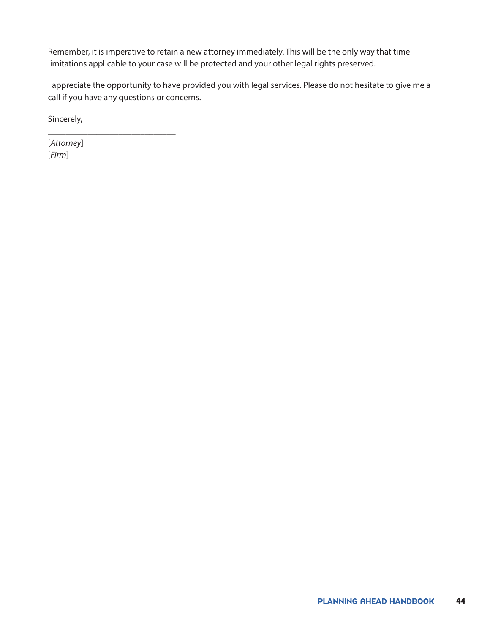Remember, it is imperative to retain a new attorney immediately. This will be the only way that time limitations applicable to your case will be protected and your other legal rights preserved.

I appreciate the opportunity to have provided you with legal services. Please do not hesitate to give me a call if you have any questions or concerns.

Sincerely,

\_\_\_\_\_\_\_\_\_\_\_\_\_\_\_\_\_\_\_\_\_\_\_\_\_\_\_\_\_

[*Attorney*] [*Firm*]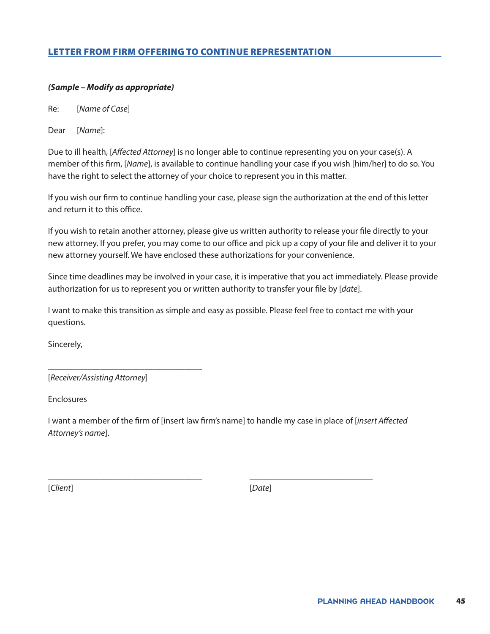# LETTER FROM FIRM OFFERING TO CONTINUE REPRESENTATION

### *(Sample – Modify as appropriate)*

Re: [*Name of Case*]

Dear [*Name*]:

Due to ill health, [*Affected Attorney*] is no longer able to continue representing you on your case(s). A member of this firm, [*Name*], is available to continue handling your case if you wish [him/her] to do so. You have the right to select the attorney of your choice to represent you in this matter.

If you wish our firm to continue handling your case, please sign the authorization at the end of this letter and return it to this office.

If you wish to retain another attorney, please give us written authority to release your file directly to your new attorney. If you prefer, you may come to our office and pick up a copy of your file and deliver it to your new attorney yourself. We have enclosed these authorizations for your convenience.

Since time deadlines may be involved in your case, it is imperative that you act immediately. Please provide authorization for us to represent you or written authority to transfer your file by [*date*].

I want to make this transition as simple and easy as possible. Please feel free to contact me with your questions.

Sincerely,

[*Receiver/Assisting Attorney*]

\_\_\_\_\_\_\_\_\_\_\_\_\_\_\_\_\_\_\_\_\_\_\_\_\_\_\_\_\_\_\_\_\_\_\_

Enclosures

I want a member of the firm of [insert law firm's name] to handle my case in place of [*insert Affected Attorney's name*].

\_\_\_\_\_\_\_\_\_\_\_\_\_\_\_\_\_\_\_\_\_\_\_\_\_\_\_\_\_\_\_\_\_\_\_ \_\_\_\_\_\_\_\_\_\_\_\_\_\_\_\_\_\_\_\_\_\_\_\_\_\_\_\_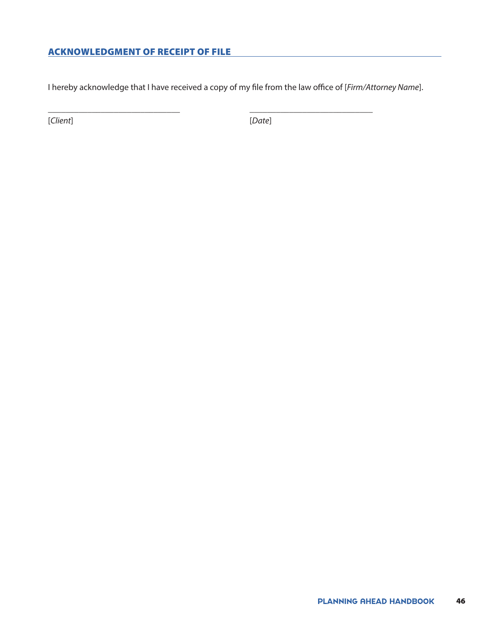# ACKNOWLEDGMENT OF RECEIPT OF FILE

I hereby acknowledge that I have received a copy of my file from the law office of [*Firm/Attorney Name*].

\_\_\_\_\_\_\_\_\_\_\_\_\_\_\_\_\_\_\_\_\_\_\_\_\_\_\_\_\_\_ \_\_\_\_\_\_\_\_\_\_\_\_\_\_\_\_\_\_\_\_\_\_\_\_\_\_\_\_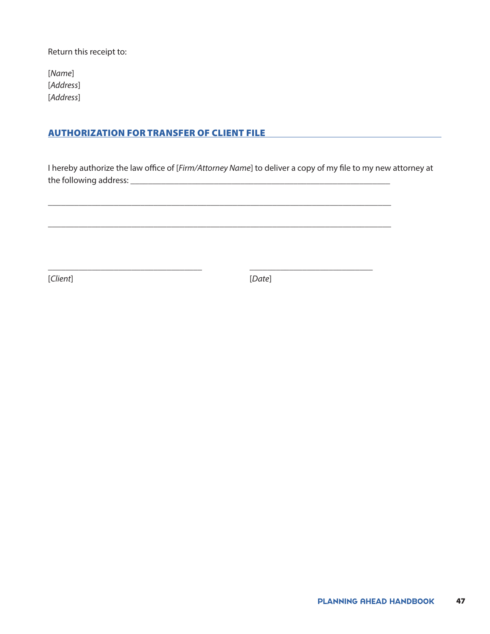Return this receipt to:

[*Name*] [*Address*] [*Address*]

# AUTHORIZATION FOR TRANSFER OF CLIENT FILE

I hereby authorize the law office of [*Firm/Attorney Name*] to deliver a copy of my file to my new attorney at the following address: \_\_\_\_\_\_\_\_\_\_\_\_\_\_\_\_\_\_\_\_\_\_\_\_\_\_\_\_\_\_\_\_\_\_\_\_\_\_\_\_\_\_\_\_\_\_\_\_\_\_\_\_\_\_\_\_\_\_\_

\_\_\_\_\_\_\_\_\_\_\_\_\_\_\_\_\_\_\_\_\_\_\_\_\_\_\_\_\_\_\_\_\_\_\_\_\_\_\_\_\_\_\_\_\_\_\_\_\_\_\_\_\_\_\_\_\_\_\_\_\_\_\_\_\_\_\_\_\_\_\_\_\_\_\_\_\_\_

\_\_\_\_\_\_\_\_\_\_\_\_\_\_\_\_\_\_\_\_\_\_\_\_\_\_\_\_\_\_\_\_\_\_\_\_\_\_\_\_\_\_\_\_\_\_\_\_\_\_\_\_\_\_\_\_\_\_\_\_\_\_\_\_\_\_\_\_\_\_\_\_\_\_\_\_\_\_

\_\_\_\_\_\_\_\_\_\_\_\_\_\_\_\_\_\_\_\_\_\_\_\_\_\_\_\_\_\_\_\_\_\_\_ \_\_\_\_\_\_\_\_\_\_\_\_\_\_\_\_\_\_\_\_\_\_\_\_\_\_\_\_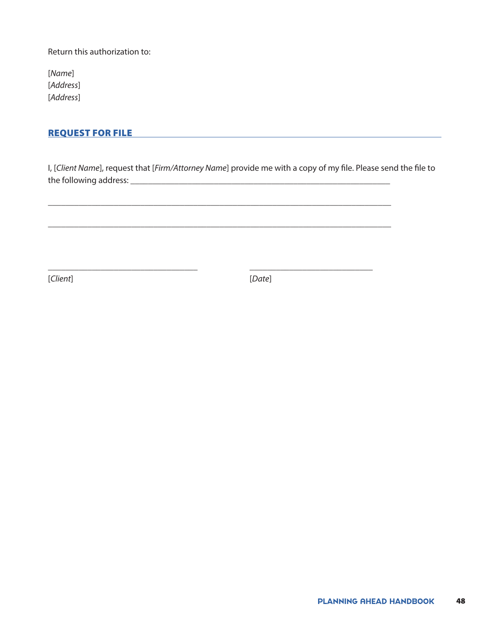Return this authorization to:

[*Name*] [*Address*] [*Address*]

### REQUEST FOR FILE

I, [*Client Name*], request that [*Firm/Attorney Name*] provide me with a copy of my file. Please send the file to the following address: \_\_\_\_\_\_\_\_\_\_\_\_\_\_\_\_\_\_\_\_\_\_\_\_\_\_\_\_\_\_\_\_\_\_\_\_\_\_\_\_\_\_\_\_\_\_\_\_\_\_\_\_\_\_\_\_\_\_\_

\_\_\_\_\_\_\_\_\_\_\_\_\_\_\_\_\_\_\_\_\_\_\_\_\_\_\_\_\_\_\_\_\_\_\_\_\_\_\_\_\_\_\_\_\_\_\_\_\_\_\_\_\_\_\_\_\_\_\_\_\_\_\_\_\_\_\_\_\_\_\_\_\_\_\_\_\_\_

\_\_\_\_\_\_\_\_\_\_\_\_\_\_\_\_\_\_\_\_\_\_\_\_\_\_\_\_\_\_\_\_\_\_\_\_\_\_\_\_\_\_\_\_\_\_\_\_\_\_\_\_\_\_\_\_\_\_\_\_\_\_\_\_\_\_\_\_\_\_\_\_\_\_\_\_\_\_

\_\_\_\_\_\_\_\_\_\_\_\_\_\_\_\_\_\_\_\_\_\_\_\_\_\_\_\_\_\_\_\_\_\_ \_\_\_\_\_\_\_\_\_\_\_\_\_\_\_\_\_\_\_\_\_\_\_\_\_\_\_\_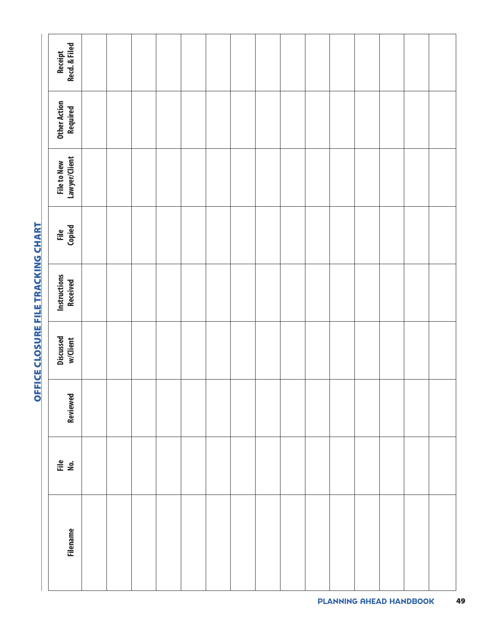| Filename | ile<br>No. | <b>Reviewed</b> | Discussed<br>w/Client | Instructions<br>Received | File<br>Copied | File to New<br>Lawyer/Client | <b>Other Action<br/>Required</b> | Receipt<br>Recd. & Filed |
|----------|------------|-----------------|-----------------------|--------------------------|----------------|------------------------------|----------------------------------|--------------------------|
|          |            |                 |                       |                          |                |                              |                                  |                          |
|          |            |                 |                       |                          |                |                              |                                  |                          |
|          |            |                 |                       |                          |                |                              |                                  |                          |
|          |            |                 |                       |                          |                |                              |                                  |                          |
|          |            |                 |                       |                          |                |                              |                                  |                          |
|          |            |                 |                       |                          |                |                              |                                  |                          |
|          |            |                 |                       |                          |                |                              |                                  |                          |
|          |            |                 |                       |                          |                |                              |                                  |                          |
|          |            |                 |                       |                          |                |                              |                                  |                          |
|          |            |                 |                       |                          |                |                              |                                  |                          |
|          |            |                 |                       |                          |                |                              |                                  |                          |
|          |            |                 |                       |                          |                |                              |                                  |                          |
|          |            |                 |                       |                          |                |                              |                                  |                          |
|          |            |                 |                       |                          |                |                              |                                  |                          |
|          |            |                 |                       |                          |                |                              |                                  |                          |
|          |            |                 |                       |                          |                |                              |                                  |                          |

# OFFICE CLOSURE FILE TRACKING CHART OFFICE CLOSURE FILE TRACKING CHART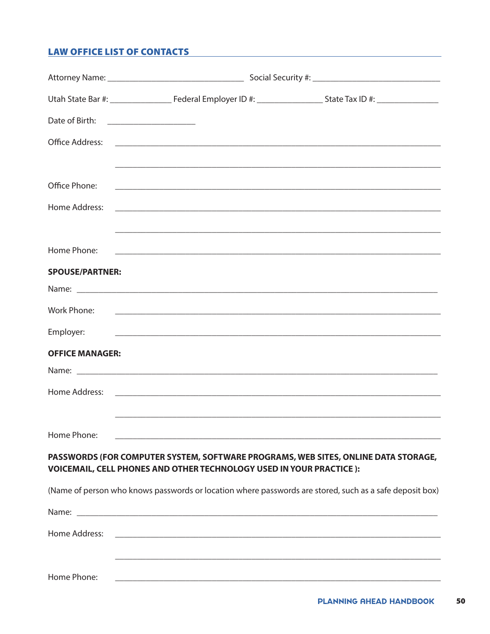# **LAW OFFICE LIST OF CONTACTS**

| Date of Birth:                 | <u> 1999 - Johann Barn, mars and de Brasilian (b. 19</u>                                                               |                                                                                                         |
|--------------------------------|------------------------------------------------------------------------------------------------------------------------|---------------------------------------------------------------------------------------------------------|
|                                |                                                                                                                        |                                                                                                         |
| Office Phone:<br>Home Address: |                                                                                                                        |                                                                                                         |
| Home Phone:                    |                                                                                                                        |                                                                                                         |
| <b>SPOUSE/PARTNER:</b>         |                                                                                                                        |                                                                                                         |
|                                |                                                                                                                        |                                                                                                         |
| Work Phone:                    |                                                                                                                        |                                                                                                         |
| Employer:                      |                                                                                                                        |                                                                                                         |
| <b>OFFICE MANAGER:</b>         |                                                                                                                        |                                                                                                         |
|                                |                                                                                                                        |                                                                                                         |
|                                |                                                                                                                        |                                                                                                         |
| Home Phone:                    | <u> 1980 - Johann Barn, mars ann an Cathair ann an Cathair ann an Cathair ann an t-Èireann an t-Èireann an t-Èirea</u> |                                                                                                         |
|                                | <b>VOICEMAIL, CELL PHONES AND OTHER TECHNOLOGY USED IN YOUR PRACTICE ):</b>                                            | PASSWORDS (FOR COMPUTER SYSTEM, SOFTWARE PROGRAMS, WEB SITES, ONLINE DATA STORAGE,                      |
|                                |                                                                                                                        | (Name of person who knows passwords or location where passwords are stored, such as a safe deposit box) |
|                                |                                                                                                                        |                                                                                                         |
| Home Address:                  |                                                                                                                        |                                                                                                         |
| Home Phone:                    |                                                                                                                        |                                                                                                         |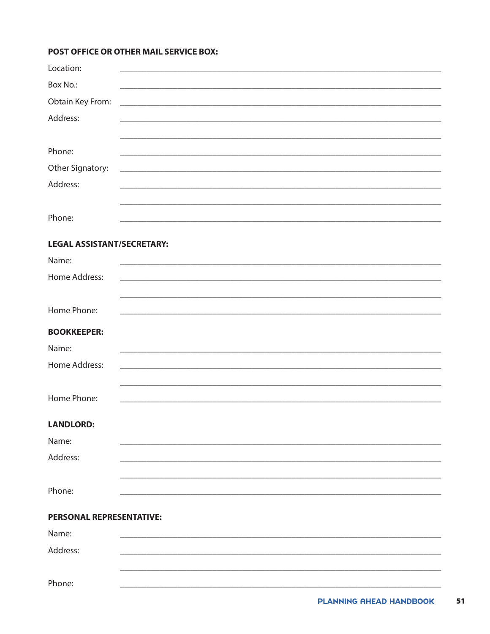### POST OFFICE OR OTHER MAIL SERVICE BOX:

| Location:                         |                                                                |
|-----------------------------------|----------------------------------------------------------------|
| Box No.:                          |                                                                |
| Obtain Key From:                  | <u> 1989 - Johann Barbara, margaret eta idazlea (h. 1989).</u> |
| Address:                          |                                                                |
|                                   |                                                                |
| Phone:                            |                                                                |
| Other Signatory:                  |                                                                |
| Address:                          |                                                                |
|                                   |                                                                |
| Phone:                            |                                                                |
| <b>LEGAL ASSISTANT/SECRETARY:</b> |                                                                |
| Name:                             |                                                                |
| Home Address:                     |                                                                |
|                                   |                                                                |
| Home Phone:                       |                                                                |
| <b>BOOKKEEPER:</b>                |                                                                |
| Name:                             |                                                                |
| Home Address:                     |                                                                |
|                                   |                                                                |
| Home Phone:                       |                                                                |
| <b>LANDLORD:</b>                  |                                                                |
| Name:                             |                                                                |
| Address:                          |                                                                |
|                                   |                                                                |
| Phone:                            |                                                                |
| PERSONAL REPRESENTATIVE:          |                                                                |
| Name:                             |                                                                |
| Address:                          |                                                                |
|                                   |                                                                |
| Phone:                            |                                                                |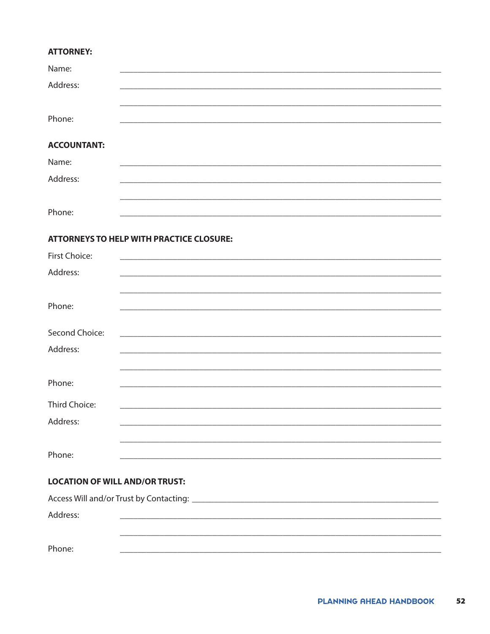### **ATTORNEY:**

| Name:              |  |
|--------------------|--|
| Address:           |  |
|                    |  |
| Phone:             |  |
|                    |  |
| <b>ACCOUNTANT:</b> |  |
| Name:              |  |
| Address:           |  |
|                    |  |
| Phone:             |  |

# **ATTORNEYS TO HELP WITH PRACTICE CLOSURE:**

| First Choice:                         |                                                                                                                       |
|---------------------------------------|-----------------------------------------------------------------------------------------------------------------------|
| Address:                              | <u> 1980 - John Stoff, deutscher Stoff, der Stoff, der Stoff, der Stoff, der Stoff, der Stoff, der Stoff, der Sto</u> |
|                                       |                                                                                                                       |
|                                       |                                                                                                                       |
| Phone:                                | ,我们也不能在这里的人,我们也不能在这里的人,我们也不能在这里的人,我们也不能在这里的人,我们也不能在这里的人,我们也不能在这里的人,我们也不能在这里的人,我们                                      |
|                                       |                                                                                                                       |
| Second Choice:                        |                                                                                                                       |
| Address:                              |                                                                                                                       |
|                                       |                                                                                                                       |
|                                       |                                                                                                                       |
| Phone:                                |                                                                                                                       |
| Third Choice:                         |                                                                                                                       |
| Address:                              |                                                                                                                       |
|                                       |                                                                                                                       |
|                                       |                                                                                                                       |
| Phone:                                |                                                                                                                       |
|                                       |                                                                                                                       |
| <b>LOCATION OF WILL AND/OR TRUST:</b> |                                                                                                                       |
|                                       |                                                                                                                       |

| Address: |  |  |
|----------|--|--|
|          |  |  |
| Phone:   |  |  |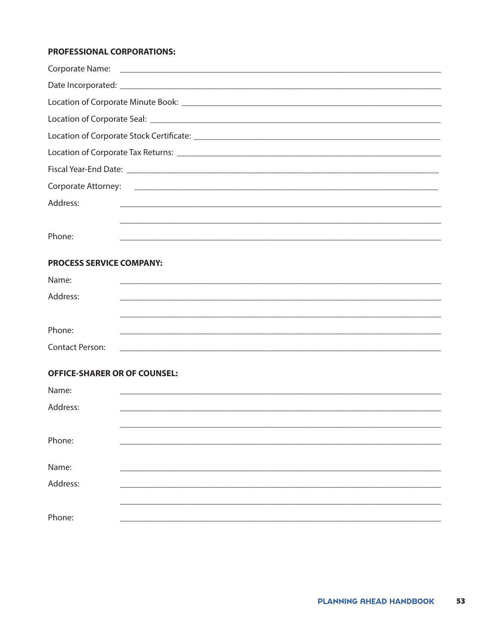### PROFESSIONAL CORPORATIONS:

| Corporate Attorney: 2008 2009 2009 2009 2009 2010 2020 2031 2040 2050 2061 2071 2080 2091 2009 2010 2011 2012 |  |  |
|---------------------------------------------------------------------------------------------------------------|--|--|
| Address:<br><u> 1989 - Johann Barbara, markazar margolaria (h. 1989).</u>                                     |  |  |
|                                                                                                               |  |  |
| Phone:                                                                                                        |  |  |
| <b>PROCESS SERVICE COMPANY:</b>                                                                               |  |  |
| Name:                                                                                                         |  |  |
| Address:                                                                                                      |  |  |
|                                                                                                               |  |  |
| Phone:                                                                                                        |  |  |
| <b>Contact Person:</b>                                                                                        |  |  |
| <b>OFFICE-SHARER OR OF COUNSEL:</b>                                                                           |  |  |

| Name:    |  |
|----------|--|
| Address: |  |
|          |  |
| Phone:   |  |
|          |  |
| Name:    |  |
| Address: |  |
|          |  |
| Phone:   |  |
|          |  |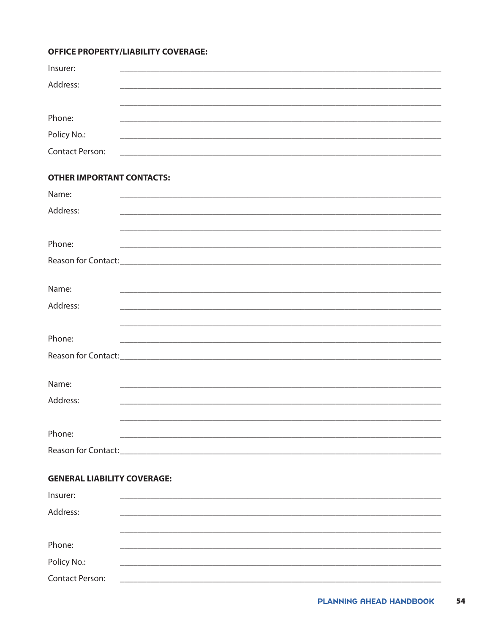### **OFFICE PROPERTY/LIABILITY COVERAGE:**

| Insurer:                           |                                                                   |
|------------------------------------|-------------------------------------------------------------------|
| Address:                           |                                                                   |
|                                    |                                                                   |
| Phone:                             |                                                                   |
| Policy No.:                        |                                                                   |
| Contact Person:                    | <u> 1989 - Johann Barbara, margaret eta idazlearia (h. 1989).</u> |
| <b>OTHER IMPORTANT CONTACTS:</b>   |                                                                   |
| Name:                              |                                                                   |
| Address:                           |                                                                   |
|                                    |                                                                   |
| Phone:                             |                                                                   |
|                                    |                                                                   |
|                                    |                                                                   |
| Name:                              |                                                                   |
| Address:                           |                                                                   |
|                                    |                                                                   |
| Phone:                             |                                                                   |
|                                    |                                                                   |
|                                    |                                                                   |
| Name:                              |                                                                   |
| Address:                           |                                                                   |
|                                    |                                                                   |
| Phone:                             |                                                                   |
|                                    |                                                                   |
| <b>GENERAL LIABILITY COVERAGE:</b> |                                                                   |
| Insurer:                           |                                                                   |
| Address:                           |                                                                   |
|                                    |                                                                   |
| Phone:                             |                                                                   |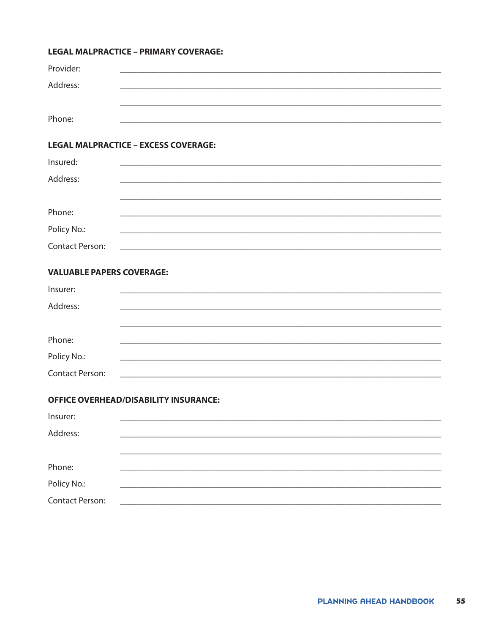### **LEGAL MALPRACTICE - PRIMARY COVERAGE:**

| Provider: |  |
|-----------|--|
| Address:  |  |
|           |  |
| Phone:    |  |

### **LEGAL MALPRACTICE - EXCESS COVERAGE:**

| Insured:        |  |
|-----------------|--|
| Address:        |  |
|                 |  |
| Phone:          |  |
| Policy No.:     |  |
| Contact Person: |  |

### **VALUABLE PAPERS COVERAGE:**

| Insurer:        |  |  |
|-----------------|--|--|
| Address:        |  |  |
|                 |  |  |
|                 |  |  |
| Phone:          |  |  |
| Policy No.:     |  |  |
| Contact Person: |  |  |

### **OFFICE OVERHEAD/DISABILITY INSURANCE:**

| Insurer:               |  |  |  |
|------------------------|--|--|--|
| Address:               |  |  |  |
|                        |  |  |  |
|                        |  |  |  |
| Phone:                 |  |  |  |
| Policy No.:            |  |  |  |
| <b>Contact Person:</b> |  |  |  |
|                        |  |  |  |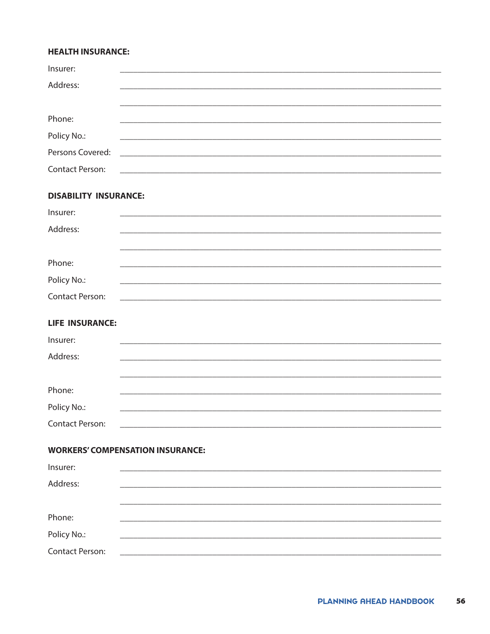### **HEALTH INSURANCE:**

| Insurer:               |                                                                                                                       |  |  |  |
|------------------------|-----------------------------------------------------------------------------------------------------------------------|--|--|--|
| Address:               |                                                                                                                       |  |  |  |
|                        |                                                                                                                       |  |  |  |
| Phone:                 |                                                                                                                       |  |  |  |
| Policy No.:            |                                                                                                                       |  |  |  |
| Persons Covered:       |                                                                                                                       |  |  |  |
| <b>Contact Person:</b> | <u> 1989 - Johann Harry Harry Harry Harry Harry Harry Harry Harry Harry Harry Harry Harry Harry Harry Harry Harry</u> |  |  |  |
|                        |                                                                                                                       |  |  |  |

# **DISABILITY INSURANCE:**

| Insurer:        |  |  |  |
|-----------------|--|--|--|
| Address:        |  |  |  |
|                 |  |  |  |
| Phone:          |  |  |  |
|                 |  |  |  |
| Policy No.:     |  |  |  |
| Contact Person: |  |  |  |

# **LIFE INSURANCE:**

| Insurer:        |  |  |  |
|-----------------|--|--|--|
| Address:        |  |  |  |
|                 |  |  |  |
| Phone:          |  |  |  |
|                 |  |  |  |
| Policy No.:     |  |  |  |
| Contact Person: |  |  |  |

# **WORKERS' COMPENSATION INSURANCE:**

|  | <u> 1980 - Jan Sterling, Amerikaansk politiker (</u> |
|--|------------------------------------------------------|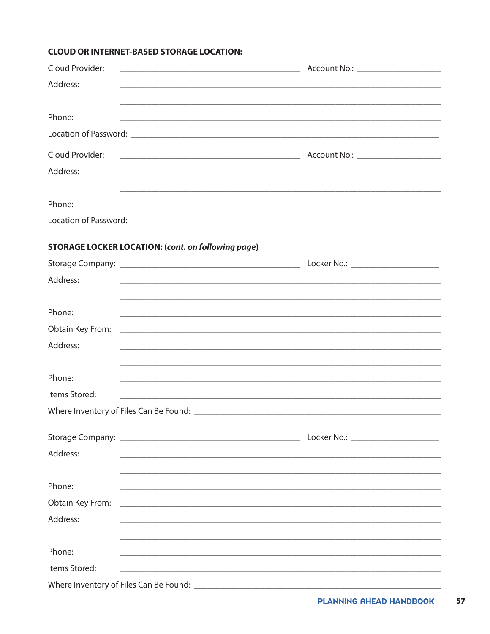### **CLOUD OR INTERNET-BASED STORAGE LOCATION:**

| Cloud Provider:<br><u> 1989 - Johann Barn, mars ann an t-Amhain Aonaich an t-Aonaich an t-Aonaich ann an t-Aonaich ann an t-Aonaich</u> | Account No.: _____________________                                                                                    |
|-----------------------------------------------------------------------------------------------------------------------------------------|-----------------------------------------------------------------------------------------------------------------------|
| Address:                                                                                                                                | <u> 1989 - Johann Stoff, deutscher Stoff, der Stoff, der Stoff, der Stoff, der Stoff, der Stoff, der Stoff, der S</u> |
|                                                                                                                                         |                                                                                                                       |
| Phone:                                                                                                                                  |                                                                                                                       |
|                                                                                                                                         |                                                                                                                       |
| Cloud Provider:                                                                                                                         |                                                                                                                       |
| Address:                                                                                                                                | ,我们也不能在这里的人,我们也不能在这里的人,我们也不能在这里的人,我们也不能在这里的人,我们也不能在这里的人,我们也不能在这里的人,我们也不能在这里的人,我们也                                     |
|                                                                                                                                         |                                                                                                                       |
| Phone:                                                                                                                                  | <u> 1999 - Jan Barnett, fransk politik (d. 1989)</u>                                                                  |
|                                                                                                                                         |                                                                                                                       |
|                                                                                                                                         |                                                                                                                       |
| <b>STORAGE LOCKER LOCATION: (cont. on following page)</b>                                                                               |                                                                                                                       |
|                                                                                                                                         |                                                                                                                       |
| Address:                                                                                                                                |                                                                                                                       |
|                                                                                                                                         |                                                                                                                       |
| Phone:                                                                                                                                  |                                                                                                                       |
| Obtain Key From:                                                                                                                        |                                                                                                                       |
| Address:                                                                                                                                |                                                                                                                       |
|                                                                                                                                         |                                                                                                                       |
| Phone:                                                                                                                                  |                                                                                                                       |
| Items Stored:                                                                                                                           |                                                                                                                       |
|                                                                                                                                         |                                                                                                                       |
|                                                                                                                                         | Locker No.: ______________________                                                                                    |
| Address:                                                                                                                                |                                                                                                                       |
|                                                                                                                                         |                                                                                                                       |
| Phone:                                                                                                                                  |                                                                                                                       |
| Obtain Key From:                                                                                                                        |                                                                                                                       |
| Address:                                                                                                                                |                                                                                                                       |
|                                                                                                                                         |                                                                                                                       |
| Phone:                                                                                                                                  |                                                                                                                       |
| Items Stored:                                                                                                                           | <u> 2001 - Jan Barbara, maso da contra de la contra de la contra de la contra de la contra de la contra de la co</u>  |
|                                                                                                                                         |                                                                                                                       |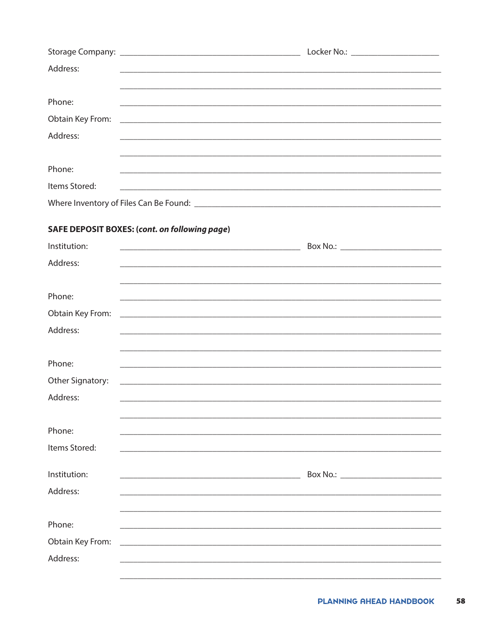|                                                                     | Locker No.: _________________________ |
|---------------------------------------------------------------------|---------------------------------------|
| Address:                                                            |                                       |
|                                                                     |                                       |
| Phone:                                                              |                                       |
|                                                                     |                                       |
| Address:                                                            |                                       |
|                                                                     |                                       |
| Phone:<br><u> 1989 - John Stone, Amerikaansk politiker († 1989)</u> |                                       |
| Items Stored:                                                       |                                       |
| Where Inventory of Files Can Be Found:                              |                                       |

# **SAFE DEPOSIT BOXES: (cont. on following page)**

| Institution:     | <u> Alexandro Alexandro Alexandro Alexandro Alexandro Alexandro Alexandro Alexandro Alexandro Alexandro Alexandro </u> |
|------------------|------------------------------------------------------------------------------------------------------------------------|
| Address:         |                                                                                                                        |
|                  |                                                                                                                        |
| Phone:           |                                                                                                                        |
| Obtain Key From: | <u> 1989 - Johann John Harry Harry Harry Harry Harry Harry Harry Harry Harry Harry Harry Harry Harry Harry Harry</u>   |
| Address:         |                                                                                                                        |
|                  |                                                                                                                        |
| Phone:           |                                                                                                                        |
|                  |                                                                                                                        |
| Other Signatory: |                                                                                                                        |
| Address:         |                                                                                                                        |
|                  |                                                                                                                        |
| Phone:           |                                                                                                                        |
| Items Stored:    |                                                                                                                        |
|                  |                                                                                                                        |
| Institution:     | <u> 1989 - Johann Barn, mars ar breithinn ar chwaraeth a bhaile ann an t-</u>                                          |
| Address:         |                                                                                                                        |
|                  |                                                                                                                        |
| Phone:           |                                                                                                                        |
| Obtain Key From: |                                                                                                                        |
| Address:         |                                                                                                                        |
|                  |                                                                                                                        |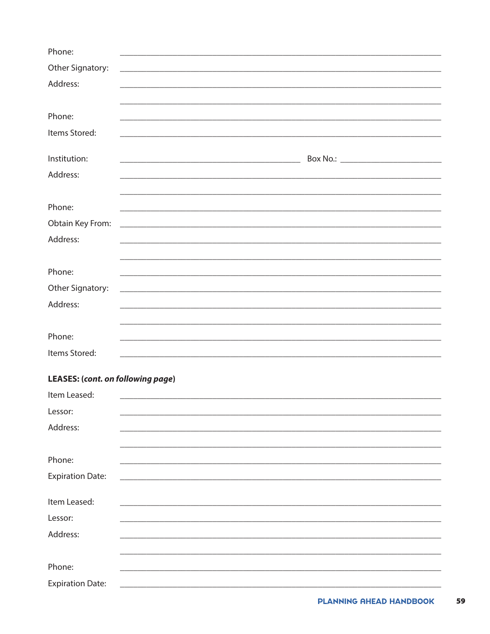| Phone:                                                                        |  |
|-------------------------------------------------------------------------------|--|
| Other Signatory:                                                              |  |
| Address:                                                                      |  |
|                                                                               |  |
| Phone:                                                                        |  |
| Items Stored:                                                                 |  |
|                                                                               |  |
| Institution:                                                                  |  |
| Address:                                                                      |  |
|                                                                               |  |
| Phone:                                                                        |  |
| Obtain Key From:<br><u> 1990 - Johann Barbara, martin amerikan personal (</u> |  |
| Address:                                                                      |  |
|                                                                               |  |
| Phone:                                                                        |  |
| Other Signatory:                                                              |  |
| Address:                                                                      |  |
|                                                                               |  |
| Phone:                                                                        |  |
| Items Stored:                                                                 |  |
|                                                                               |  |
| <b>LEASES: (cont. on following page)</b>                                      |  |
| Item Leased:                                                                  |  |
| Lessor:                                                                       |  |
| Address:                                                                      |  |
|                                                                               |  |
| Phone:                                                                        |  |
| <b>Expiration Date:</b>                                                       |  |
| Item Leased:                                                                  |  |
| Lessor:                                                                       |  |
| Address:                                                                      |  |
|                                                                               |  |
| Phone:                                                                        |  |
| <b>Expiration Date:</b>                                                       |  |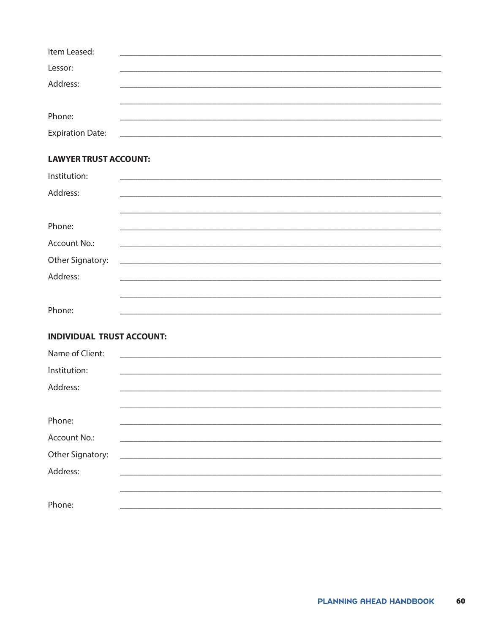| Item Leased:            |  |  |
|-------------------------|--|--|
| Lessor:                 |  |  |
| Address:                |  |  |
|                         |  |  |
| Phone:                  |  |  |
| <b>Expiration Date:</b> |  |  |

# **LAWYER TRUST ACCOUNT:**

| Institution:     |                                                                              |  |  |
|------------------|------------------------------------------------------------------------------|--|--|
| Address:         |                                                                              |  |  |
|                  |                                                                              |  |  |
| Phone:           |                                                                              |  |  |
|                  |                                                                              |  |  |
| Account No.:     | <u> 1980 - Jan Barbara, martin da kasar Amerikaan dan Barbara (j. 1980).</u> |  |  |
| Other Signatory: |                                                                              |  |  |
| Address:         |                                                                              |  |  |
|                  |                                                                              |  |  |
|                  |                                                                              |  |  |
| Phone:           |                                                                              |  |  |

# **INDIVIDUAL TRUST ACCOUNT:**

| Name of Client:  |  |                                                                                                                        |  |
|------------------|--|------------------------------------------------------------------------------------------------------------------------|--|
| Institution:     |  |                                                                                                                        |  |
| Address:         |  | <u> 1989 - Johann Barn, mars ann an t-Amhainn an t-Amhraid ann an t-Amhraid ann an t-Amhraid ann an t-Amhraid ann </u> |  |
|                  |  |                                                                                                                        |  |
| Phone:           |  |                                                                                                                        |  |
| Account No.:     |  |                                                                                                                        |  |
| Other Signatory: |  |                                                                                                                        |  |
| Address:         |  |                                                                                                                        |  |
|                  |  |                                                                                                                        |  |
| Phone:           |  |                                                                                                                        |  |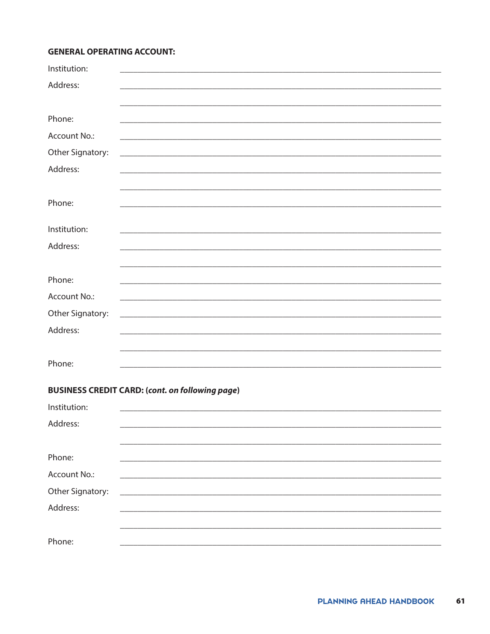### **GENERAL OPERATING ACCOUNT:**

| Institution:     |                                                                                                                       |
|------------------|-----------------------------------------------------------------------------------------------------------------------|
| Address:         |                                                                                                                       |
|                  |                                                                                                                       |
|                  |                                                                                                                       |
| Phone:           |                                                                                                                       |
| Account No.:     |                                                                                                                       |
| Other Signatory: |                                                                                                                       |
| Address:         | <u> 1989 - Johann Barn, fransk politik (f. 1989)</u>                                                                  |
|                  |                                                                                                                       |
|                  |                                                                                                                       |
| Phone:           |                                                                                                                       |
|                  |                                                                                                                       |
| Institution:     | <u> 1989 - Johann Stoff, deutscher Stoff, der Stoff, der Stoff, der Stoff, der Stoff, der Stoff, der Stoff, der S</u> |
| Address:         | <u> 1989 - Johann Harry Harry Harry Harry Harry Harry Harry Harry Harry Harry Harry Harry Harry Harry Harry Harry</u> |
|                  |                                                                                                                       |
| Phone:           |                                                                                                                       |
| Account No.:     |                                                                                                                       |
|                  |                                                                                                                       |
| Other Signatory: |                                                                                                                       |
| Address:         | <u> 1989 - Andrea Stadt Britain, amerikansk politiker (d. 1989)</u>                                                   |
|                  |                                                                                                                       |
| Phone:           |                                                                                                                       |
|                  |                                                                                                                       |

# **BUSINESS CREDIT CARD: (cont. on following page)**

| Institution:     |  |
|------------------|--|
| Address:         |  |
|                  |  |
| Phone:           |  |
| Account No.:     |  |
| Other Signatory: |  |
| Address:         |  |
|                  |  |
| Phone:           |  |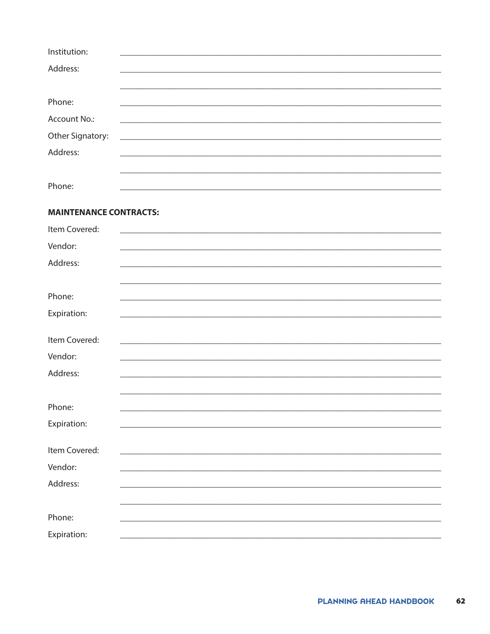| Institution:                  |                                                                                                                      |
|-------------------------------|----------------------------------------------------------------------------------------------------------------------|
| Address:                      |                                                                                                                      |
|                               |                                                                                                                      |
| Phone:                        |                                                                                                                      |
| Account No.:                  |                                                                                                                      |
| Other Signatory:              |                                                                                                                      |
| Address:                      |                                                                                                                      |
|                               |                                                                                                                      |
| Phone:                        |                                                                                                                      |
|                               |                                                                                                                      |
| <b>MAINTENANCE CONTRACTS:</b> |                                                                                                                      |
| Item Covered:                 | <u> 1989 - Johann John Stone, mars et al. 1989 - Anna anno 1989 - Anna ann an t-Anna ann an t-Anna ann an t-Anna</u> |
| Vendor:                       |                                                                                                                      |
| Address:                      |                                                                                                                      |
|                               |                                                                                                                      |
| Phone:                        |                                                                                                                      |
| Expiration:                   |                                                                                                                      |
|                               |                                                                                                                      |
| Item Covered:                 |                                                                                                                      |
| Vendor:                       |                                                                                                                      |
| Address:                      |                                                                                                                      |
|                               |                                                                                                                      |
| Phone:                        |                                                                                                                      |
| Expiration:                   |                                                                                                                      |
|                               |                                                                                                                      |
| Item Covered:                 |                                                                                                                      |
| Vendor:                       |                                                                                                                      |
| Address:                      |                                                                                                                      |
|                               |                                                                                                                      |
| Phone:                        |                                                                                                                      |
| Expiration:                   |                                                                                                                      |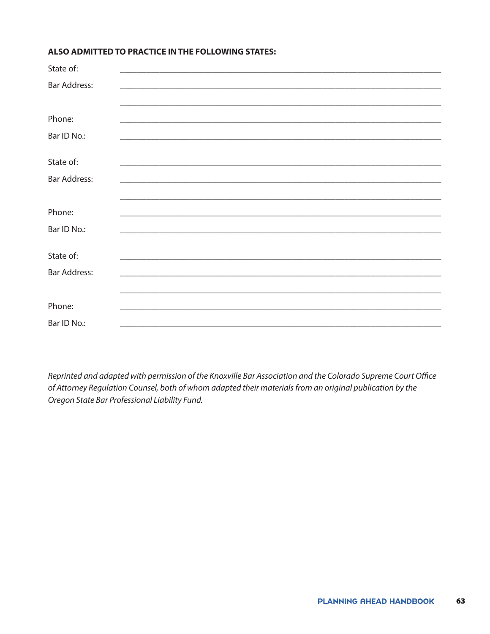### ALSO ADMITTED TO PRACTICE IN THE FOLLOWING STATES:

| State of:           |  |  |
|---------------------|--|--|
| <b>Bar Address:</b> |  |  |
|                     |  |  |
|                     |  |  |
| Phone:              |  |  |
| Bar ID No.:         |  |  |
|                     |  |  |
| State of:           |  |  |
| <b>Bar Address:</b> |  |  |
|                     |  |  |
|                     |  |  |
| Phone:              |  |  |
| Bar ID No.:         |  |  |
|                     |  |  |
| State of:           |  |  |
| <b>Bar Address:</b> |  |  |
|                     |  |  |
|                     |  |  |
| Phone:              |  |  |
| Bar ID No.:         |  |  |
|                     |  |  |

Reprinted and adapted with permission of the Knoxville Bar Association and the Colorado Supreme Court Office of Attorney Regulation Counsel, both of whom adapted their materials from an original publication by the Oregon State Bar Professional Liability Fund.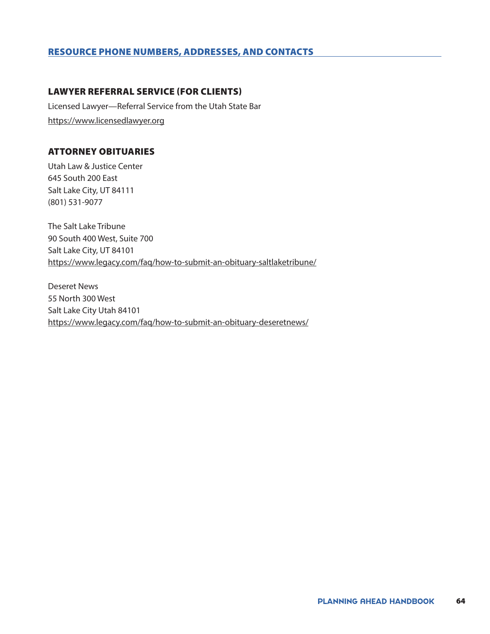### RESOURCE PHONE NUMBERS, ADDRESSES, AND CONTACTS

### LAWYER REFERRAL SERVICE (FOR CLIENTS)

Licensed Lawyer—Referral Service from the Utah State Bar <https://www.licensedlawyer.org>

# ATTORNEY OBITUARIES

Utah Law & Justice Center 645 South 200 East Salt Lake City, UT 84111 (801) 531-9077

The Salt Lake Tribune 90 South 400 West, Suite 700 Salt Lake City, UT 84101 <https://www.legacy.com/faq/how-to-submit-an-obituary-saltlaketribune/>

Deseret News 55 North 300 West Salt Lake City Utah 84101 <https://www.legacy.com/faq/how-to-submit-an-obituary-deseretnews/>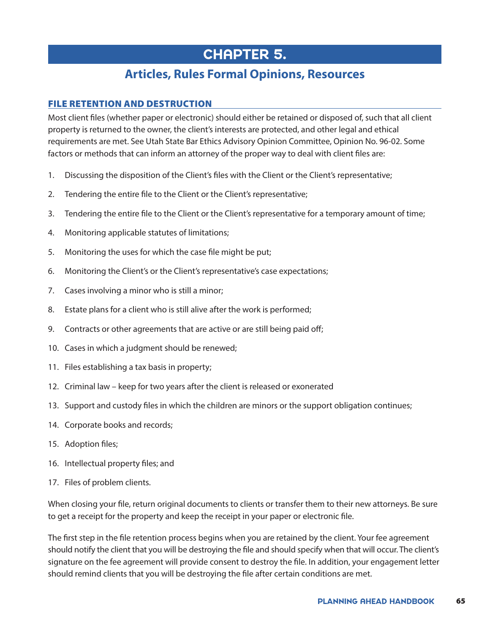# CHAPTER 5.

# **Articles, Rules Formal Opinions, Resources**

# FILE RETENTION AND DESTRUCTION

Most client files (whether paper or electronic) should either be retained or disposed of, such that all client property is returned to the owner, the client's interests are protected, and other legal and ethical requirements are met. See Utah State Bar Ethics Advisory Opinion Committee, Opinion No. 96-02. Some factors or methods that can inform an attorney of the proper way to deal with client files are:

- 1. Discussing the disposition of the Client's files with the Client or the Client's representative;
- 2. Tendering the entire file to the Client or the Client's representative;
- 3. Tendering the entire file to the Client or the Client's representative for a temporary amount of time;
- 4. Monitoring applicable statutes of limitations;
- 5. Monitoring the uses for which the case file might be put;
- 6. Monitoring the Client's or the Client's representative's case expectations;
- 7. Cases involving a minor who is still a minor;
- 8. Estate plans for a client who is still alive after the work is performed;
- 9. Contracts or other agreements that are active or are still being paid off;
- 10. Cases in which a judgment should be renewed;
- 11. Files establishing a tax basis in property;
- 12. Criminal law keep for two years after the client is released or exonerated
- 13. Support and custody files in which the children are minors or the support obligation continues;
- 14. Corporate books and records;
- 15. Adoption files;
- 16. Intellectual property files; and
- 17. Files of problem clients.

When closing your file, return original documents to clients or transfer them to their new attorneys. Be sure to get a receipt for the property and keep the receipt in your paper or electronic file.

The first step in the file retention process begins when you are retained by the client. Your fee agreement should notify the client that you will be destroying the file and should specify when that will occur. The client's signature on the fee agreement will provide consent to destroy the file. In addition, your engagement letter should remind clients that you will be destroying the file after certain conditions are met.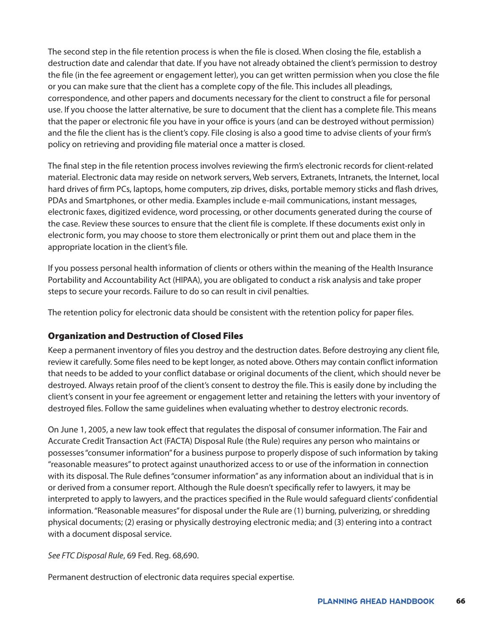The second step in the file retention process is when the file is closed. When closing the file, establish a destruction date and calendar that date. If you have not already obtained the client's permission to destroy the file (in the fee agreement or engagement letter), you can get written permission when you close the file or you can make sure that the client has a complete copy of the file. This includes all pleadings, correspondence, and other papers and documents necessary for the client to construct a file for personal use. If you choose the latter alternative, be sure to document that the client has a complete file. This means that the paper or electronic file you have in your office is yours (and can be destroyed without permission) and the file the client has is the client's copy. File closing is also a good time to advise clients of your firm's policy on retrieving and providing file material once a matter is closed.

The final step in the file retention process involves reviewing the firm's electronic records for client-related material. Electronic data may reside on network servers, Web servers, Extranets, Intranets, the Internet, local hard drives of firm PCs, laptops, home computers, zip drives, disks, portable memory sticks and flash drives, PDAs and Smartphones, or other media. Examples include e-mail communications, instant messages, electronic faxes, digitized evidence, word processing, or other documents generated during the course of the case. Review these sources to ensure that the client file is complete. If these documents exist only in electronic form, you may choose to store them electronically or print them out and place them in the appropriate location in the client's file.

If you possess personal health information of clients or others within the meaning of the Health Insurance Portability and Accountability Act (HIPAA), you are obligated to conduct a risk analysis and take proper steps to secure your records. Failure to do so can result in civil penalties.

The retention policy for electronic data should be consistent with the retention policy for paper files.

# Organization and Destruction of Closed Files

Keep a permanent inventory of files you destroy and the destruction dates. Before destroying any client file, review it carefully. Some files need to be kept longer, as noted above. Others may contain conflict information that needs to be added to your conflict database or original documents of the client, which should never be destroyed. Always retain proof of the client's consent to destroy the file. This is easily done by including the client's consent in your fee agreement or engagement letter and retaining the letters with your inventory of destroyed files. Follow the same guidelines when evaluating whether to destroy electronic records.

On June 1, 2005, a new law took effect that regulates the disposal of consumer information. The Fair and Accurate Credit Transaction Act (FACTA) Disposal Rule (the Rule) requires any person who maintains or possesses "consumer information" for a business purpose to properly dispose of such information by taking "reasonable measures" to protect against unauthorized access to or use of the information in connection with its disposal. The Rule defines "consumer information" as any information about an individual that is in or derived from a consumer report. Although the Rule doesn't specifically refer to lawyers, it may be interpreted to apply to lawyers, and the practices specified in the Rule would safeguard clients' confidential information. "Reasonable measures" for disposal under the Rule are (1) burning, pulverizing, or shredding physical documents; (2) erasing or physically destroying electronic media; and (3) entering into a contract with a document disposal service.

*See FTC Disposal Rule*, 69 Fed. Reg. 68,690.

Permanent destruction of electronic data requires special expertise.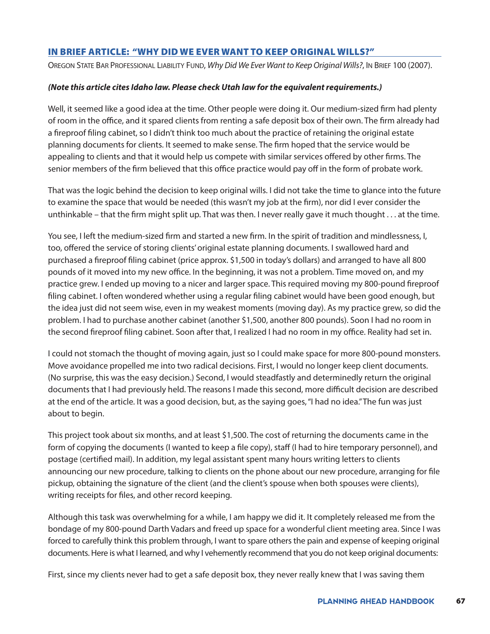# IN BRIEF ARTICLE: "WHY DID WE EVER WANT TO KEEP ORIGINAL WILLS?"

Oregon State Bar Professional Liability Fund, *Why Did We Ever Want to Keep Original Wills?*, In Brief 100 (2007).

### *(Note this article cites Idaho law. Please check Utah law for the equivalent requirements.)*

Well, it seemed like a good idea at the time. Other people were doing it. Our medium-sized firm had plenty of room in the office, and it spared clients from renting a safe deposit box of their own. The firm already had a fireproof filing cabinet, so I didn't think too much about the practice of retaining the original estate planning documents for clients. It seemed to make sense. The firm hoped that the service would be appealing to clients and that it would help us compete with similar services offered by other firms. The senior members of the firm believed that this office practice would pay off in the form of probate work.

That was the logic behind the decision to keep original wills. I did not take the time to glance into the future to examine the space that would be needed (this wasn't my job at the firm), nor did I ever consider the unthinkable – that the firm might split up. That was then. I never really gave it much thought . . . at the time.

You see, I left the medium-sized firm and started a new firm. In the spirit of tradition and mindlessness, I, too, offered the service of storing clients' original estate planning documents. I swallowed hard and purchased a fireproof filing cabinet (price approx. \$1,500 in today's dollars) and arranged to have all 800 pounds of it moved into my new office. In the beginning, it was not a problem. Time moved on, and my practice grew. I ended up moving to a nicer and larger space. This required moving my 800-pound fireproof filing cabinet. I often wondered whether using a regular filing cabinet would have been good enough, but the idea just did not seem wise, even in my weakest moments (moving day). As my practice grew, so did the problem. I had to purchase another cabinet (another \$1,500, another 800 pounds). Soon I had no room in the second fireproof filing cabinet. Soon after that, I realized I had no room in my office. Reality had set in.

I could not stomach the thought of moving again, just so I could make space for more 800-pound monsters. Move avoidance propelled me into two radical decisions. First, I would no longer keep client documents. (No surprise, this was the easy decision.) Second, I would steadfastly and determinedly return the original documents that I had previously held. The reasons I made this second, more difficult decision are described at the end of the article. It was a good decision, but, as the saying goes, "I had no idea." The fun was just about to begin.

This project took about six months, and at least \$1,500. The cost of returning the documents came in the form of copying the documents (I wanted to keep a file copy), staff (I had to hire temporary personnel), and postage (certified mail). In addition, my legal assistant spent many hours writing letters to clients announcing our new procedure, talking to clients on the phone about our new procedure, arranging for file pickup, obtaining the signature of the client (and the client's spouse when both spouses were clients), writing receipts for files, and other record keeping.

Although this task was overwhelming for a while, I am happy we did it. It completely released me from the bondage of my 800-pound Darth Vadars and freed up space for a wonderful client meeting area. Since I was forced to carefully think this problem through, I want to spare others the pain and expense of keeping original documents. Here is what I learned, and why I vehemently recommend that you do not keep original documents:

First, since my clients never had to get a safe deposit box, they never really knew that I was saving them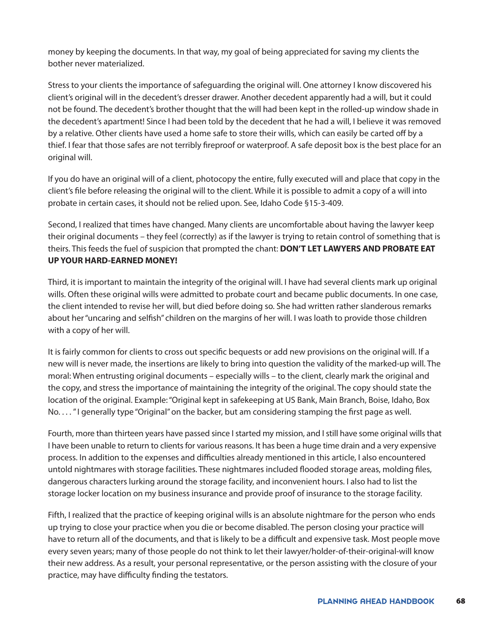money by keeping the documents. In that way, my goal of being appreciated for saving my clients the bother never materialized.

Stress to your clients the importance of safeguarding the original will. One attorney I know discovered his client's original will in the decedent's dresser drawer. Another decedent apparently had a will, but it could not be found. The decedent's brother thought that the will had been kept in the rolled-up window shade in the decedent's apartment! Since I had been told by the decedent that he had a will, I believe it was removed by a relative. Other clients have used a home safe to store their wills, which can easily be carted off by a thief. I fear that those safes are not terribly fireproof or waterproof. A safe deposit box is the best place for an original will.

If you do have an original will of a client, photocopy the entire, fully executed will and place that copy in the client's file before releasing the original will to the client. While it is possible to admit a copy of a will into probate in certain cases, it should not be relied upon. See, Idaho Code §15-3-409.

Second, I realized that times have changed. Many clients are uncomfortable about having the lawyer keep their original documents – they feel (correctly) as if the lawyer is trying to retain control of something that is theirs. This feeds the fuel of suspicion that prompted the chant: **DON'T LET LAWYERS AND PROBATE EAT UP YOUR HARD-EARNED MONEY!**

Third, it is important to maintain the integrity of the original will. I have had several clients mark up original wills. Often these original wills were admitted to probate court and became public documents. In one case, the client intended to revise her will, but died before doing so. She had written rather slanderous remarks about her "uncaring and selfish" children on the margins of her will. I was loath to provide those children with a copy of her will.

It is fairly common for clients to cross out specific bequests or add new provisions on the original will. If a new will is never made, the insertions are likely to bring into question the validity of the marked-up will. The moral: When entrusting original documents – especially wills – to the client, clearly mark the original and the copy, and stress the importance of maintaining the integrity of the original. The copy should state the location of the original. Example: "Original kept in safekeeping at US Bank, Main Branch, Boise, Idaho, Box No. . . . " I generally type "Original" on the backer, but am considering stamping the first page as well.

Fourth, more than thirteen years have passed since I started my mission, and I still have some original wills that I have been unable to return to clients for various reasons. It has been a huge time drain and a very expensive process. In addition to the expenses and difficulties already mentioned in this article, I also encountered untold nightmares with storage facilities. These nightmares included flooded storage areas, molding files, dangerous characters lurking around the storage facility, and inconvenient hours. I also had to list the storage locker location on my business insurance and provide proof of insurance to the storage facility.

Fifth, I realized that the practice of keeping original wills is an absolute nightmare for the person who ends up trying to close your practice when you die or become disabled. The person closing your practice will have to return all of the documents, and that is likely to be a difficult and expensive task. Most people move every seven years; many of those people do not think to let their lawyer/holder-of-their-original-will know their new address. As a result, your personal representative, or the person assisting with the closure of your practice, may have difficulty finding the testators.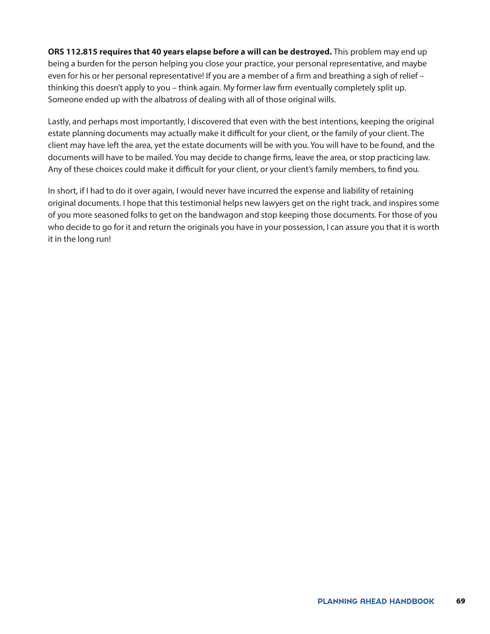**ORS 112.815 requires that 40 years elapse before a will can be destroyed.** This problem may end up being a burden for the person helping you close your practice, your personal representative, and maybe even for his or her personal representative! If you are a member of a firm and breathing a sigh of relief thinking this doesn't apply to you – think again. My former law firm eventually completely split up. Someone ended up with the albatross of dealing with all of those original wills.

Lastly, and perhaps most importantly, I discovered that even with the best intentions, keeping the original estate planning documents may actually make it difficult for your client, or the family of your client. The client may have left the area, yet the estate documents will be with you. You will have to be found, and the documents will have to be mailed. You may decide to change firms, leave the area, or stop practicing law. Any of these choices could make it difficult for your client, or your client's family members, to find you.

In short, if I had to do it over again, I would never have incurred the expense and liability of retaining original documents. I hope that this testimonial helps new lawyers get on the right track, and inspires some of you more seasoned folks to get on the bandwagon and stop keeping those documents. For those of you who decide to go for it and return the originals you have in your possession, I can assure you that it is worth it in the long run!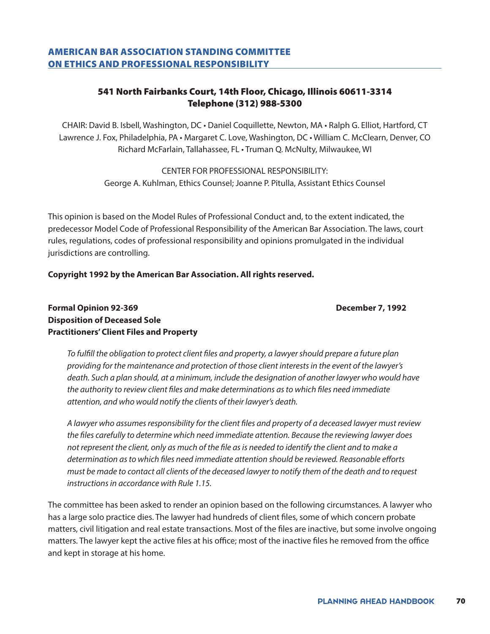# AMERICAN BAR ASSOCIATION STANDING COMMITTEE ON ETHICS AND PROFESSIONAL RESPONSIBILITY

# 541 North Fairbanks Court, 14th Floor, Chicago, Illinois 60611-3314 Telephone (312) 988-5300

CHAIR: David B. Isbell, Washington, DC • Daniel Coquillette, Newton, MA • Ralph G. Elliot, Hartford, CT Lawrence J. Fox, Philadelphia, PA • Margaret C. Love, Washington, DC • William C. McClearn, Denver, CO Richard McFarlain, Tallahassee, FL • Truman Q. McNulty, Milwaukee, WI

> CENTER FOR PROFESSIONAL RESPONSIBILITY: George A. Kuhlman, Ethics Counsel; Joanne P. Pitulla, Assistant Ethics Counsel

This opinion is based on the Model Rules of Professional Conduct and, to the extent indicated, the predecessor Model Code of Professional Responsibility of the American Bar Association. The laws, court rules, regulations, codes of professional responsibility and opinions promulgated in the individual jurisdictions are controlling.

### **Copyright 1992 by the American Bar Association. All rights reserved.**

# **Formal Opinion 92-369 December 7, 1992 Disposition of Deceased Sole Practitioners' Client Files and Property**

*To fulfill the obligation to protect client files and property, a lawyer should prepare a future plan providing for the maintenance and protection of those client interests in the event of the lawyer's death. Such a plan should, at a minimum, include the designation of another lawyer who would have the authority to review client files and make determinations as to which files need immediate* 

*attention, and who would notify the clients of their lawyer's death.*

*A lawyer who assumes responsibility for the client files and property of a deceased lawyer must review the files carefully to determine which need immediate attention. Because the reviewing lawyer does not represent the client, only as much of the file as is needed to identify the client and to make a determination as to which files need immediate attention should be reviewed. Reasonable efforts must be made to contact all clients of the deceased lawyer to notify them of the death and to request instructions in accordance with Rule 1.15.*

The committee has been asked to render an opinion based on the following circumstances. A lawyer who has a large solo practice dies. The lawyer had hundreds of client files, some of which concern probate matters, civil litigation and real estate transactions. Most of the files are inactive, but some involve ongoing matters. The lawyer kept the active files at his office; most of the inactive files he removed from the office and kept in storage at his home.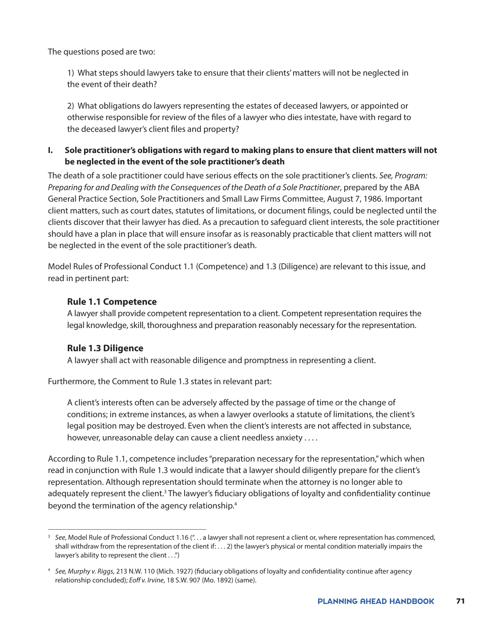The questions posed are two:

1) What steps should lawyers take to ensure that their clients' matters will not be neglected in the event of their death?

2) What obligations do lawyers representing the estates of deceased lawyers, or appointed or otherwise responsible for review of the files of a lawyer who dies intestate, have with regard to the deceased lawyer's client files and property?

# **I. Sole practitioner's obligations with regard to making plans to ensure that client matters will not be neglected in the event of the sole practitioner's death**

The death of a sole practitioner could have serious effects on the sole practitioner's clients. *See, Program: Preparing for and Dealing with the Consequences of the Death of a Sole Practitioner, prepared by the ABA* General Practice Section, Sole Practitioners and Small Law Firms Committee, August 7, 1986. Important client matters, such as court dates, statutes of limitations, or document filings, could be neglected until the clients discover that their lawyer has died. As a precaution to safeguard client interests, the sole practitioner should have a plan in place that will ensure insofar as is reasonably practicable that client matters will not be neglected in the event of the sole practitioner's death.

Model Rules of Professional Conduct 1.1 (Competence) and 1.3 (Diligence) are relevant to this issue, and read in pertinent part:

# **Rule 1.1 Competence**

A lawyer shall provide competent representation to a client. Competent representation requires the legal knowledge, skill, thoroughness and preparation reasonably necessary for the representation.

### **Rule 1.3 Diligence**

\_\_\_\_\_\_\_\_\_\_\_\_\_\_\_\_\_\_\_\_\_\_\_\_\_\_\_\_\_\_\_\_\_\_\_\_\_\_\_\_\_\_\_\_

A lawyer shall act with reasonable diligence and promptness in representing a client.

Furthermore, the Comment to Rule 1.3 states in relevant part:

A client's interests often can be adversely affected by the passage of time or the change of conditions; in extreme instances, as when a lawyer overlooks a statute of limitations, the client's legal position may be destroyed. Even when the client's interests are not affected in substance, however, unreasonable delay can cause a client needless anxiety . . . .

According to Rule 1.1, competence includes "preparation necessary for the representation," which when read in conjunction with Rule 1.3 would indicate that a lawyer should diligently prepare for the client's representation. Although representation should terminate when the attorney is no longer able to adequately represent the client.<sup>3</sup> The lawyer's fiduciary obligations of loyalty and confidentiality continue beyond the termination of the agency relationship[.4](#page-70-0)

<sup>3</sup> *See*, Model Rule of Professional Conduct 1.16 (". . . a lawyer shall not represent a client or, where representation has commenced, shall withdraw from the representation of the client if: . . . 2) the lawyer's physical or mental condition materially impairs the lawyer's ability to represent the client . . .")

<span id="page-70-0"></span><sup>4</sup> *See, Murphy v. Riggs*, 213 N.W. 110 (Mich. 1927) (fiduciary obligations of loyalty and confidentiality continue after agency relationship concluded); *Eoff v. Irvine*, 18 S.W. 907 (Mo. 1892) (same).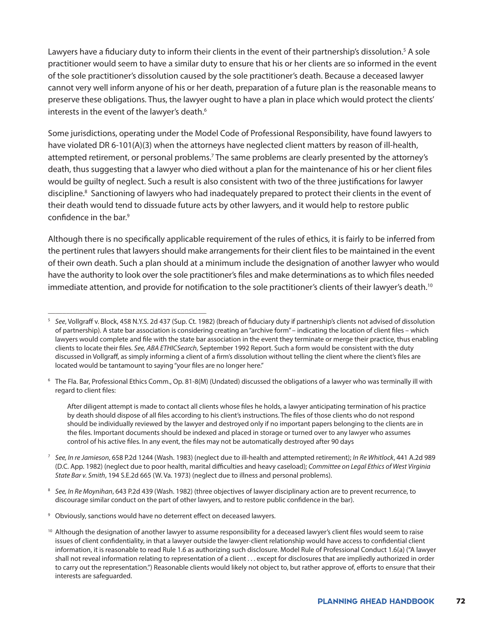Lawyers have a fiduciary duty to inform their clients in the event of their partnership's dissolution.<sup>5</sup> A sole practitioner would seem to have a similar duty to ensure that his or her clients are so informed in the event of the sole practitioner's dissolution caused by the sole practitioner's death. Because a deceased lawyer cannot very well inform anyone of his or her death, preparation of a future plan is the reasonable means to preserve these obligations. Thus, the lawyer ought to have a plan in place which would protect the clients' interests in the event of the lawyer's death.<sup>6</sup>

Some jurisdictions, operating under the Model Code of Professional Responsibility, have found lawyers to have violated DR 6-101(A)(3) when the attorneys have neglected client matters by reason of ill-health, attempted retirement, or personal problems.<sup>7</sup> The same problems are clearly presented by the attorney's death, thus suggesting that a lawyer who died without a plan for the maintenance of his or her client files would be guilty of neglect. Such a result is also consistent with two of the three justifications for lawyer discipline.<sup>[8](#page-71-3)</sup> Sanctioning of lawyers who had inadequately prepared to protect their clients in the event of their death would tend to dissuade future acts by other lawyers, and it would help to restore public confidence in the bar.[9](#page-71-4)

Although there is no specifically applicable requirement of the rules of ethics, it is fairly to be inferred from the pertinent rules that lawyers should make arrangements for their client files to be maintained in the event of their own death. Such a plan should at a minimum include the designation of another lawyer who would have the authority to look over the sole practitioner's files and make determinations as to which files needed immediate attention, and provide for notification to the sole practitioner's clients of their lawyer's death.<sup>10</sup>

<span id="page-71-1"></span><sup>6</sup> The Fla. Bar, Professional Ethics Comm., Op. 81-8(M) (Undated) discussed the obligations of a lawyer who was terminally ill with regard to client files:

After diligent attempt is made to contact all clients whose files he holds, a lawyer anticipating termination of his practice by death should dispose of all files according to his client's instructions. The files of those clients who do not respond should be individually reviewed by the lawyer and destroyed only if no important papers belonging to the clients are in the files. Important documents should be indexed and placed in storage or turned over to any lawyer who assumes control of his active files. In any event, the files may not be automatically destroyed after 90 days

- <span id="page-71-2"></span><sup>7</sup> *See, In re Jamieson*, 658 P.2d 1244 (Wash. 1983) (neglect due to ill-health and attempted retirement); *In Re Whitlock*, 441 A.2d 989 (D.C. App. 1982) (neglect due to poor health, marital difficulties and heavy caseload); *Committee on Legal Ethics of West Virginia State Bar v. Smith*, 194 S.E.2d 665 (W. Va. 1973) (neglect due to illness and personal problems).
- <span id="page-71-3"></span><sup>8</sup> *See, In Re Moynihan*, 643 P.2d 439 (Wash. 1982) (three objectives of lawyer disciplinary action are to prevent recurrence, to discourage similar conduct on the part of other lawyers, and to restore public confidence in the bar).
- <span id="page-71-4"></span><sup>9</sup> Obviously, sanctions would have no deterrent effect on deceased lawyers.

\_\_\_\_\_\_\_\_\_\_\_\_\_\_\_\_\_\_\_\_\_\_\_\_\_\_\_\_\_\_\_\_\_\_\_\_\_\_\_\_\_\_\_\_

<sup>10</sup> Although the designation of another lawyer to assume responsibility for a deceased lawyer's client files would seem to raise issues of client confidentiality, in that a lawyer outside the lawyer-client relationship would have access to confidential client information, it is reasonable to read Rule 1.6 as authorizing such disclosure. Model Rule of Professional Conduct 1.6(a) ("A lawyer shall not reveal information relating to representation of a client . . . except for disclosures that are impliedly authorized in order to carry out the representation.") Reasonable clients would likely not object to, but rather approve of, efforts to ensure that their interests are safeguarded.

<span id="page-71-0"></span><sup>5</sup> *See*, Vollgraff v. Block, 458 N.Y.S. 2d 437 (Sup. Ct. 1982) (breach of fiduciary duty if partnership's clients not advised of dissolution of partnership). A state bar association is considering creating an "archive form" – indicating the location of client files – which lawyers would complete and file with the state bar association in the event they terminate or merge their practice, thus enabling clients to locate their files. *See, ABA ETHICSearch*, September 1992 Report. Such a form would be consistent with the duty discussed in Vollgraff, as simply informing a client of a firm's dissolution without telling the client where the client's files are located would be tantamount to saying "your files are no longer here."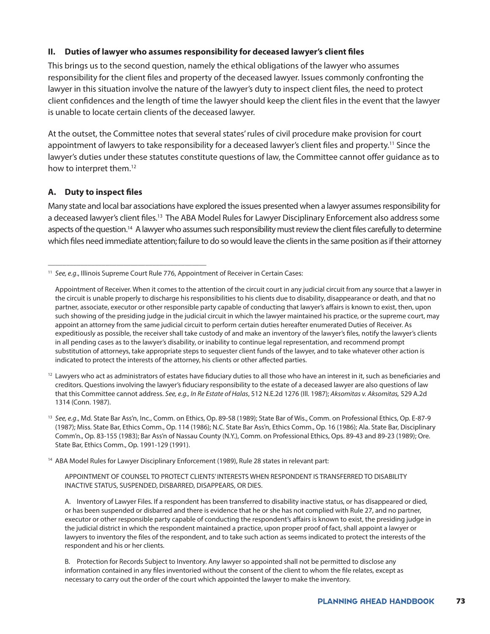## **II. Duties of lawyer who assumes responsibility for deceased lawyer's client files**

This brings us to the second question, namely the ethical obligations of the lawyer who assumes responsibility for the client files and property of the deceased lawyer. Issues commonly confronting the lawyer in this situation involve the nature of the lawyer's duty to inspect client files, the need to protect client confidences and the length of time the lawyer should keep the client files in the event that the lawyer is unable to locate certain clients of the deceased lawyer.

At the outset, the Committee notes that several states' rules of civil procedure make provision for court appointment of lawyers to take responsibility for a deceased lawyer's client files and property.<sup>[11](#page-72-0)</sup> Since the lawyer's duties under these statutes constitute questions of law, the Committee cannot offer guidance as to how to interpret them.<sup>[12](#page-72-1)</sup>

## **A. Duty to inspect files**

\_\_\_\_\_\_\_\_\_\_\_\_\_\_\_\_\_\_\_\_\_\_\_\_\_\_\_\_\_\_\_\_\_\_\_\_\_\_\_\_\_\_\_\_

Many state and local bar associations have explored the issues presented when a lawyer assumes responsibility for a deceased lawyer's client files.13 The ABA Model Rules for Lawyer Disciplinary Enforcement also address some aspects of the question.<sup>14</sup> A lawyer who assumes such responsibility must review the client files carefully to determine which files need immediate attention; failure to do so would leave the clients in the same position as if their attorney

<span id="page-72-1"></span> $12$  Lawyers who act as administrators of estates have fiduciary duties to all those who have an interest in it, such as beneficiaries and creditors. Questions involving the lawyer's fiduciary responsibility to the estate of a deceased lawyer are also questions of law that this Committee cannot address. *See, e.g., In Re Estate of Halas*, 512 N.E.2d 1276 (Ill. 1987); *Aksomitas v. Aksomitas,* 529 A.2d 1314 (Conn. 1987).

<sup>13</sup> *See, e.g*., Md. State Bar Ass'n, Inc., Comm. on Ethics, Op. 89-58 (1989); State Bar of Wis., Comm. on Professional Ethics, Op. E-87-9 (1987); Miss. State Bar, Ethics Comm., Op. 114 (1986); N.C. State Bar Ass'n, Ethics Comm., Op. 16 (1986); Ala. State Bar, Disciplinary Comm'n., Op. 83-155 (1983); Bar Ass'n of Nassau County (N.Y.), Comm. on Professional Ethics, Ops. 89-43 and 89-23 (1989); Ore. State Bar, Ethics Comm., Op. 1991-129 (1991).

<span id="page-72-2"></span><sup>14</sup> ABA Model Rules for Lawyer Disciplinary Enforcement (1989), Rule 28 states in relevant part:

APPOINTMENT OF COUNSEL TO PROTECT CLIENTS' INTERESTS WHEN RESPONDENT IS TRANSFERRED TO DISABILITY INACTIVE STATUS, SUSPENDED, DISBARRED, DISAPPEARS, OR DIES.

A. Inventory of Lawyer Files. If a respondent has been transferred to disability inactive status, or has disappeared or died, or has been suspended or disbarred and there is evidence that he or she has not complied with Rule 27, and no partner, executor or other responsible party capable of conducting the respondent's affairs is known to exist, the presiding judge in the judicial district in which the respondent maintained a practice, upon proper proof of fact, shall appoint a lawyer or lawyers to inventory the files of the respondent, and to take such action as seems indicated to protect the interests of the respondent and his or her clients.

B. Protection for Records Subject to Inventory. Any lawyer so appointed shall not be permitted to disclose any information contained in any files inventoried without the consent of the client to whom the file relates, except as necessary to carry out the order of the court which appointed the lawyer to make the inventory.

<span id="page-72-0"></span><sup>&</sup>lt;sup>11</sup> See, e.g., Illinois Supreme Court Rule 776, Appointment of Receiver in Certain Cases:

Appointment of Receiver. When it comes to the attention of the circuit court in any judicial circuit from any source that a lawyer in the circuit is unable properly to discharge his responsibilities to his clients due to disability, disappearance or death, and that no partner, associate, executor or other responsible party capable of conducting that lawyer's affairs is known to exist, then, upon such showing of the presiding judge in the judicial circuit in which the lawyer maintained his practice, or the supreme court, may appoint an attorney from the same judicial circuit to perform certain duties hereafter enumerated Duties of Receiver. As expeditiously as possible, the receiver shall take custody of and make an inventory of the lawyer's files, notify the lawyer's clients in all pending cases as to the lawyer's disability, or inability to continue legal representation, and recommend prompt substitution of attorneys, take appropriate steps to sequester client funds of the lawyer, and to take whatever other action is indicated to protect the interests of the attorney, his clients or other affected parties.